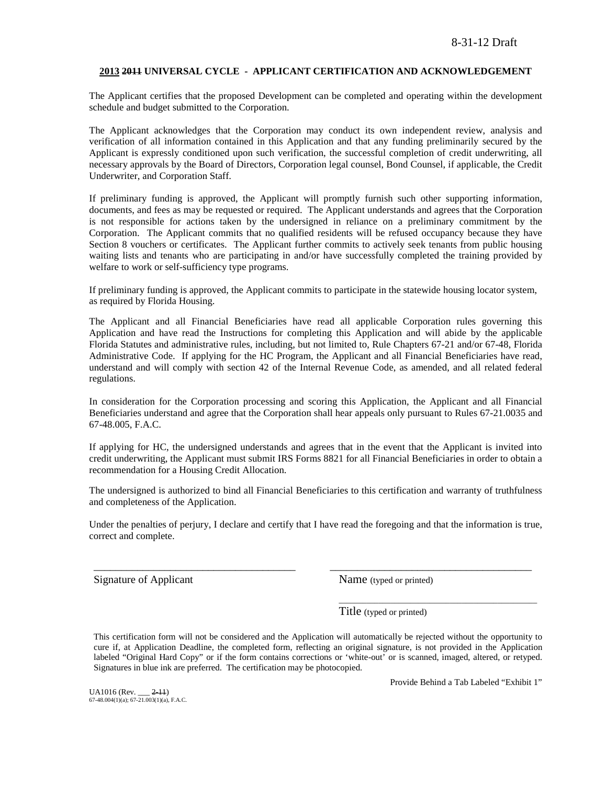### **2013 2011 UNIVERSAL CYCLE - APPLICANT CERTIFICATION AND ACKNOWLEDGEMENT**

The Applicant certifies that the proposed Development can be completed and operating within the development schedule and budget submitted to the Corporation.

The Applicant acknowledges that the Corporation may conduct its own independent review, analysis and verification of all information contained in this Application and that any funding preliminarily secured by the Applicant is expressly conditioned upon such verification, the successful completion of credit underwriting, all necessary approvals by the Board of Directors, Corporation legal counsel, Bond Counsel, if applicable, the Credit Underwriter, and Corporation Staff.

If preliminary funding is approved, the Applicant will promptly furnish such other supporting information, documents, and fees as may be requested or required. The Applicant understands and agrees that the Corporation is not responsible for actions taken by the undersigned in reliance on a preliminary commitment by the Corporation. The Applicant commits that no qualified residents will be refused occupancy because they have Section 8 vouchers or certificates. The Applicant further commits to actively seek tenants from public housing waiting lists and tenants who are participating in and/or have successfully completed the training provided by welfare to work or self-sufficiency type programs.

If preliminary funding is approved, the Applicant commits to participate in the statewide housing locator system, as required by Florida Housing.

The Applicant and all Financial Beneficiaries have read all applicable Corporation rules governing this Application and have read the Instructions for completing this Application and will abide by the applicable Florida Statutes and administrative rules, including, but not limited to, Rule Chapters 67-21 and/or 67-48, Florida Administrative Code. If applying for the HC Program, the Applicant and all Financial Beneficiaries have read, understand and will comply with section 42 of the Internal Revenue Code, as amended, and all related federal regulations.

In consideration for the Corporation processing and scoring this Application, the Applicant and all Financial Beneficiaries understand and agree that the Corporation shall hear appeals only pursuant to Rules 67-21.0035 and 67-48.005, F.A.C.

If applying for HC, the undersigned understands and agrees that in the event that the Applicant is invited into credit underwriting, the Applicant must submit IRS Forms 8821 for all Financial Beneficiaries in order to obtain a recommendation for a Housing Credit Allocation.

The undersigned is authorized to bind all Financial Beneficiaries to this certification and warranty of truthfulness and completeness of the Application.

Under the penalties of perjury, I declare and certify that I have read the foregoing and that the information is true, correct and complete.

\_\_\_\_\_\_\_\_\_\_\_\_\_\_\_\_\_\_\_\_\_\_\_\_\_\_\_\_\_\_\_\_\_\_\_\_\_ \_\_\_\_\_\_\_\_\_\_\_\_\_\_\_\_\_\_\_\_\_\_\_\_\_\_\_\_\_\_\_\_\_\_\_\_\_

Signature of Applicant Name (typed or printed)

Title (typed or printed)

This certification form will not be considered and the Application will automatically be rejected without the opportunity to cure if, at Application Deadline, the completed form, reflecting an original signature, is not provided in the Application labeled "Original Hard Copy" or if the form contains corrections or 'white-out' or is scanned, imaged, altered, or retyped. Signatures in blue ink are preferred. The certification may be photocopied.

UA1016 (Rev. \_\_\_ <del>2-11</del>)<br>67-48.004(1)(a); 67-21.003(1)(a), F.A.C.

Provide Behind a Tab Labeled "Exhibit 1"

\_\_\_\_\_\_\_\_\_\_\_\_\_\_\_\_\_\_\_\_\_\_\_\_\_\_\_\_\_\_\_\_\_\_\_\_\_\_\_\_\_\_\_\_\_\_\_\_\_\_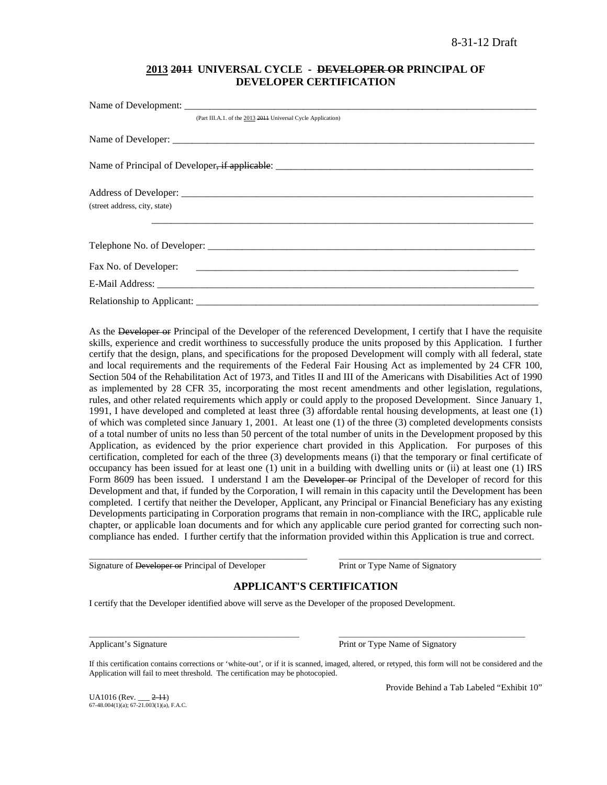# **2013 2011 UNIVERSAL CYCLE - DEVELOPER OR PRINCIPAL OF DEVELOPER CERTIFICATION**

| (Part III.A.1. of the 2013 2014 Universal Cycle Application) |
|--------------------------------------------------------------|
|                                                              |
|                                                              |
|                                                              |
| (street address, city, state)                                |
|                                                              |
|                                                              |
|                                                              |
|                                                              |

As the Developer or Principal of the Developer of the referenced Development, I certify that I have the requisite skills, experience and credit worthiness to successfully produce the units proposed by this Application. I further certify that the design, plans, and specifications for the proposed Development will comply with all federal, state and local requirements and the requirements of the Federal Fair Housing Act as implemented by 24 CFR 100, Section 504 of the Rehabilitation Act of 1973, and Titles II and III of the Americans with Disabilities Act of 1990 as implemented by 28 CFR 35, incorporating the most recent amendments and other legislation, regulations, rules, and other related requirements which apply or could apply to the proposed Development. Since January 1, 1991, I have developed and completed at least three (3) affordable rental housing developments, at least one (1) of which was completed since January 1, 2001. At least one (1) of the three (3) completed developments consists of a total number of units no less than 50 percent of the total number of units in the Development proposed by this Application, as evidenced by the prior experience chart provided in this Application. For purposes of this certification, completed for each of the three (3) developments means (i) that the temporary or final certificate of occupancy has been issued for at least one (1) unit in a building with dwelling units or (ii) at least one (1) IRS Form 8609 has been issued. I understand I am the Developer or Principal of the Developer of record for this Development and that, if funded by the Corporation, I will remain in this capacity until the Development has been completed. I certify that neither the Developer, Applicant, any Principal or Financial Beneficiary has any existing Developments participating in Corporation programs that remain in non-compliance with the IRC, applicable rule chapter, or applicable loan documents and for which any applicable cure period granted for correcting such noncompliance has ended. I further certify that the information provided within this Application is true and correct.

Signature of Developer or Principal of Developer Print or Type Name of Signatory

# **APPLICANT'S CERTIFICATION**

\_\_\_\_\_\_\_\_\_\_\_\_\_\_\_\_\_\_\_\_\_\_\_\_\_\_\_\_\_\_\_\_\_\_\_\_\_\_\_\_\_\_\_\_\_\_\_\_\_\_\_\_\_\_\_ \_\_\_\_\_\_\_\_\_\_\_\_\_\_\_\_\_\_\_\_\_\_\_\_\_\_\_\_\_\_\_\_\_\_\_\_\_\_\_\_\_\_\_\_\_\_\_\_\_\_\_

I certify that the Developer identified above will serve as the Developer of the proposed Development.

\_\_\_\_\_\_\_\_\_\_\_\_\_\_\_\_\_\_\_\_\_\_\_\_\_\_\_\_\_\_\_\_\_\_\_\_\_\_\_\_\_\_\_\_\_\_\_\_\_\_\_\_\_ \_\_\_\_\_\_\_\_\_\_\_\_\_\_\_\_\_\_\_\_\_\_\_\_\_\_\_\_\_\_\_\_\_\_\_\_\_\_\_\_\_\_\_\_\_\_\_ Applicant's Signature **Print of Type Name of Signatory** Print or Type Name of Signatory

If this certification contains corrections or 'white-out', or if it is scanned, imaged, altered, or retyped, this form will not be considered and the Application will fail to meet threshold. The certification may be photocopied.

 $U_A$ 1016 (Rev.  $2-11$ ) 67-48.004(1)(a); 67-21.003(1)(a), F.A.C. Provide Behind a Tab Labeled "Exhibit 10"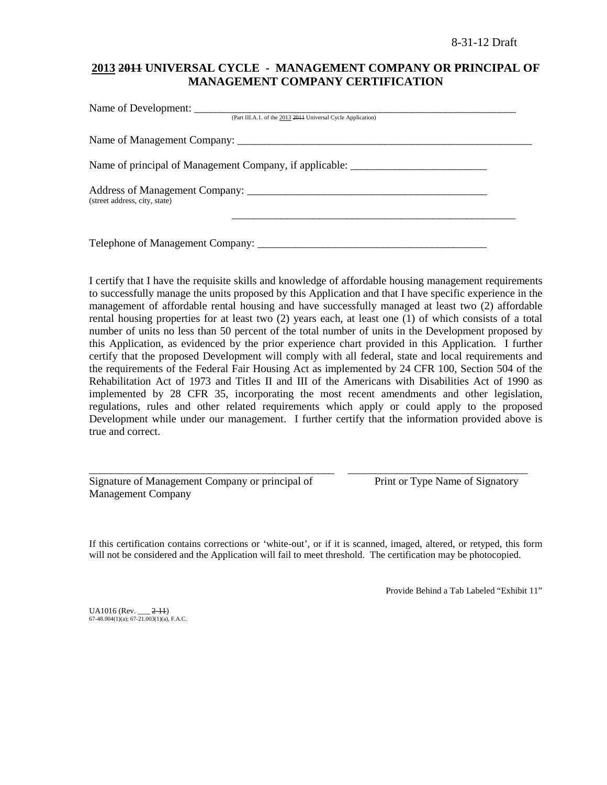# **2013 2011 UNIVERSAL CYCLE - MANAGEMENT COMPANY OR PRINCIPAL OF MANAGEMENT COMPANY CERTIFICATION**

| (Part III.A.1. of the 2013 2014 Universal Cycle Application)                      |  |
|-----------------------------------------------------------------------------------|--|
|                                                                                   |  |
| Name of principal of Management Company, if applicable: _________________________ |  |
| (street address, city, state)                                                     |  |
| Telephone of Management Company: ___________                                      |  |

I certify that I have the requisite skills and knowledge of affordable housing management requirements to successfully manage the units proposed by this Application and that I have specific experience in the management of affordable rental housing and have successfully managed at least two (2) affordable rental housing properties for at least two (2) years each, at least one (1) of which consists of a total number of units no less than 50 percent of the total number of units in the Development proposed by this Application, as evidenced by the prior experience chart provided in this Application. I further certify that the proposed Development will comply with all federal, state and local requirements and the requirements of the Federal Fair Housing Act as implemented by 24 CFR 100, Section 504 of the Rehabilitation Act of 1973 and Titles II and III of the Americans with Disabilities Act of 1990 as implemented by 28 CFR 35, incorporating the most recent amendments and other legislation, regulations, rules and other related requirements which apply or could apply to the proposed Development while under our management. I further certify that the information provided above is true and correct.

Signature of Management Company or principal of Print or Type Name of Signatory Management Company

If this certification contains corrections or 'white-out', or if it is scanned, imaged, altered, or retyped, this form will not be considered and the Application will fail to meet threshold. The certification may be photocopied.

\_\_\_\_\_\_\_\_\_\_\_\_\_\_\_\_\_\_\_\_\_\_\_\_\_\_\_\_\_\_\_\_\_\_\_\_\_\_\_\_\_\_\_\_\_ \_\_\_\_\_\_\_\_\_\_\_\_\_\_\_\_\_\_\_\_\_\_\_\_\_\_\_\_\_\_\_\_\_

Provide Behind a Tab Labeled "Exhibit 11"

 $UA1016$  (Rev.  $2-11$ )  $67-48.004(1)(a)$ ;  $67-21.003(1)(a)$ , F.A.C.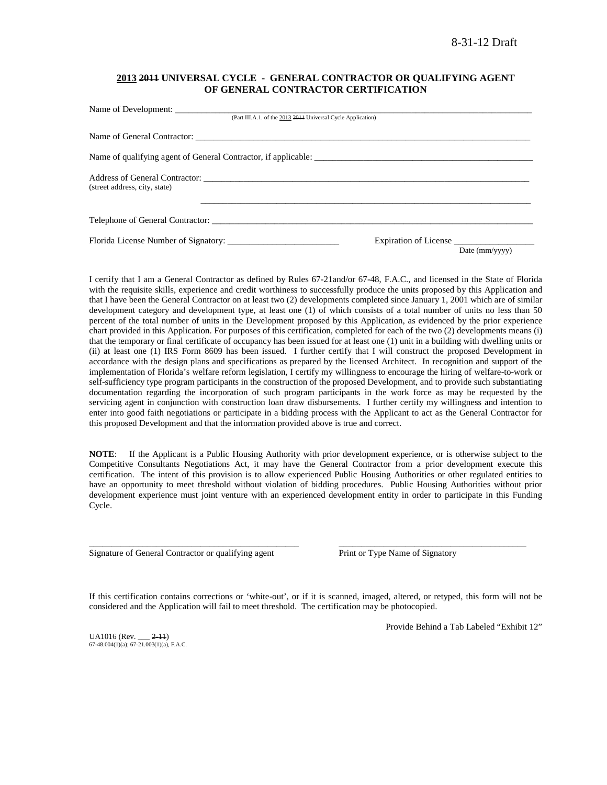### **2013 2011 UNIVERSAL CYCLE - GENERAL CONTRACTOR OR QUALIFYING AGENT OF GENERAL CONTRACTOR CERTIFICATION**

| (Part III.A.1. of the 2013 2014 Universal Cycle Application)   |                       |                |
|----------------------------------------------------------------|-----------------------|----------------|
|                                                                |                       |                |
| Name of qualifying agent of General Contractor, if applicable: |                       |                |
| (street address, city, state)                                  |                       |                |
|                                                                |                       |                |
|                                                                | Expiration of License | Date (mm/yyyy) |

I certify that I am a General Contractor as defined by Rules 67-21and/or 67-48, F.A.C., and licensed in the State of Florida with the requisite skills, experience and credit worthiness to successfully produce the units proposed by this Application and that I have been the General Contractor on at least two (2) developments completed since January 1, 2001 which are of similar development category and development type, at least one (1) of which consists of a total number of units no less than 50 percent of the total number of units in the Development proposed by this Application, as evidenced by the prior experience chart provided in this Application. For purposes of this certification, completed for each of the two (2) developments means (i) that the temporary or final certificate of occupancy has been issued for at least one (1) unit in a building with dwelling units or (ii) at least one (1) IRS Form 8609 has been issued. I further certify that I will construct the proposed Development in accordance with the design plans and specifications as prepared by the licensed Architect. In recognition and support of the implementation of Florida's welfare reform legislation, I certify my willingness to encourage the hiring of welfare-to-work or self-sufficiency type program participants in the construction of the proposed Development, and to provide such substantiating documentation regarding the incorporation of such program participants in the work force as may be requested by the servicing agent in conjunction with construction loan draw disbursements. I further certify my willingness and intention to enter into good faith negotiations or participate in a bidding process with the Applicant to act as the General Contractor for this proposed Development and that the information provided above is true and correct.

**NOTE**: If the Applicant is a Public Housing Authority with prior development experience, or is otherwise subject to the Competitive Consultants Negotiations Act, it may have the General Contractor from a prior development execute this certification. The intent of this provision is to allow experienced Public Housing Authorities or other regulated entities to have an opportunity to meet threshold without violation of bidding procedures. Public Housing Authorities without prior development experience must joint venture with an experienced development entity in order to participate in this Funding Cycle.

Signature of General Contractor or qualifying agent Print or Type Name of Signatory

If this certification contains corrections or 'white-out', or if it is scanned, imaged, altered, or retyped, this form will not be considered and the Application will fail to meet threshold. The certification may be photocopied.

\_\_\_\_\_\_\_\_\_\_\_\_\_\_\_\_\_\_\_\_\_\_\_\_\_\_\_\_\_\_\_\_\_\_\_\_\_\_\_\_\_\_\_\_\_\_\_ \_\_\_\_\_\_\_\_\_\_\_\_\_\_\_\_\_\_\_\_\_\_\_\_\_\_\_\_\_\_\_\_\_\_\_\_\_\_\_\_\_\_

 $UA1016$  (Rev.  $2-11$ )  $67-48.004(1)(a)$ ;  $67-21.003(1)(a)$ , F.A.C. Provide Behind a Tab Labeled "Exhibit 12"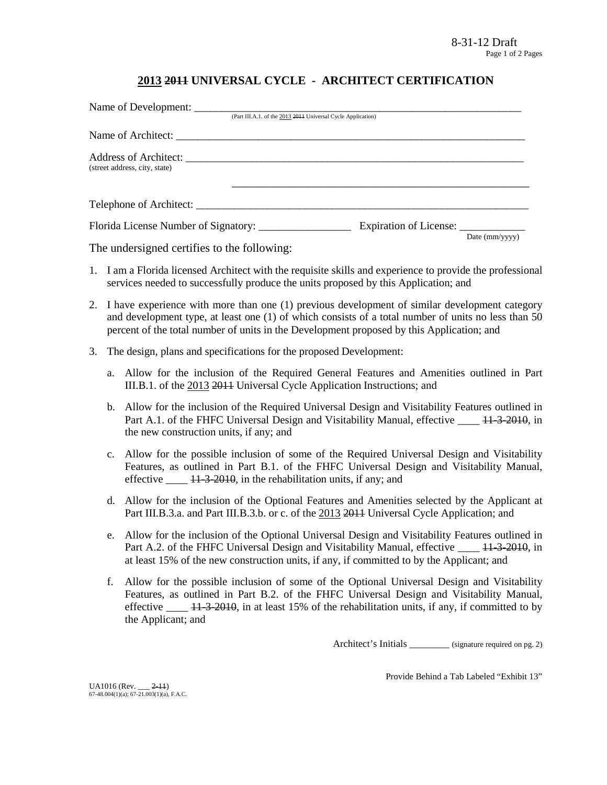# **2013 2011 UNIVERSAL CYCLE - ARCHITECT CERTIFICATION**

| Name of Development:                                                                                        |                                                              |                         |
|-------------------------------------------------------------------------------------------------------------|--------------------------------------------------------------|-------------------------|
|                                                                                                             | (Part III.A.1. of the 2013 2014 Universal Cycle Application) |                         |
|                                                                                                             |                                                              |                         |
| (street address, city, state)                                                                               |                                                              |                         |
|                                                                                                             |                                                              |                         |
| $\mathbf{r}$ , and $\mathbf{r}$ , and $\mathbf{r}$ , and $\mathbf{r}$ , and $\mathbf{r}$ , and $\mathbf{r}$ |                                                              | Date $\text{(mm/vyVV)}$ |

The undersigned certifies to the following:

- 1. I am a Florida licensed Architect with the requisite skills and experience to provide the professional services needed to successfully produce the units proposed by this Application; and
- 2. I have experience with more than one (1) previous development of similar development category and development type, at least one (1) of which consists of a total number of units no less than 50 percent of the total number of units in the Development proposed by this Application; and
- 3. The design, plans and specifications for the proposed Development:
	- a. Allow for the inclusion of the Required General Features and Amenities outlined in Part III.B.1. of the 2013 2011 Universal Cycle Application Instructions; and
	- b. Allow for the inclusion of the Required Universal Design and Visitability Features outlined in Part A.1. of the FHFC Universal Design and Visitability Manual, effective \_\_\_\_ 11-3-2010, in the new construction units, if any; and
	- c. Allow for the possible inclusion of some of the Required Universal Design and Visitability Features, as outlined in Part B.1. of the FHFC Universal Design and Visitability Manual, effective  $\frac{11-3-2010}{11-2010}$ , in the rehabilitation units, if any; and
	- d. Allow for the inclusion of the Optional Features and Amenities selected by the Applicant at Part III.B.3.a. and Part III.B.3.b. or c. of the 2013 2014 Universal Cycle Application; and
	- e. Allow for the inclusion of the Optional Universal Design and Visitability Features outlined in Part A.2. of the FHFC Universal Design and Visitability Manual, effective  $\frac{11-3-2010}{11-2010}$ , in at least 15% of the new construction units, if any, if committed to by the Applicant; and
	- f. Allow for the possible inclusion of some of the Optional Universal Design and Visitability Features, as outlined in Part B.2. of the FHFC Universal Design and Visitability Manual, effective  $\frac{11-3-2010}{11}$ , in at least 15% of the rehabilitation units, if any, if committed to by the Applicant; and

Architect's Initials \_\_\_\_\_\_\_\_ (signature required on pg. 2)

Provide Behind a Tab Labeled "Exhibit 13"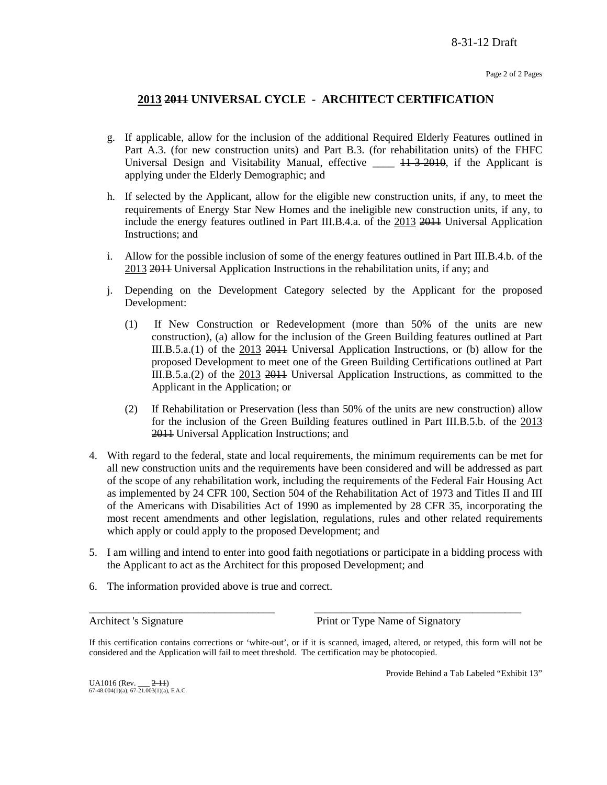# **2013 2011 UNIVERSAL CYCLE - ARCHITECT CERTIFICATION**

- g. If applicable, allow for the inclusion of the additional Required Elderly Features outlined in Part A.3. (for new construction units) and Part B.3. (for rehabilitation units) of the FHFC Universal Design and Visitability Manual, effective  $\_\_\_\_\$  +  $\frac{1}{3}$  +  $\frac{2010}{3}$ , if the Applicant is applying under the Elderly Demographic; and
- h. If selected by the Applicant, allow for the eligible new construction units, if any, to meet the requirements of Energy Star New Homes and the ineligible new construction units, if any, to include the energy features outlined in Part III.B.4.a. of the 2013 2011 Universal Application Instructions; and
- i. Allow for the possible inclusion of some of the energy features outlined in Part III.B.4.b. of the 2013 2011 Universal Application Instructions in the rehabilitation units, if any; and
- j. Depending on the Development Category selected by the Applicant for the proposed Development:
	- (1) If New Construction or Redevelopment (more than 50% of the units are new construction), (a) allow for the inclusion of the Green Building features outlined at Part III.B.5.a.(1) of the 2013 2011 Universal Application Instructions, or (b) allow for the proposed Development to meet one of the Green Building Certifications outlined at Part III.B.5.a.(2) of the 2013 2011 Universal Application Instructions, as committed to the Applicant in the Application; or
	- (2) If Rehabilitation or Preservation (less than 50% of the units are new construction) allow for the inclusion of the Green Building features outlined in Part III.B.5.b. of the 2013 2011 Universal Application Instructions; and
- 4. With regard to the federal, state and local requirements, the minimum requirements can be met for all new construction units and the requirements have been considered and will be addressed as part of the scope of any rehabilitation work, including the requirements of the Federal Fair Housing Act as implemented by 24 CFR 100, Section 504 of the Rehabilitation Act of 1973 and Titles II and III of the Americans with Disabilities Act of 1990 as implemented by 28 CFR 35, incorporating the most recent amendments and other legislation, regulations, rules and other related requirements which apply or could apply to the proposed Development; and
- 5. I am willing and intend to enter into good faith negotiations or participate in a bidding process with the Applicant to act as the Architect for this proposed Development; and
- 6. The information provided above is true and correct.

Architect 's Signature Print or Type Name of Signatory

If this certification contains corrections or 'white-out', or if it is scanned, imaged, altered, or retyped, this form will not be considered and the Application will fail to meet threshold. The certification may be photocopied.

\_\_\_\_\_\_\_\_\_\_\_\_\_\_\_\_\_\_\_\_\_\_\_\_\_\_\_\_\_\_\_\_\_\_ \_\_\_\_\_\_\_\_\_\_\_\_\_\_\_\_\_\_\_\_\_\_\_\_\_\_\_\_\_\_\_\_\_\_\_\_\_\_

Provide Behind a Tab Labeled "Exhibit 13"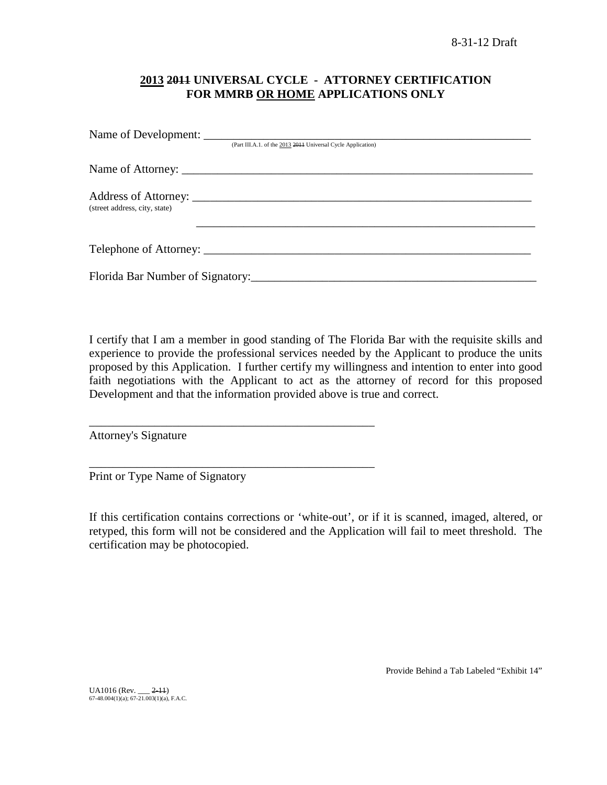# **2013 2011 UNIVERSAL CYCLE - ATTORNEY CERTIFICATION FOR MMRB OR HOME APPLICATIONS ONLY**

|                               | (Part III.A.1. of the 2013 2011 Universal Cycle Application) |
|-------------------------------|--------------------------------------------------------------|
|                               |                                                              |
| (street address, city, state) |                                                              |
|                               |                                                              |
|                               |                                                              |

I certify that I am a member in good standing of The Florida Bar with the requisite skills and experience to provide the professional services needed by the Applicant to produce the units proposed by this Application. I further certify my willingness and intention to enter into good faith negotiations with the Applicant to act as the attorney of record for this proposed Development and that the information provided above is true and correct.

Attorney's Signature

Print or Type Name of Signatory

\_\_\_\_\_\_\_\_\_\_\_\_\_\_\_\_\_\_\_\_\_\_\_\_\_\_\_\_\_\_\_\_\_\_\_\_\_\_\_\_\_\_\_\_\_\_\_\_

\_\_\_\_\_\_\_\_\_\_\_\_\_\_\_\_\_\_\_\_\_\_\_\_\_\_\_\_\_\_\_\_\_\_\_\_\_\_\_\_\_\_\_\_\_\_\_\_

If this certification contains corrections or 'white-out', or if it is scanned, imaged, altered, or retyped, this form will not be considered and the Application will fail to meet threshold. The certification may be photocopied.

Provide Behind a Tab Labeled "Exhibit 14"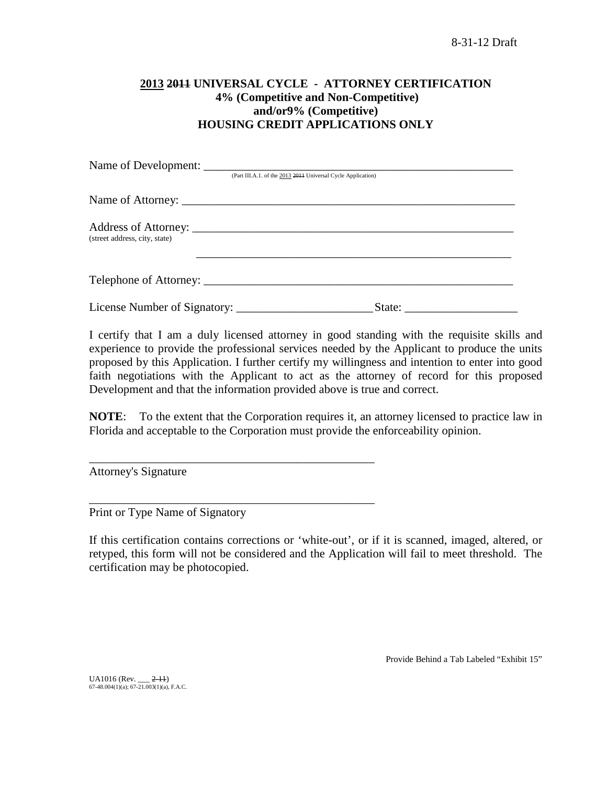# **2013 2011 UNIVERSAL CYCLE - ATTORNEY CERTIFICATION 4% (Competitive and Non-Competitive) and/or9% (Competitive) HOUSING CREDIT APPLICATIONS ONLY**

|                               | (Part III.A.1. of the 2013 2014 Universal Cycle Application) |
|-------------------------------|--------------------------------------------------------------|
|                               |                                                              |
| (street address, city, state) |                                                              |
|                               |                                                              |
|                               | State:                                                       |

I certify that I am a duly licensed attorney in good standing with the requisite skills and experience to provide the professional services needed by the Applicant to produce the units proposed by this Application. I further certify my willingness and intention to enter into good faith negotiations with the Applicant to act as the attorney of record for this proposed Development and that the information provided above is true and correct.

**NOTE**: To the extent that the Corporation requires it, an attorney licensed to practice law in Florida and acceptable to the Corporation must provide the enforceability opinion.

Attorney's Signature

Print or Type Name of Signatory

\_\_\_\_\_\_\_\_\_\_\_\_\_\_\_\_\_\_\_\_\_\_\_\_\_\_\_\_\_\_\_\_\_\_\_\_\_\_\_\_\_\_\_\_\_\_\_\_

\_\_\_\_\_\_\_\_\_\_\_\_\_\_\_\_\_\_\_\_\_\_\_\_\_\_\_\_\_\_\_\_\_\_\_\_\_\_\_\_\_\_\_\_\_\_\_\_

If this certification contains corrections or 'white-out', or if it is scanned, imaged, altered, or retyped, this form will not be considered and the Application will fail to meet threshold. The certification may be photocopied.

Provide Behind a Tab Labeled "Exhibit 15"

UA1016 (Rev. \_\_\_ <del>2-11</del>)<br>67-48.004(1)(a); 67-21.003(1)(a), F.A.C.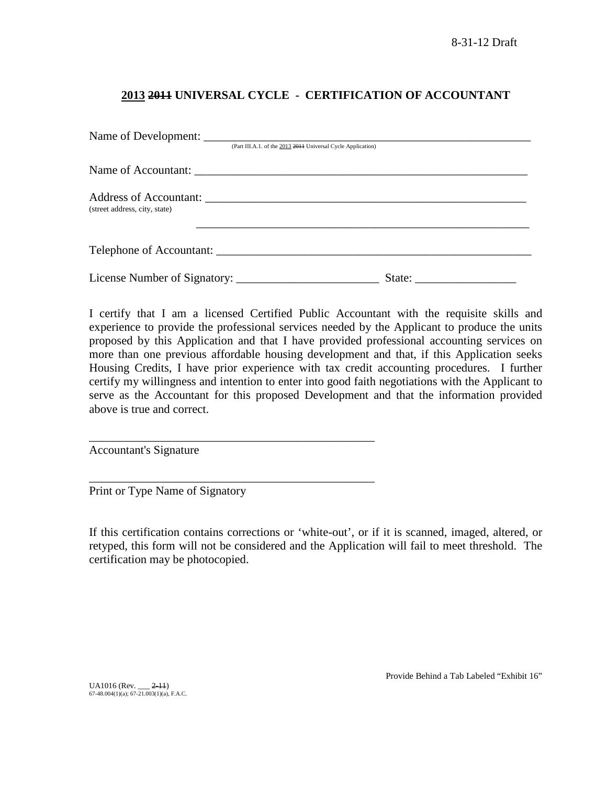# **2013 2011 UNIVERSAL CYCLE - CERTIFICATION OF ACCOUNTANT**

|                               | (Part III.A.1. of the 2013 2011 Universal Cycle Application) |        |  |
|-------------------------------|--------------------------------------------------------------|--------|--|
|                               |                                                              |        |  |
| (street address, city, state) |                                                              |        |  |
|                               | Telephone of Accountant:                                     |        |  |
|                               |                                                              | State: |  |

I certify that I am a licensed Certified Public Accountant with the requisite skills and experience to provide the professional services needed by the Applicant to produce the units proposed by this Application and that I have provided professional accounting services on more than one previous affordable housing development and that, if this Application seeks Housing Credits, I have prior experience with tax credit accounting procedures. I further certify my willingness and intention to enter into good faith negotiations with the Applicant to serve as the Accountant for this proposed Development and that the information provided above is true and correct.

Accountant's Signature

Print or Type Name of Signatory

\_\_\_\_\_\_\_\_\_\_\_\_\_\_\_\_\_\_\_\_\_\_\_\_\_\_\_\_\_\_\_\_\_\_\_\_\_\_\_\_\_\_\_\_\_\_\_\_

\_\_\_\_\_\_\_\_\_\_\_\_\_\_\_\_\_\_\_\_\_\_\_\_\_\_\_\_\_\_\_\_\_\_\_\_\_\_\_\_\_\_\_\_\_\_\_\_

If this certification contains corrections or 'white-out', or if it is scanned, imaged, altered, or retyped, this form will not be considered and the Application will fail to meet threshold. The certification may be photocopied.

UA1016 (Rev. \_\_\_ <del>2-11</del>)<br>67-48.004(1)(a); 67-21.003(1)(a), F.A.C.

Provide Behind a Tab Labeled "Exhibit 16"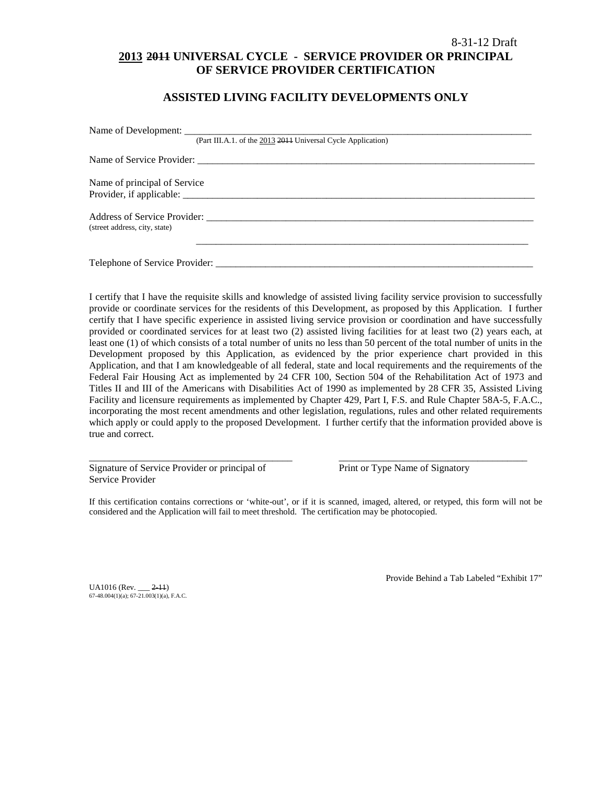# 8-31-12 Draft **2013 2011 UNIVERSAL CYCLE - SERVICE PROVIDER OR PRINCIPAL OF SERVICE PROVIDER CERTIFICATION**

# **ASSISTED LIVING FACILITY DEVELOPMENTS ONLY**

|                               | (Part III.A.1. of the 2013 2014 Universal Cycle Application) |
|-------------------------------|--------------------------------------------------------------|
|                               |                                                              |
| Name of principal of Service  |                                                              |
|                               |                                                              |
|                               |                                                              |
| (street address, city, state) |                                                              |
|                               |                                                              |
|                               |                                                              |

I certify that I have the requisite skills and knowledge of assisted living facility service provision to successfully provide or coordinate services for the residents of this Development, as proposed by this Application. I further certify that I have specific experience in assisted living service provision or coordination and have successfully provided or coordinated services for at least two (2) assisted living facilities for at least two (2) years each, at least one (1) of which consists of a total number of units no less than 50 percent of the total number of units in the Development proposed by this Application, as evidenced by the prior experience chart provided in this Application, and that I am knowledgeable of all federal, state and local requirements and the requirements of the Federal Fair Housing Act as implemented by 24 CFR 100, Section 504 of the Rehabilitation Act of 1973 and Titles II and III of the Americans with Disabilities Act of 1990 as implemented by 28 CFR 35, Assisted Living Facility and licensure requirements as implemented by Chapter 429, Part I, F.S. and Rule Chapter 58A-5, F.A.C., incorporating the most recent amendments and other legislation, regulations, rules and other related requirements which apply or could apply to the proposed Development. I further certify that the information provided above is true and correct.

Signature of Service Provider or principal of Print or Type Name of Signatory Service Provider

If this certification contains corrections or 'white-out', or if it is scanned, imaged, altered, or retyped, this form will not be considered and the Application will fail to meet threshold. The certification may be photocopied.

\_\_\_\_\_\_\_\_\_\_\_\_\_\_\_\_\_\_\_\_\_\_\_\_\_\_\_\_\_\_\_\_\_\_\_\_\_\_\_\_\_ \_\_\_\_\_\_\_\_\_\_\_\_\_\_\_\_\_\_\_\_\_\_\_\_\_\_\_\_\_\_\_\_\_\_\_\_\_\_

UA1016 (Rev. \_\_\_ 2-11) 67-48.004(1)(a); 67-21.003(1)(a), F.A.C. Provide Behind a Tab Labeled "Exhibit 17"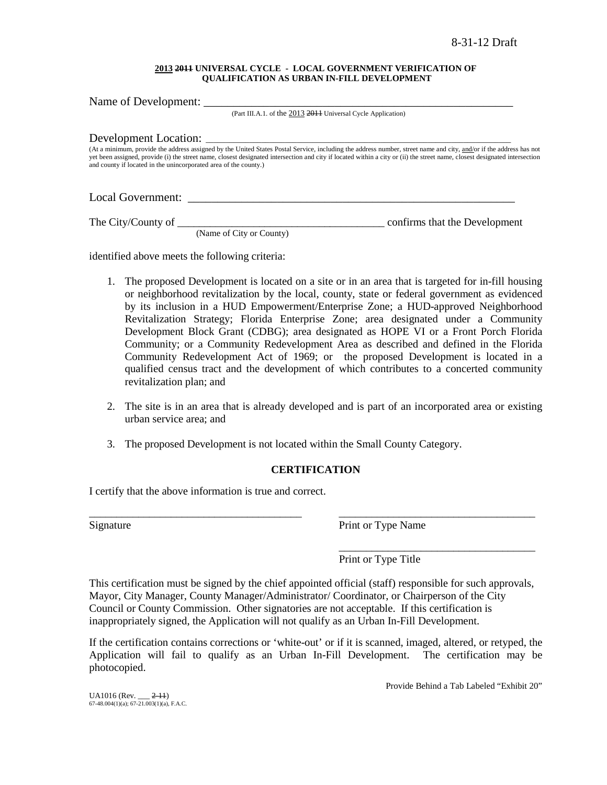#### **2013 2011 UNIVERSAL CYCLE - LOCAL GOVERNMENT VERIFICATION OF QUALIFICATION AS URBAN IN-FILL DEVELOPMENT**

Name of Development: (Part III.A.1. of the 2013 2011 Universal Cycle Application) Development Location: (At a minimum, provide the address assigned by the United States Postal Service, including the address number, street name and city, and/or if the address has not yet been assigned, provide (i) the street name, closest designated intersection and city if located within a city or (ii) the street name, closest designated intersection and county if located in the unincorporated area of the county.) Local Government: \_\_\_\_\_\_\_\_\_\_\_\_\_\_\_\_\_\_\_\_\_\_\_\_\_\_\_\_\_\_\_\_\_\_\_\_\_\_\_\_\_\_\_\_\_\_\_\_\_\_\_\_\_\_\_

The City/County of \_\_\_\_\_\_\_\_\_\_\_\_\_\_\_\_\_\_\_\_\_\_\_\_\_\_\_\_\_\_\_\_\_\_\_\_\_\_ confirms that the Development

(Name of City or County)

identified above meets the following criteria:

- 1. The proposed Development is located on a site or in an area that is targeted for in-fill housing or neighborhood revitalization by the local, county, state or federal government as evidenced by its inclusion in a HUD Empowerment/Enterprise Zone; a HUD-approved Neighborhood Revitalization Strategy; Florida Enterprise Zone; area designated under a Community Development Block Grant (CDBG); area designated as HOPE VI or a Front Porch Florida Community; or a Community Redevelopment Area as described and defined in the Florida Community Redevelopment Act of 1969; or the proposed Development is located in a qualified census tract and the development of which contributes to a concerted community revitalization plan; and
- 2. The site is in an area that is already developed and is part of an incorporated area or existing urban service area; and
- 3. The proposed Development is not located within the Small County Category.

# **CERTIFICATION**

\_\_\_\_\_\_\_\_\_\_\_\_\_\_\_\_\_\_\_\_\_\_\_\_\_\_\_\_\_\_\_\_\_\_\_\_\_\_\_ \_\_\_\_\_\_\_\_\_\_\_\_\_\_\_\_\_\_\_\_\_\_\_\_\_\_\_\_\_\_\_\_\_\_\_\_

I certify that the above information is true and correct.

Signature Print or Type Name

\_\_\_\_\_\_\_\_\_\_\_\_\_\_\_\_\_\_\_\_\_\_\_\_\_\_\_\_\_\_\_\_\_\_\_\_ Print or Type Title

This certification must be signed by the chief appointed official (staff) responsible for such approvals, Mayor, City Manager, County Manager/Administrator/ Coordinator, or Chairperson of the City Council or County Commission. Other signatories are not acceptable. If this certification is inappropriately signed, the Application will not qualify as an Urban In-Fill Development.

If the certification contains corrections or 'white-out' or if it is scanned, imaged, altered, or retyped, the Application will fail to qualify as an Urban In-Fill Development. The certification may be photocopied.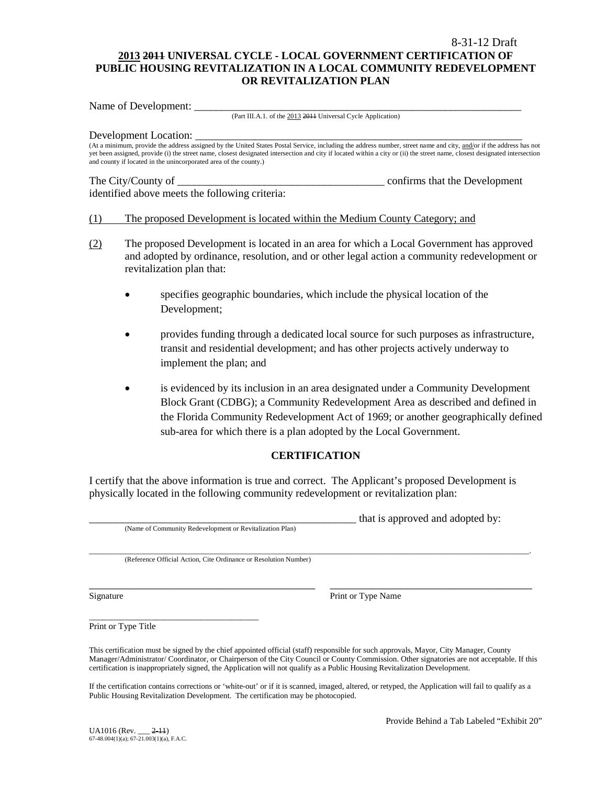# 8-31-12 Draft **2013 2011 UNIVERSAL CYCLE - LOCAL GOVERNMENT CERTIFICATION OF PUBLIC HOUSING REVITALIZATION IN A LOCAL COMMUNITY REDEVELOPMENT OR REVITALIZATION PLAN**

Name of Development:

(Part III.A.1. of the 2013 2011 Universal Cycle Application)

#### Development Location:

(At a minimum, provide the address assigned by the United States Postal Service, including the address number, street name and city, and/or if the address has not yet been assigned, provide (i) the street name, closest designated intersection and city if located within a city or (ii) the street name, closest designated intersection and county if located in the unincorporated area of the county.)

identified above meets the following criteria:

The City/County of \_\_\_\_\_\_\_\_\_\_\_\_\_\_\_\_\_\_\_\_\_\_\_\_\_\_\_\_\_\_\_\_\_\_\_\_\_\_ confirms that the Development

### (1) The proposed Development is located within the Medium County Category; and

- (2) The proposed Development is located in an area for which a Local Government has approved and adopted by ordinance, resolution, and or other legal action a community redevelopment or revitalization plan that:
	- specifies geographic boundaries, which include the physical location of the Development;
	- provides funding through a dedicated local source for such purposes as infrastructure, transit and residential development; and has other projects actively underway to implement the plan; and
	- is evidenced by its inclusion in an area designated under a Community Development Block Grant (CDBG); a Community Redevelopment Area as described and defined in the Florida Community Redevelopment Act of 1969; or another geographically defined sub-area for which there is a plan adopted by the Local Government.

# **CERTIFICATION**

I certify that the above information is true and correct. The Applicant's proposed Development is physically located in the following community redevelopment or revitalization plan:

(Name of Community Redevelopment or Revitalization Plan)

that is approved and adopted by:

\_\_\_\_\_\_\_\_\_\_\_\_\_\_\_\_\_\_\_\_\_\_\_\_\_\_\_\_\_\_\_\_\_\_\_\_\_\_\_\_\_\_\_\_\_\_\_\_\_\_\_\_\_\_\_\_\_\_\_\_\_\_\_\_\_\_\_\_\_\_\_\_\_\_\_\_\_\_\_\_\_\_\_\_\_\_\_\_\_\_\_\_\_\_\_\_\_\_\_\_\_\_\_\_\_\_\_\_\_\_\_. (Reference Official Action, Cite Ordinance or Resolution Number)

Signature Print or Type Name

Print or Type Title

\_\_\_\_\_\_\_\_\_\_\_\_\_\_\_\_\_\_\_\_\_\_\_\_\_\_\_\_\_\_\_\_\_\_\_\_\_\_

This certification must be signed by the chief appointed official (staff) responsible for such approvals, Mayor, City Manager, County Manager/Administrator/ Coordinator, or Chairperson of the City Council or County Commission. Other signatories are not acceptable. If this certification is inappropriately signed, the Application will not qualify as a Public Housing Revitalization Development.

\_\_\_\_\_\_\_\_\_\_\_\_\_\_\_\_\_\_\_\_\_\_\_\_\_\_\_\_\_\_\_\_\_\_\_\_\_\_ \_\_\_\_\_\_\_\_\_\_\_\_\_\_\_\_\_\_\_\_\_\_\_\_\_\_\_\_\_\_\_\_\_\_

If the certification contains corrections or 'white-out' or if it is scanned, imaged, altered, or retyped, the Application will fail to qualify as a Public Housing Revitalization Development. The certification may be photocopied.

Provide Behind a Tab Labeled "Exhibit 20"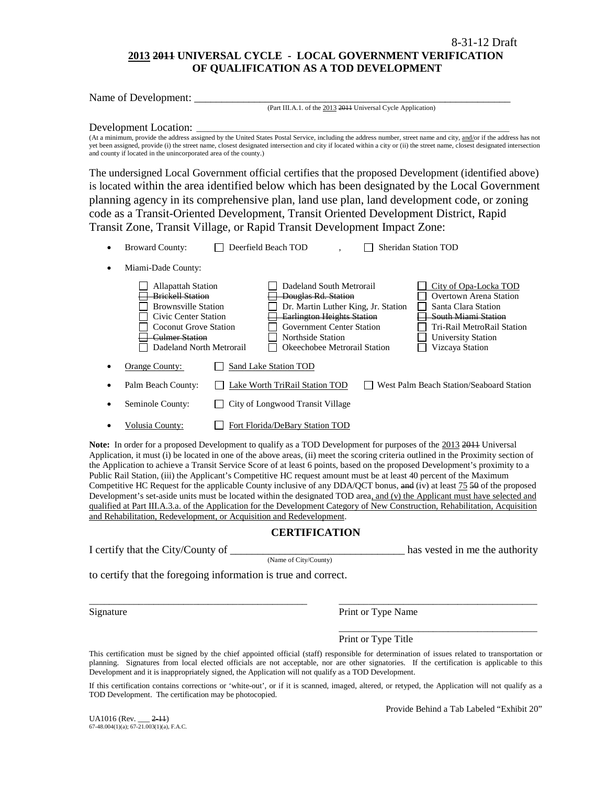# **2013 2011 UNIVERSAL CYCLE - LOCAL GOVERNMENT VERIFICATION OF QUALIFICATION AS A TOD DEVELOPMENT**

| Name of Development:                                                                                                                                                                                                                                                                                                                                                                                                                                                                                                                                                                                   |
|--------------------------------------------------------------------------------------------------------------------------------------------------------------------------------------------------------------------------------------------------------------------------------------------------------------------------------------------------------------------------------------------------------------------------------------------------------------------------------------------------------------------------------------------------------------------------------------------------------|
| (Part III.A.1. of the 2013 2014 Universal Cycle Application)                                                                                                                                                                                                                                                                                                                                                                                                                                                                                                                                           |
| Development Location:<br>(At a minimum, provide the address assigned by the United States Postal Service, including the address number, street name and city, and/or if the address has not<br>yet been assigned, provide (i) the street name, closest designated intersection and city if located within a city or (ii) the street name, closest designated intersection<br>and county if located in the unincorporated area of the county.)                                                                                                                                                          |
| The undersigned Local Government official certifies that the proposed Development (identified above)<br>is located within the area identified below which has been designated by the Local Government                                                                                                                                                                                                                                                                                                                                                                                                  |
| planning agency in its comprehensive plan, land use plan, land development code, or zoning                                                                                                                                                                                                                                                                                                                                                                                                                                                                                                             |
| code as a Transit-Oriented Development, Transit Oriented Development District, Rapid                                                                                                                                                                                                                                                                                                                                                                                                                                                                                                                   |
| Transit Zone, Transit Village, or Rapid Transit Development Impact Zone:                                                                                                                                                                                                                                                                                                                                                                                                                                                                                                                               |
| Deerfield Beach TOD<br><b>Broward County:</b><br><b>Sheridan Station TOD</b>                                                                                                                                                                                                                                                                                                                                                                                                                                                                                                                           |
| Miami-Dade County:<br>$\bullet$                                                                                                                                                                                                                                                                                                                                                                                                                                                                                                                                                                        |
| Dadeland South Metrorail<br><b>Allapattah Station</b><br>City of Opa-Locka TOD<br><b>Brickell Station</b><br>Overtown Arena Station<br>Douglas Rd. Station<br><b>Brownsville Station</b><br>Dr. Martin Luther King, Jr. Station<br>Santa Clara Station<br><b>Earlington Heights Station</b><br>South Miami Station<br>Civic Center Station<br><b>Coconut Grove Station</b><br><b>Government Center Station</b><br>Tri-Rail MetroRail Station<br><b>Culmer Station</b><br>Northside Station<br><b>University Station</b><br>Dadeland North Metrorail<br>Okeechobee Metrorail Station<br>Vizcaya Station |
| <b>Orange County:</b><br>Sand Lake Station TOD                                                                                                                                                                                                                                                                                                                                                                                                                                                                                                                                                         |
| Palm Beach County:<br>West Palm Beach Station/Seaboard Station<br>Lake Worth TriRail Station TOD                                                                                                                                                                                                                                                                                                                                                                                                                                                                                                       |
| City of Longwood Transit Village<br>Seminole County:                                                                                                                                                                                                                                                                                                                                                                                                                                                                                                                                                   |
| Fort Florida/DeBary Station TOD<br>Volusia County:                                                                                                                                                                                                                                                                                                                                                                                                                                                                                                                                                     |

Note: In order for a proposed Development to qualify as a TOD Development for purposes of the 2013 2011 Universal Application, it must (i) be located in one of the above areas, (ii) meet the scoring criteria outlined in the Proximity section of the Application to achieve a Transit Service Score of at least 6 points, based on the proposed Development's proximity to a Public Rail Station, (iii) the Applicant's Competitive HC request amount must be at least 40 percent of the Maximum Competitive HC Request for the applicable County inclusive of any DDA/QCT bonus, and (iv) at least 75 50 of the proposed Development's set-aside units must be located within the designated TOD area, and (v) the Applicant must have selected and qualified at Part III.A.3.a. of the Application for the Development Category of New Construction, Rehabilitation, Acquisition and Rehabilitation, Redevelopment, or Acquisition and Redevelopment.

### **CERTIFICATION**

| I certify that the City/County of |  |
|-----------------------------------|--|
|-----------------------------------|--|

(Name of City/County)

has vested in me the authority

to certify that the foregoing information is true and correct.

Signature Print or Type Name

Print or Type Title

This certification must be signed by the chief appointed official (staff) responsible for determination of issues related to transportation or planning. Signatures from local elected officials are not acceptable, nor are other signatories. If the certification is applicable to this Development and it is inappropriately signed, the Application will not qualify as a TOD Development.

\_\_\_\_\_\_\_\_\_\_\_\_\_\_\_\_\_\_\_\_\_\_\_\_\_\_\_\_\_\_\_\_\_\_\_\_\_\_\_\_\_\_\_\_ \_\_\_\_\_\_\_\_\_\_\_\_\_\_\_\_\_\_\_\_\_\_\_\_\_\_\_\_\_\_\_\_\_\_\_\_\_\_\_\_

If this certification contains corrections or 'white-out', or if it is scanned, imaged, altered, or retyped, the Application will not qualify as a TOD Development. The certification may be photocopied.

 $U_A$ 1016 (Rev.  $2-11$ ) 67-48.004(1)(a); 67-21.003(1)(a), F.A.C. Provide Behind a Tab Labeled "Exhibit 20"

\_\_\_\_\_\_\_\_\_\_\_\_\_\_\_\_\_\_\_\_\_\_\_\_\_\_\_\_\_\_\_\_\_\_\_\_\_\_\_\_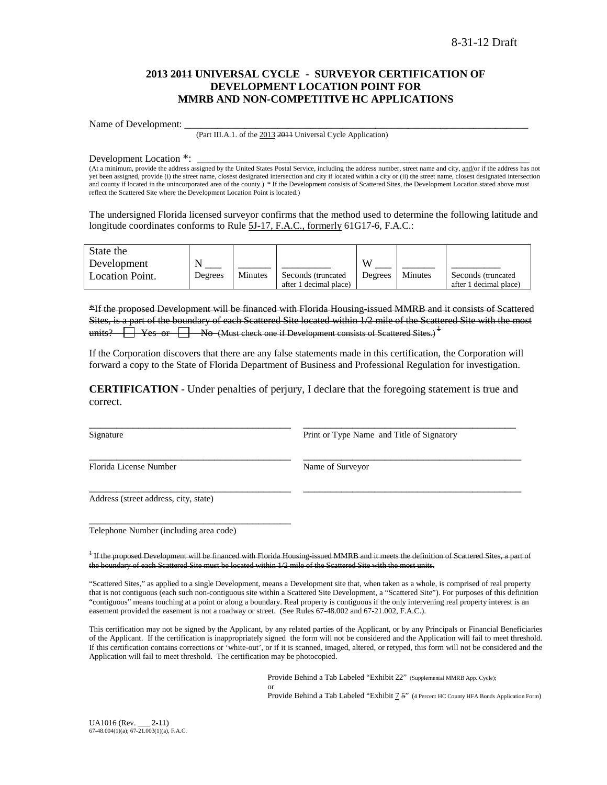### **2013 2011 UNIVERSAL CYCLE - SURVEYOR CERTIFICATION OF DEVELOPMENT LOCATION POINT FOR MMRB AND NON-COMPETITIVE HC APPLICATIONS**

Name of Development:

(Part III.A.1. of the 2013 2011 Universal Cycle Application)

Development Location \*:

(At a minimum, provide the address assigned by the United States Postal Service, including the address number, street name and city, and/or if the address has not yet been assigned, provide (i) the street name, closest designated intersection and city if located within a city or (ii) the street name, closest designated intersection and county if located in the unincorporated area of the county.) \* If the Development consists of Scattered Sites, the Development Location stated above must reflect the Scattered Site where the Development Location Point is located.)

The undersigned Florida licensed surveyor confirms that the method used to determine the following latitude and longitude coordinates conforms to Rule 5J-17, F.A.C., formerly 61G17-6, F.A.C.:

| State the              |         |         |                        |         |         |                        |
|------------------------|---------|---------|------------------------|---------|---------|------------------------|
| Development            |         |         |                        | VY.     |         |                        |
| <b>Location Point.</b> | Degrees | Minutes | Seconds (truncated)    | Degrees | Minutes | Seconds (truncated)    |
|                        |         |         | after 1 decimal place) |         |         | after 1 decimal place) |

\*If the proposed Development will be financed with Florida Housing-issued MMRB and it consists of Scattered Sites, is a part of the boundary of each Scattered Site located within 1/2 mile of the Scattered Site with the most units?  $\Box$  Yes or  $\Box$  No (Must check one if Development consists of Scattered Sites.)<sup> $\pm$ </sup>

If the Corporation discovers that there are any false statements made in this certification, the Corporation will forward a copy to the State of Florida Department of Business and Professional Regulation for investigation.

**CERTIFICATION** - Under penalties of perjury, I declare that the foregoing statement is true and correct.

\_\_\_\_\_\_\_\_\_\_\_\_\_\_\_\_\_\_\_\_\_\_\_\_\_\_\_\_\_\_\_\_\_\_\_\_\_ \_\_\_\_\_\_\_\_\_\_\_\_\_\_\_\_\_\_\_\_\_\_\_\_\_\_\_\_\_\_\_\_\_\_\_\_\_\_\_\_

\_\_\_\_\_\_\_\_\_\_\_\_\_\_\_\_\_\_\_\_\_\_\_\_\_\_\_\_\_\_\_\_\_\_\_\_\_ \_\_\_\_\_\_\_\_\_\_\_\_\_\_\_\_\_\_\_\_\_\_\_\_\_\_\_\_\_\_\_\_\_\_\_\_\_\_\_\_

\_\_\_\_\_\_\_\_\_\_\_\_\_\_\_\_\_\_\_\_\_\_\_\_\_\_\_\_\_\_\_\_\_\_\_\_\_ \_\_\_\_\_\_\_\_\_\_\_\_\_\_\_\_\_\_\_\_\_\_\_\_\_\_\_\_\_\_\_\_\_\_\_\_\_\_\_ Signature **Print or Type Name and Title of Signatory** Print or Type Name and Title of Signatory

Florida License Number Name of Surveyor

Address (street address, city, state)

Telephone Number (including area code)

\_\_\_\_\_\_\_\_\_\_\_\_\_\_\_\_\_\_\_\_\_\_\_\_\_\_\_\_\_\_\_\_\_\_\_\_\_

<sup>1</sup> If the proposed Development will be financed with Florida Housing-issued MMRB and it r the boundary of each Scattered Site must be located within 1/2 mile of the Scattered Site with the most units.

"Scattered Sites," as applied to a single Development, means a Development site that, when taken as a whole, is comprised of real property that is not contiguous (each such non-contiguous site within a Scattered Site Development, a "Scattered Site"). For purposes of this definition "contiguous" means touching at a point or along a boundary. Real property is contiguous if the only intervening real property interest is an easement provided the easement is not a roadway or street. (See Rules 67-48.002 and 67-21.002, F.A.C.).

This certification may not be signed by the Applicant, by any related parties of the Applicant, or by any Principals or Financial Beneficiaries of the Applicant. If the certification is inappropriately signed the form will not be considered and the Application will fail to meet threshold. If this certification contains corrections or 'white-out', or if it is scanned, imaged, altered, or retyped, this form will not be considered and the Application will fail to meet threshold. The certification may be photocopied.

or

Provide Behind a Tab Labeled "Exhibit 22" (Supplemental MMRB App. Cycle);

Provide Behind a Tab Labeled "Exhibit  $7.5$ " (4 Percent HC County HFA Bonds Application Form)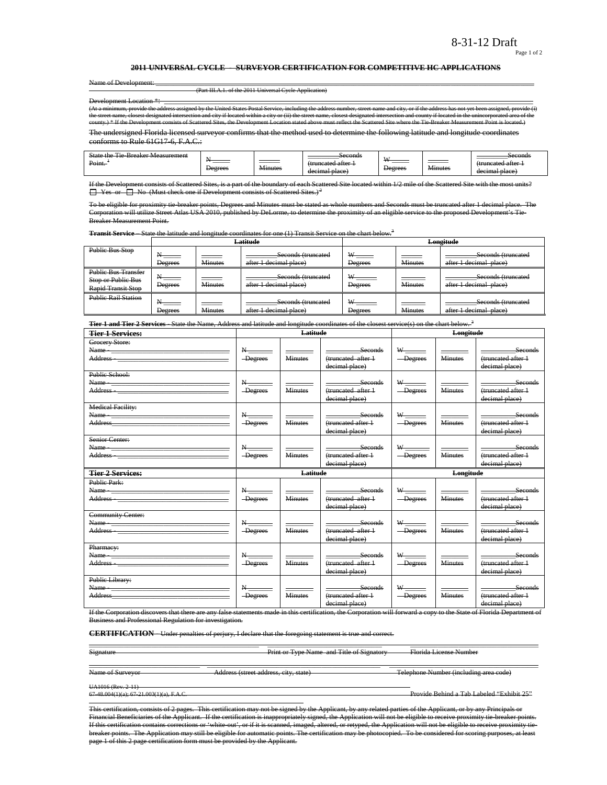Page 1 of 2

#### **2011 UNIVERSAL CYCLE - SURVEYOR CERTIFICATION FOR COMPETITIVE HC APPLICATIONS**

|  | Name of Developp           |  |
|--|----------------------------|--|
|  | <del>Name of Develop</del> |  |

Name of Development: \_\_\_\_\_\_\_\_\_\_\_\_\_\_\_\_\_\_\_\_\_\_\_\_\_\_\_\_\_\_\_\_\_\_\_\_\_\_\_\_\_\_\_\_\_\_\_\_\_\_\_\_\_\_\_\_\_\_\_\_\_\_\_\_\_\_\_\_\_\_\_\_\_\_\_\_\_\_\_\_\_\_\_\_\_\_\_\_\_\_\_\_\_\_\_\_\_\_\_\_\_\_\_\_\_\_\_\_\_ (Part III.A.1. of the 2011 Universal Cycle Application)

Development Location \*\* provide the address assigned by the United States Postal Service, including the address number, street<br>closest designated intersection and city if located within a city or (ii) the street name, closest designate the street name, closest designated intersection and city, or if the address has not yet been assignated in the street anne, closest designated intersection and county if located are the unincorporated by the unit related county.<br>2d Sites, the Development L

The undersigned Florida licensed surveyor confirms that the method used to determine the following latitude and longitude coordinates conforms to Rule 61G17-6, F.A.C.:

| ---<br>State<br><b>Measurement</b><br>sreaker<br>۰ι۵<br>--<br>Point. | $\overline{\phantom{a}}$<br>______<br>Degrees | _______<br><b>Minutes</b> | Seconds<br>fruncated atter<br><del></del><br>decimal place | <b>TY</b><br><del>Degrees</del> | <b>Minutes</b> | Seconds<br>(truncatad attar<br>decimal place |
|----------------------------------------------------------------------|-----------------------------------------------|---------------------------|------------------------------------------------------------|---------------------------------|----------------|----------------------------------------------|
|----------------------------------------------------------------------|-----------------------------------------------|---------------------------|------------------------------------------------------------|---------------------------------|----------------|----------------------------------------------|

ists of Scattered Sites, is a part of the boundary of each Scattered Site located within 1/2 mile of the Scattered Site with the  $\Box$  Yes or  $\Box$  No (Must check one if Development consists of Scattered Sites.)<sup>2</sup>

To be eligible for proximity tie-breaker points, Degrees and Minutes must be stated as whole numbers and Seconds must be truncated after 1 decimal place. The Corporation will utilize Street Atlas USA 2010, published by DeLorme, to determine the proximity of an eligible service to the proposed Development's Tie-Breaker Measurement Point.

**Transit Service** – State the latitude and longitude coordinates for one (1) Transit Service on the chart below.<sup>3</sup>

|                                                                        |                                             |                                  | Latitude                                     | Longitude                             |                |                                              |  |
|------------------------------------------------------------------------|---------------------------------------------|----------------------------------|----------------------------------------------|---------------------------------------|----------------|----------------------------------------------|--|
| <b>Public Bus Stop</b>                                                 | <b>Degrees</b>                              | <u>a matsa</u><br><b>Minutes</b> | Seconds (truncated<br>after 1 decimal place) | $^{w}$ $=$<br><b>Degrees</b>          | <b>Minutes</b> | Seconds (truncated<br>after 1 decimal place) |  |
| <b>Public Bus Transfer</b><br>Stop or Public Bus<br>Rapid Transit Stop | Degrees                                     | Minutes                          | Seconds (truncated<br>after 1 decimal place) | W-<br>$\frac{1}{2}$<br><b>Degrees</b> | <b>Minutes</b> | Seconds (truncated<br>after 1 decimal place) |  |
| <b>Public Rail Station</b>                                             | $\mathbf{R}_{\text{max}}$<br><b>Degrees</b> | <b>Minutes</b>                   | Seconds (truncated<br>after 1 decimal place) | W<br><b>Degrees</b>                   | <b>Minutes</b> | Seconds (truncated<br>after 1 decimal place) |  |

**Tier 1 and Tier 2 Services** - State the Name, Address and latitude and longitude coordinates of the closest service(s) on the chart below. <sup>3</sup>

| <b>Tier 1 Services:</b>                                                                                                                                                                                                                                                                                                                                           | Latitude                                            |                         |                                                        | Longitude                             |                         |                                                                |
|-------------------------------------------------------------------------------------------------------------------------------------------------------------------------------------------------------------------------------------------------------------------------------------------------------------------------------------------------------------------|-----------------------------------------------------|-------------------------|--------------------------------------------------------|---------------------------------------|-------------------------|----------------------------------------------------------------|
| Grocery Store:<br>Name - Name - Name - Name - Name - Name - Name - Name - Name - Name - Name - Name - Name - Name - Name - Name - Name - Name - Name - Name - Name - Name - Name - Name - Name - Name - Name - Name - Name - Name - Name - Name<br>Address - The Committee of the Committee of the Committee of the Committee of the Committee of the Committee o | $\rm N_{\rm \, max}$<br>-Degrees                    | <b>Minutes</b>          | Seconds<br>(truncated after 1<br>decimal place)        | -Degrees                              | <b>Minutes</b>          | Seconds<br>(truncated after 1<br>decimal place)                |
| Public School:                                                                                                                                                                                                                                                                                                                                                    | $N_{\overline{}}$<br>-Degrees                       | Minutes                 | <b>Seconds</b><br>(truncated after 1<br>decimal place) | $W$ <sub>-----</sub><br>-Degrees      | <b>Minutes</b>          | <b>Seconds</b><br>(truncated after 1<br>decimal place)         |
| <b>Medical Facility:</b>                                                                                                                                                                                                                                                                                                                                          | $N_{-}$<br>-Degrees                                 | <b>Minutes</b>          | Seconds<br>(truncated after +<br>decimal place)        | $\mathbf{w}_{\text{max}}$<br>-Degrees | <b>Minutes</b>          | Seconds<br>(truncated after 1<br>decimal place)                |
| Senior Center:                                                                                                                                                                                                                                                                                                                                                    | $\mathbf{N}_{\text{max}}$<br>-Degrees               | <b>Minutes</b>          | Seconds<br>(truncated after 1<br>decimal place)        | W <sub>1</sub><br>-Degrees            | <b>Minutes</b>          | Seconds<br>(truncated after 1<br>decimal place)                |
|                                                                                                                                                                                                                                                                                                                                                                   |                                                     |                         |                                                        |                                       |                         |                                                                |
| <b>Tier 2 Services:</b>                                                                                                                                                                                                                                                                                                                                           |                                                     | <b>Latitude</b>         |                                                        |                                       | Longitude               |                                                                |
| <b>Public Park:</b><br>Address - The Commission of the Commission of the Commission of the Commission of the Commission of the Commission of the Commission of the Commission of the Commission of the Commission of the Commission of the Commission                                                                                                             | $\mathbf{N}_{\text{max}}$<br>-Degrees               | _____<br><b>Minutes</b> | Seconds<br>(truncated after 1<br>decimal place)        | -Degrees                              | _____<br><b>Minutes</b> | seconds<br>(truncated after 1<br>decimal place)                |
| <b>Community Center:</b>                                                                                                                                                                                                                                                                                                                                          | $N_{\overline{\phantom{a}}}\phantom{a}$<br>-Degrees | <b>Minutes</b>          | <b>Seconds</b><br>(truncated after 1<br>decimal place) | $W$ <sub>_______</sub><br>-Degrees    | <b>Minutes</b>          | _______________Seconds<br>(truncated after 1<br>decimal place) |
| Pharmacy:<br>Name - The Commission of the Commission of the Commission of the Commission of the Commission of the Commission of the Commission of the Commission of the Commission of the Commission of the Commission of the Commission of<br>Public Library:                                                                                                    | N<br>-Degrees                                       | <b>Minutes</b>          | Seconds<br>(truncated after 1<br>decimal place)        | -Degrees                              | <b>Minutes</b>          | Seconds<br>(truncated after 1<br>decimal place)                |

If the Corporation discovers that there are any false statements made in this certification, the Corporation will forward a copy to the State of Florida Department of<br>Business and Professional Regulation for investigation .<br>and Professional Regulation for investigation.

\_\_\_\_\_\_\_\_\_\_\_\_\_\_\_\_\_\_\_\_\_\_\_\_\_\_\_\_\_\_\_\_\_\_\_\_\_\_\_\_\_\_\_\_\_\_\_\_\_ \_\_\_\_\_\_\_\_\_\_\_\_\_\_\_\_\_\_\_\_\_\_\_\_\_\_\_\_\_\_\_\_\_ \_\_\_\_\_\_\_\_\_\_\_\_\_\_\_\_\_\_\_\_\_\_\_\_\_\_\_\_\_\_\_\_\_\_\_\_\_

**CERTIFICATION** - Under penalties of perjury, I declare that the foregoing statement is true and correct.

Signature **Print or Type Name and Title of Signatory** Florida License Number

\_\_\_\_\_\_\_\_\_\_\_\_\_\_\_\_\_\_\_\_\_\_\_\_\_\_\_\_\_\_\_\_ \_\_\_\_\_\_\_\_\_\_\_\_\_\_\_\_\_\_\_\_\_\_\_\_\_\_\_\_\_\_\_\_\_\_\_\_\_\_\_\_\_\_\_\_\_\_\_\_\_\_ \_\_\_\_\_\_\_\_\_\_\_\_\_\_\_\_\_\_\_\_\_\_\_\_\_\_\_\_\_\_\_\_\_\_\_\_\_\_\_\_\_\_\_ Name of Surveyor Address (street address, city, state) Telephone Number (including area code)

UA1016 (Rev. 2-11)<br>67-48.004(1)(a); 67-21.003(1)(a), F.A.C.

Provide Behind a Tab Labeled "Exhibit 25"

This certification, consists of 2 pages. This certification may not be signed by the Applicant, by any related parties of the Applicant, or by any Principals or Financial Beneficiaries of the Applicant. If the certification is inappropriately signed, the Application will not be eligible to receive proximity tie-breaker points.<br>If this certification contains corrections or 'white-o ed, imaged, altered, or retyped, the Application will not be eligible to receive proximity tiebreaker points. The Application may still be eligible for automatic points. The certification may be photocopied. To be considered for scoring purposes, at least page 1 of this 2 page certification form must be provided by the Applicant.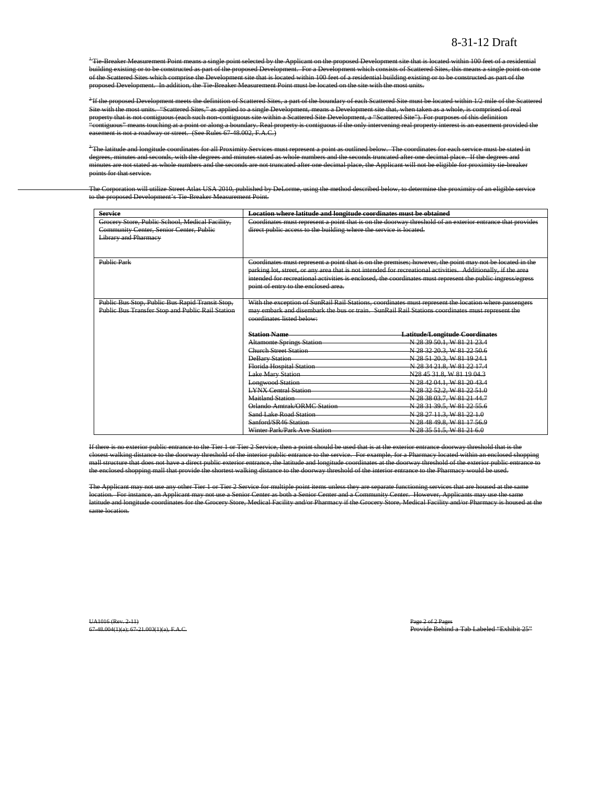<sup>+</sup>Tie-Breaker Measurement Point means a single point selected by the Applicant on the proposed Development site that is located within 100 feet of a residential building existing or to be constructed as part of the proposed Development. For a Development which consists of Scattered Sites, this means a single point on one of the Scattered Sites which comprise the Development site that is located within 100 feet of a residential building existing or to be constructed as part of the proposed Development. In addition, the Tie-Breaker Measurement Point must be located on the site with the most units.

<sup>2</sup>If the proposed Development meets the definition of Scattered Sites, a part of the boundary of each Scattered Site must be located within 1/2 mile of the Scattered Site with the most units. "Scattered Sites," as applied to a single Development, means a Development site that, when taken as a whole, is comprised of real property that is not contiguous (each such non-contiguous site within a Scattered Site Development, a "Scattered Site"). For purposes of this definition "contiguous" means touching at a point or along a boundary. Real property is contiguous if the only intervening real property interest is an easement provided the ent is not a roadway or street. (See Rules 67-48.002, F.A.C.)

 $^3$ The latitude and longitude coordinates for all Proximity Services must represent a point as outlined below. The coordinates for each service must be stated in degrees, minutes and seconds, with the degrees and minutes stated as whole numbers and the seconds truncated after one decimal place. If the degrees and minutes are not stated as whole numbers and the seconds are not truncated after one decimal place, the Applicant will not be eligible for proximity tie-breaker points for that service.

The Corporation will utilize Street Atlas USA 2010, published by DeLorme, using the method described below, to determine the proximity of an eligible service to the proposed Development's Tie-Breaker Measurement Point.

| <b>Service</b>                                                                             | Location where latitude and longitude coordinates must be obtained |                                                                                                              |  |  |  |  |  |
|--------------------------------------------------------------------------------------------|--------------------------------------------------------------------|--------------------------------------------------------------------------------------------------------------|--|--|--|--|--|
| Grocery Store, Public School, Medical Facility,<br>Community Center, Senior Center, Public | direct public access to the building where the service is located. | Coordinates must represent a point that is on the doorway threshold of an exterior entrance that provides    |  |  |  |  |  |
| <b>Library and Pharmacy</b>                                                                |                                                                    |                                                                                                              |  |  |  |  |  |
|                                                                                            |                                                                    |                                                                                                              |  |  |  |  |  |
|                                                                                            |                                                                    |                                                                                                              |  |  |  |  |  |
| <b>Public Park</b>                                                                         |                                                                    | Coordinates must represent a point that is on the premises; however, the point may not be located in the     |  |  |  |  |  |
|                                                                                            |                                                                    | parking lot, street, or any area that is not intended for recreational activities. Additionally, if the area |  |  |  |  |  |
|                                                                                            |                                                                    | intended for recreational activities is enclosed, the coordinates must represent the public ingress/egress   |  |  |  |  |  |
|                                                                                            | point of entry to the enclosed area.                               |                                                                                                              |  |  |  |  |  |
| Public Bus Stop, Public Bus Rapid Transit Stop,                                            |                                                                    | With the exception of SunRail Rail Stations, coordinates must represent the location where passengers        |  |  |  |  |  |
| Public Bus Transfer Stop and Public Rail Station                                           |                                                                    | may embark and disembark the bus or train. SunRail Rail Stations coordinates must represent the              |  |  |  |  |  |
|                                                                                            | coordinates listed below:                                          |                                                                                                              |  |  |  |  |  |
|                                                                                            |                                                                    |                                                                                                              |  |  |  |  |  |
|                                                                                            | <b>Station Name</b>                                                | <b>Latitude/Longitude Coordinates</b>                                                                        |  |  |  |  |  |
|                                                                                            | <b>Altamonte Springs Station</b>                                   | N 28 39 50.1, W 81 21 23.4                                                                                   |  |  |  |  |  |
|                                                                                            | Church Street Station                                              | N 28 32 20 3, W 81 22 50.6                                                                                   |  |  |  |  |  |
|                                                                                            | <b>DeBary Station</b>                                              | N 28 51 20.3, W 81 19 24.1                                                                                   |  |  |  |  |  |
|                                                                                            | Florida Hospital Station                                           | N 28 34 21.8, W 81 22 17.4                                                                                   |  |  |  |  |  |
|                                                                                            | <b>Lake Mary Station</b>                                           | N28 45 31.8, W 81 19 04.3                                                                                    |  |  |  |  |  |
|                                                                                            | <b>Longwood Station</b>                                            | N 28 42 04.1, W 81 20 43.4                                                                                   |  |  |  |  |  |
|                                                                                            | <b>LYNX Central Station</b>                                        | N 28 32 52.2, W 81 22 51.0                                                                                   |  |  |  |  |  |
|                                                                                            | Maitland Station                                                   | N 28 38 03.7, W 81 21 44.7                                                                                   |  |  |  |  |  |
|                                                                                            | Orlando Amtrak/ORMC Station                                        | N 28 31 39.5, W 81 22 55.6                                                                                   |  |  |  |  |  |
|                                                                                            | <b>Sand Lake Road Station</b>                                      | N 28 27 11.3, W 81 22 1.0                                                                                    |  |  |  |  |  |
|                                                                                            | Sanford/SR46 Station                                               | N 28 48 49 8, W 81 17 56 9                                                                                   |  |  |  |  |  |
|                                                                                            | Winter Park/Park Ave Station                                       | N 28 35 51.5, W 81 21 6.0                                                                                    |  |  |  |  |  |

If there is no exterior public entrance to the Tier 1 or Tier 2 Service, then a point should be used that is at the exterior entrance doorway threshold that is the closest walking distance to the doorway threshold of the interior public entrance to the service. For example, for a Pharmacy located within an enclosed shopping mall structure that does not have a direct public exterior entrance, the latitude and longitude coordinates at the doorway threshold of the exterior public entranc the enclosed shopping mall that provide the shortest walking distance to the doorway threshold of the interior entrance to the Pharmacy would be used.

The Applicant may not use any other Tier 1 or Tier 2 Service for multiple point items unless they are separate functioning services that are housed at the same location. For instance, an Applicant may not use a Senior Center as both a Senior Center and a Community Center. However, Applicants may use the same latitude and longitude coordinates for the Grocery Store, Medical Facility and/or Pharmacy if the Grocery Store, Medical Facility and/or Pharmacy is housed at the same location.

UA1016 (Rev. 2-11)<br>67-48.004(1)(a); 67-21.003(1)(a), F.A.C. Provide Behind a Tab Labeled "Exhibit 25"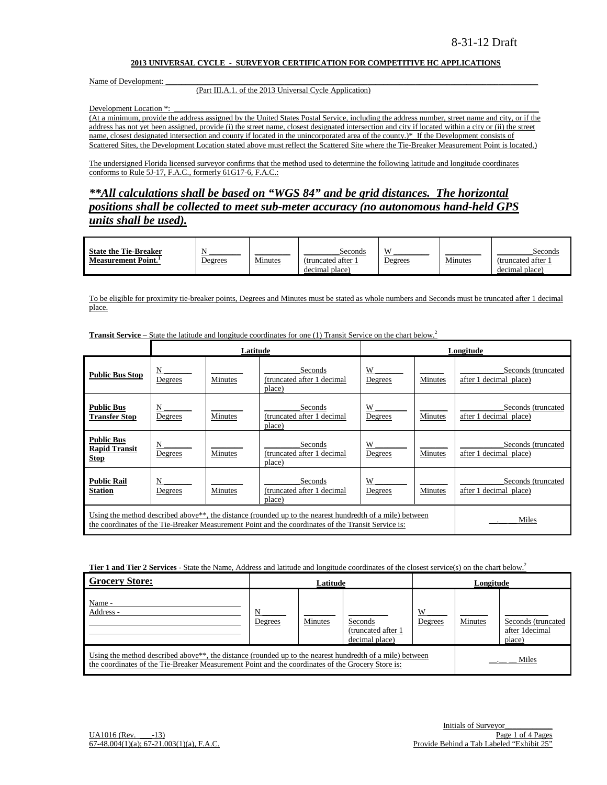#### **2013 UNIVERSAL CYCLE - SURVEYOR CERTIFICATION FOR COMPETITIVE HC APPLICATIONS**

Name of Development:

### (Part III.A.1. of the 2013 Universal Cycle Application)

Development Location \*:

(At a minimum, provide the address assigned by the United States Postal Service, including the address number, street name and city, or if the address has not yet been assigned, provide (i) the street name, closest designated intersection and city if located within a city or (ii) the street name, closest designated intersection and county if located in the unincorporated area of the county.)\* If the Development consists of Scattered Sites, the Development Location stated above must reflect the Scattered Site where the Tie-Breaker Measurement Point is located.)

The undersigned Florida licensed surveyor confirms that the method used to determine the following latitude and longitude coordinates conforms to Rule 5J-17, F.A.C., formerly 61G17-6, F.A.C.:

*\*\*All calculations shall be based on "WGS 84" and be grid distances. The horizontal positions shall be collected to meet sub-meter accuracy (no autonomous hand-held GPS units shall be used).*

| <b>State the Tie-Breaker</b> |         |         | Seconds           | X              |         | Seconds           |
|------------------------------|---------|---------|-------------------|----------------|---------|-------------------|
| <b>Measurement Point.</b>    | Degrees | Minutes | (truncated after) | <u>Jegrees</u> | Minutes | (truncated after) |
|                              |         |         | decimal place)    |                |         | decimal place)    |

To be eligible for proximity tie-breaker points, Degrees and Minutes must be stated as whole numbers and Seconds must be truncated after 1 decimal place.

|                                                          |                                                                                                                                                                                                                                       | Latitude |                                                 | Longitude    |                |                                              |  |  |
|----------------------------------------------------------|---------------------------------------------------------------------------------------------------------------------------------------------------------------------------------------------------------------------------------------|----------|-------------------------------------------------|--------------|----------------|----------------------------------------------|--|--|
| <b>Public Bus Stop</b>                                   | N<br>Degrees                                                                                                                                                                                                                          | Minutes  | Seconds<br>(truncated after 1 decimal<br>place) | W<br>Degrees | Minutes        | Seconds (truncated<br>after 1 decimal place) |  |  |
| <b>Public Bus</b><br><b>Transfer Stop</b>                | N<br>Degrees                                                                                                                                                                                                                          | Minutes  | Seconds<br>(truncated after 1 decimal<br>place) | W<br>Degrees | <b>Minutes</b> | Seconds (truncated<br>after 1 decimal place) |  |  |
| <b>Public Bus</b><br><b>Rapid Transit</b><br><b>Stop</b> | N<br>Degrees                                                                                                                                                                                                                          | Minutes  | Seconds<br>(truncated after 1 decimal<br>place) | W<br>Degrees | Minutes        | Seconds (truncated<br>after 1 decimal place) |  |  |
| <b>Public Rail</b><br><b>Station</b>                     | N<br>Degrees                                                                                                                                                                                                                          | Minutes  | Seconds<br>(truncated after 1 decimal<br>place) | W<br>Degrees | Minutes        | Seconds (truncated<br>after 1 decimal place) |  |  |
|                                                          | Using the method described above <sup>**</sup> , the distance (rounded up to the nearest hundredth of a mile) between<br>Miles<br>the coordinates of the Tie-Breaker Measurement Point and the coordinates of the Transit Service is: |          |                                                 |              |                |                                              |  |  |

**Transit Service –** State the latitude and longitude coordinates for one (1) Transit Service on the chart below.<sup>2</sup>

**Tier 1 and Tier 2 Services** - State the Name, Address and latitude and longitude coordinates of the closest service(s) on the chart below.<sup>2</sup>

| <b>Grocery Store:</b>                                                                                                                                                                                                      | Latitude     |         |                                                  | Longitude    |         |                                                |
|----------------------------------------------------------------------------------------------------------------------------------------------------------------------------------------------------------------------------|--------------|---------|--------------------------------------------------|--------------|---------|------------------------------------------------|
| Name -<br>Address -                                                                                                                                                                                                        | N<br>Degrees | Minutes | Seconds<br>(truncated after 1)<br>decimal place) | W<br>Degrees | Minutes | Seconds (truncated<br>after 1decimal<br>place) |
| Using the method described above <sup>**</sup> , the distance (rounded up to the nearest hundredth of a mile) between<br>the coordinates of the Tie-Breaker Measurement Point and the coordinates of the Grocery Store is: |              |         |                                                  |              |         | Miles                                          |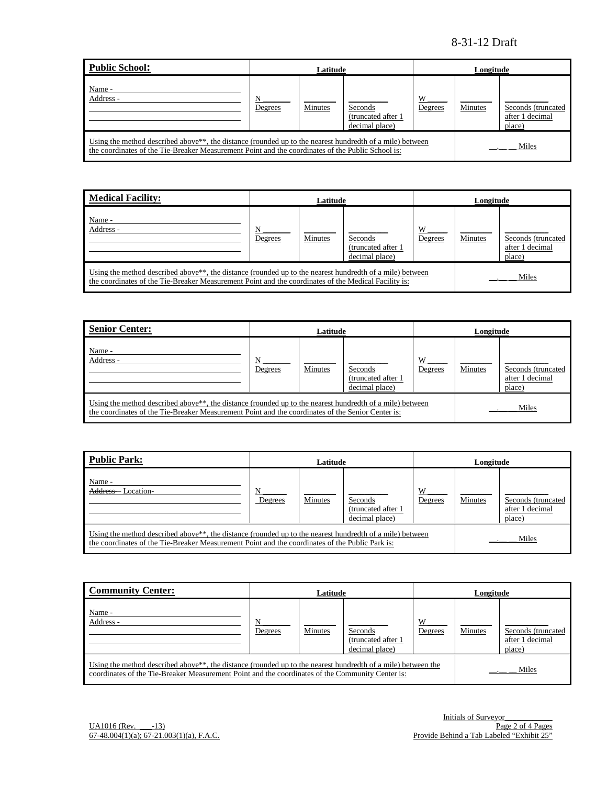| Public School:                                                                                                                                                                                                             | Latitude     |         |                                                 |              | Longitude |                                                 |  |
|----------------------------------------------------------------------------------------------------------------------------------------------------------------------------------------------------------------------------|--------------|---------|-------------------------------------------------|--------------|-----------|-------------------------------------------------|--|
| Name -<br>Address -                                                                                                                                                                                                        | N<br>Degrees | Minutes | Seconds<br>(truncated after 1<br>decimal place) | W<br>Degrees | Minutes   | Seconds (truncated<br>after 1 decimal<br>place) |  |
| Using the method described above <sup>**</sup> , the distance (rounded up to the nearest hundredth of a mile) between<br>the coordinates of the Tie-Breaker Measurement Point and the coordinates of the Public School is: |              |         |                                                 |              |           | Miles                                           |  |

| <b>Medical Facility:</b>                                                                                                                                                                                                      | Latitude     |         |                                                  |              | Longitude |                                                 |  |
|-------------------------------------------------------------------------------------------------------------------------------------------------------------------------------------------------------------------------------|--------------|---------|--------------------------------------------------|--------------|-----------|-------------------------------------------------|--|
| Name -<br>Address -                                                                                                                                                                                                           | N<br>Degrees | Minutes | Seconds<br>(truncated after 1)<br>decimal place) | W<br>Degrees | Minutes   | Seconds (truncated<br>after 1 decimal<br>place) |  |
| Using the method described above <sup>**</sup> , the distance (rounded up to the nearest hundredth of a mile) between<br>the coordinates of the Tie-Breaker Measurement Point and the coordinates of the Medical Facility is: |              |         |                                                  |              |           | Miles                                           |  |

| <b>Senior Center:</b>                                                                                                                                                                                                      | Latitude     |                |                                                  | Longitude    |         |                                                 |
|----------------------------------------------------------------------------------------------------------------------------------------------------------------------------------------------------------------------------|--------------|----------------|--------------------------------------------------|--------------|---------|-------------------------------------------------|
| Name -<br>Address -                                                                                                                                                                                                        | N<br>Degrees | <b>Minutes</b> | Seconds<br>(truncated after 1)<br>decimal place) | W<br>Degrees | Minutes | Seconds (truncated<br>after 1 decimal<br>place) |
| Using the method described above <sup>**</sup> , the distance (rounded up to the nearest hundredth of a mile) between<br>the coordinates of the Tie-Breaker Measurement Point and the coordinates of the Senior Center is: |              |                |                                                  |              |         | Miles                                           |

| Public Park:                                                                                                                                                                                                             | Latitude     |         |                                                 | Longitude    |         |                                                 |
|--------------------------------------------------------------------------------------------------------------------------------------------------------------------------------------------------------------------------|--------------|---------|-------------------------------------------------|--------------|---------|-------------------------------------------------|
| Name -<br>Address-<br>Location-                                                                                                                                                                                          | N<br>Degrees | Minutes | Seconds<br>(truncated after 1<br>decimal place) | W<br>Degrees | Minutes | Seconds (truncated<br>after 1 decimal<br>place) |
| Using the method described above <sup>**</sup> , the distance (rounded up to the nearest hundredth of a mile) between<br>the coordinates of the Tie-Breaker Measurement Point and the coordinates of the Public Park is: |              |         |                                                 |              |         | Miles                                           |

| <b>Community Center:</b>                                                                                                                                                                                                      | Latitude     |         |                                                         | Longitude    |         |                                                 |
|-------------------------------------------------------------------------------------------------------------------------------------------------------------------------------------------------------------------------------|--------------|---------|---------------------------------------------------------|--------------|---------|-------------------------------------------------|
| Name -<br>Address -                                                                                                                                                                                                           | N<br>Degrees | Minutes | <b>Seconds</b><br>(truncated after 1)<br>decimal place) | W<br>Degrees | Minutes | Seconds (truncated<br>after 1 decimal<br>place) |
| Using the method described above <sup>**</sup> , the distance (rounded up to the nearest hundredth of a mile) between the<br>coordinates of the Tie-Breaker Measurement Point and the coordinates of the Community Center is: |              |         |                                                         |              |         | Miles                                           |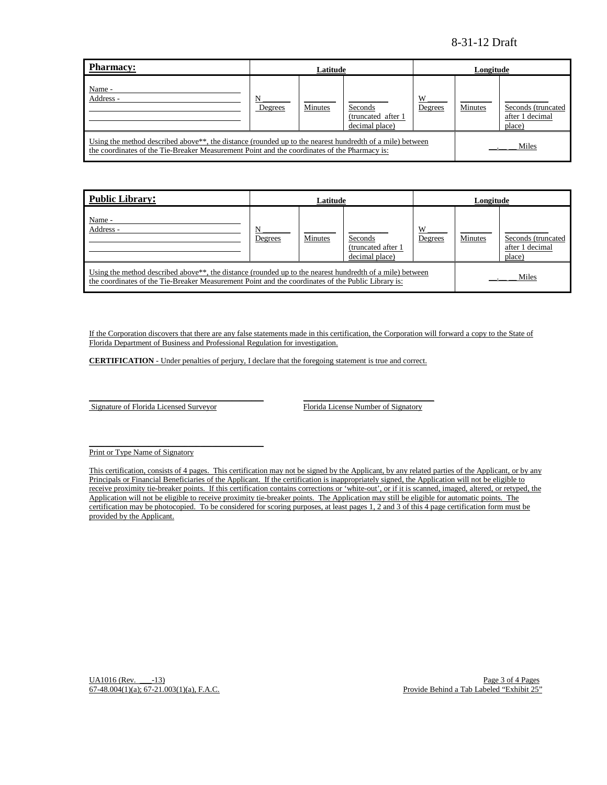| <b>Pharmacy:</b>                                                                                                                                                                                                               | Latitude     |         |                                                  | Longitude    |         |                                                 |
|--------------------------------------------------------------------------------------------------------------------------------------------------------------------------------------------------------------------------------|--------------|---------|--------------------------------------------------|--------------|---------|-------------------------------------------------|
| Name -<br>Address -                                                                                                                                                                                                            | N<br>Degrees | Minutes | Seconds<br>(truncated after 1)<br>decimal place) | W<br>Degrees | Minutes | Seconds (truncated<br>after 1 decimal<br>place) |
| Using the method described above <sup>**</sup> , the distance (rounded up to the nearest hundredth of a mile) between<br>Miles<br>the coordinates of the Tie-Breaker Measurement Point and the coordinates of the Pharmacy is: |              |         |                                                  |              |         |                                                 |

| Public Library:                                                                                                                                                                                                                      |              | Latitude       |                                                  | Longitude    |         |                                                 |
|--------------------------------------------------------------------------------------------------------------------------------------------------------------------------------------------------------------------------------------|--------------|----------------|--------------------------------------------------|--------------|---------|-------------------------------------------------|
| Name -<br>Address -                                                                                                                                                                                                                  | N<br>Degrees | <b>Minutes</b> | Seconds<br>(truncated after 1)<br>decimal place) | W<br>Degrees | Minutes | Seconds (truncated<br>after 1 decimal<br>place) |
| Using the method described above <sup>**</sup> , the distance (rounded up to the nearest hundredth of a mile) between<br>Miles<br>the coordinates of the Tie-Breaker Measurement Point and the coordinates of the Public Library is: |              |                |                                                  |              |         |                                                 |

If the Corporation discovers that there are any false statements made in this certification, the Corporation will forward a copy to the State of Florida Department of Business and Professional Regulation for investigation.

**CERTIFICATION** - Under penalties of perjury, I declare that the foregoing statement is true and correct.

Signature of Florida Licensed Surveyor Florida License Number of Signatory

 $\mathcal{L} = \{ \mathcal{L}^{\mathcal{L}} \mathcal{L}^{\mathcal{L}} \mathcal{L}^{\mathcal{L}} \mathcal{L}^{\mathcal{L}} \mathcal{L}^{\mathcal{L}} \mathcal{L}^{\mathcal{L}} \mathcal{L}^{\mathcal{L}} \mathcal{L}^{\mathcal{L}} \mathcal{L}^{\mathcal{L}} \mathcal{L}^{\mathcal{L}} \mathcal{L}^{\mathcal{L}} \mathcal{L}^{\mathcal{L}} \mathcal{L}^{\mathcal{L}} \mathcal{L}^{\mathcal{L}} \mathcal{L}^{\mathcal{L}} \mathcal{L}^{\mathcal{L}} \mathcal$ 

\_\_\_\_\_\_\_\_\_\_\_\_\_\_\_\_\_\_\_\_\_\_\_\_\_\_\_\_\_\_\_\_\_\_\_\_\_\_\_\_\_\_\_\_ \_\_\_\_\_\_\_\_\_\_\_\_\_\_\_\_\_\_\_\_\_\_\_\_\_\_\_\_\_\_\_\_\_

Print or Type Name of Signatory

This certification, consists of 4 pages. This certification may not be signed by the Applicant, by any related parties of the Applicant, or by any Principals or Financial Beneficiaries of the Applicant. If the certification is inappropriately signed, the Application will not be eligible to receive proximity tie-breaker points. If this certification contains corrections or 'white-out', or if it is scanned, imaged, altered, or retyped, the Application will not be eligible to receive proximity tie-breaker points. The Application may still be eligible for automatic points. The certification may be photocopied. To be considered for scoring purposes, at least pages 1, 2 and 3 of this 4 page certification form must be provided by the Applicant.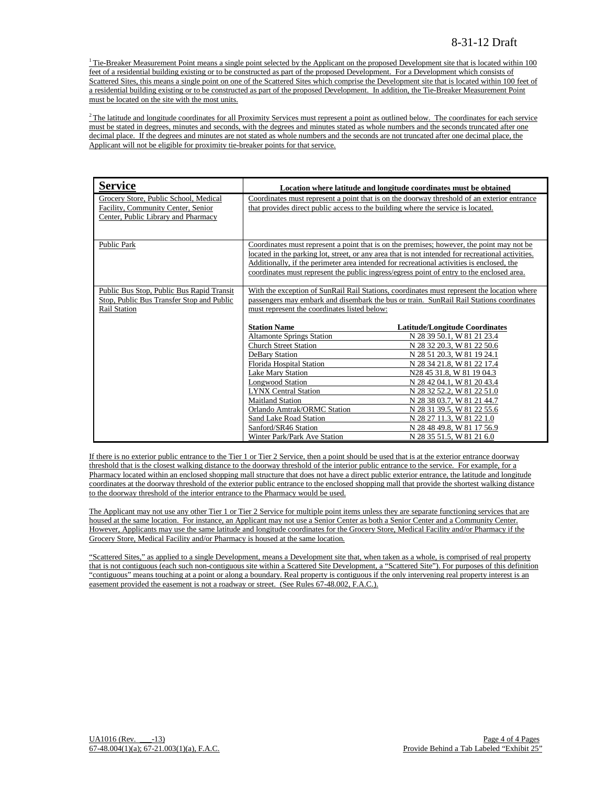$1$ <sup>1</sup> Tie-Breaker Measurement Point means a single point selected by the Applicant on the proposed Development site that is located within 100 feet of a residential building existing or to be constructed as part of the proposed Development. For a Development which consists of Scattered Sites, this means a single point on one of the Scattered Sites which comprise the Development site that is located within 100 feet of a residential building existing or to be constructed as part of the proposed Development. In addition, the Tie-Breaker Measurement Point must be located on the site with the most units.

 $2$ The latitude and longitude coordinates for all Proximity Services must represent a point as outlined below. The coordinates for each service must be stated in degrees, minutes and seconds, with the degrees and minutes stated as whole numbers and the seconds truncated after one decimal place. If the degrees and minutes are not stated as whole numbers and the seconds are not truncated after one decimal place, the Applicant will not be eligible for proximity tie-breaker points for that service.

| <b>Service</b>                                                                                                     |                                                                                                                                                                                                                                                                                                                                                                         | Location where latitude and longitude coordinates must be obtained                                                                                                                                                                                                                                                                                                                                         |
|--------------------------------------------------------------------------------------------------------------------|-------------------------------------------------------------------------------------------------------------------------------------------------------------------------------------------------------------------------------------------------------------------------------------------------------------------------------------------------------------------------|------------------------------------------------------------------------------------------------------------------------------------------------------------------------------------------------------------------------------------------------------------------------------------------------------------------------------------------------------------------------------------------------------------|
| Grocery Store, Public School, Medical<br>Facility, Community Center, Senior<br>Center, Public Library and Pharmacy | that provides direct public access to the building where the service is located.                                                                                                                                                                                                                                                                                        | Coordinates must represent a point that is on the doorway threshold of an exterior entrance                                                                                                                                                                                                                                                                                                                |
| <b>Public Park</b>                                                                                                 | Additionally, if the perimeter area intended for recreational activities is enclosed, the<br>coordinates must represent the public ingress/egress point of entry to the enclosed area.                                                                                                                                                                                  | Coordinates must represent a point that is on the premises; however, the point may not be<br>located in the parking lot, street, or any area that is not intended for recreational activities.                                                                                                                                                                                                             |
| Public Bus Stop, Public Bus Rapid Transit<br>Stop, Public Bus Transfer Stop and Public<br><b>Rail Station</b>      | must represent the coordinates listed below:                                                                                                                                                                                                                                                                                                                            | With the exception of SunRail Rail Stations, coordinates must represent the location where<br>passengers may embark and disembark the bus or train. SunRail Rail Stations coordinates                                                                                                                                                                                                                      |
|                                                                                                                    | <b>Station Name</b><br><b>Altamonte Springs Station</b><br><b>Church Street Station</b><br>DeBary Station<br>Florida Hospital Station<br><b>Lake Mary Station</b><br><b>Longwood Station</b><br><b>LYNX Central Station</b><br><b>Maitland Station</b><br>Orlando Amtrak/ORMC Station<br>Sand Lake Road Station<br>Sanford/SR46 Station<br>Winter Park/Park Ave Station | <b>Latitude/Longitude Coordinates</b><br>N 28 39 50.1, W 81 21 23.4<br>N 28 32 20.3, W 81 22 50.6<br>N 28 51 20.3, W 81 19 24.1<br>N 28 34 21.8, W 81 22 17.4<br>N28 45 31.8, W 81 19 04.3<br>N 28 42 04.1, W 81 20 43.4<br>N 28 32 52.2, W 81 22 51.0<br>N 28 38 03.7, W 81 21 44.7<br>N 28 31 39.5, W 81 22 55.6<br>N 28 27 11.3, W 81 22 1.0<br>N 28 48 49.8, W 81 17 56.9<br>N 28 35 51.5, W 81 21 6.0 |

If there is no exterior public entrance to the Tier 1 or Tier 2 Service, then a point should be used that is at the exterior entrance doorway threshold that is the closest walking distance to the doorway threshold of the interior public entrance to the service. For example, for a Pharmacy located within an enclosed shopping mall structure that does not have a direct public exterior entrance, the latitude and longitude coordinates at the doorway threshold of the exterior public entrance to the enclosed shopping mall that provide the shortest walking distance to the doorway threshold of the interior entrance to the Pharmacy would be used.

The Applicant may not use any other Tier 1 or Tier 2 Service for multiple point items unless they are separate functioning services that are housed at the same location. For instance, an Applicant may not use a Senior Center as both a Senior Center and a Community Center. However, Applicants may use the same latitude and longitude coordinates for the Grocery Store, Medical Facility and/or Pharmacy if the Grocery Store, Medical Facility and/or Pharmacy is housed at the same location.

"Scattered Sites," as applied to a single Development, means a Development site that, when taken as a whole, is comprised of real property that is not contiguous (each such non-contiguous site within a Scattered Site Development, a "Scattered Site"). For purposes of this definition "contiguous" means touching at a point or along a boundary. Real property is contiguous if the only intervening real property interest is an easement provided the easement is not a roadway or street. (See Rules 67-48.002, F.A.C.).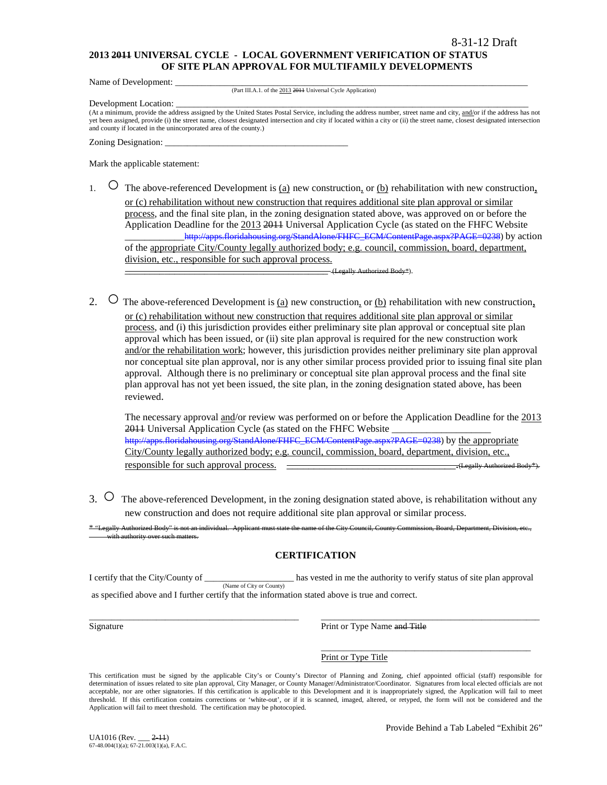### **2013 2011 UNIVERSAL CYCLE - LOCAL GOVERNMENT VERIFICATION OF STATUS OF SITE PLAN APPROVAL FOR MULTIFAMILY DEVELOPMENTS**

Name of Development:

(Part III.A.1. of the 2013 2011 Universal Cycle Application)

Development Location:

(At a minimum, provide the address assigned by the United States Postal Service, including the address number, street name and city, and/or if the address has not yet been assigned, provide (i) the street name, closest designated intersection and city if located within a city or (ii) the street name, closest designated intersection and county if located in the unincorporated area of the county.)

Zoning Designation:

Mark the applicable statement:

1.  $\circ$  The above-referenced Development is <u>(a)</u> new construction, or <u>(b)</u> rehabilitation with new construction, or (c) rehabilitation without new construction that requires additional site plan approval or similar process, and the final site plan, in the zoning designation stated above, was approved on or before the Application Deadline for the 2013 2011 Universal Application Cycle (as stated on the FHFC Website \_\_\_\_\_\_\_\_\_\_\_[\\_http://apps.floridahousing.org/StandAlone/FHFC\\_ECM/ContentPage.aspx?PAGE=0238\)](http://apps.floridahousing.org/StandAlone/FHFC_ECM/ContentPage.aspx?PAGE=0238) by action of the appropriate City/County legally authorized body; e.g. council, commission, board, department, division, etc., responsible for such approval process.

\_\_\_\_\_\_\_\_\_\_\_\_\_\_\_\_\_\_\_\_\_\_\_\_\_\_\_\_\_\_\_\_\_\_\_\_\_\_\_\_\_ (Legally Authorized Body\*).

2.  $\circ$  The above-referenced Development is (a) new construction, or (b) rehabilitation with new construction, or (c) rehabilitation without new construction that requires additional site plan approval or similar process, and (i) this jurisdiction provides either preliminary site plan approval or conceptual site plan approval which has been issued, or (ii) site plan approval is required for the new construction work and/or the rehabilitation work; however, this jurisdiction provides neither preliminary site plan approval nor conceptual site plan approval, nor is any other similar process provided prior to issuing final site plan approval. Although there is no preliminary or conceptual site plan approval process and the final site plan approval has not yet been issued, the site plan, in the zoning designation stated above, has been reviewed.

The necessary approval and/or review was performed on or before the Application Deadline for the 2013 2011 Universal Application Cycle (as stated on the FHFC Website [http://apps.floridahousing.org/StandAlone/FHFC\\_ECM/ContentPage.aspx?PAGE=0238\)](http://apps.floridahousing.org/StandAlone/FHFC_ECM/ContentPage.aspx?PAGE=0238) by the appropriate City/County legally authorized body; e.g. council, commission, board, department, division, etc., responsible for such approval process. \_\_\_\_\_\_\_\_\_\_\_\_\_\_\_\_\_\_\_\_\_\_\_\_\_\_\_\_\_\_\_.(Legally Authorized Body\*).

3. ○ The above-referenced Development, in the zoning designation stated above, is rehabilitation without any new construction and does not require additional site plan approval or similar process.

"Legally Authorized Body" is not an individual. Applicant must state the name of the City Council, County Council, and the Division, Board, Department, Department, Division, Board, Department, Division, etc.,, and the Unit ith authority over

# **CERTIFICATION**

I certify that the City/County of \_\_\_\_\_\_\_\_\_\_\_\_\_\_\_\_\_\_\_\_ has vested in me the authority to verify status of site plan approval (Name of City or County) as specified above and I further certify that the information stated above is true and correct.

\_\_\_\_\_\_\_\_\_\_\_\_\_\_\_\_\_\_\_\_\_\_\_\_\_\_\_\_\_\_\_\_\_\_\_\_\_\_\_\_\_\_\_\_\_\_\_ \_\_\_\_\_\_\_\_\_\_\_\_\_\_\_\_\_\_\_\_\_\_\_\_\_\_\_\_\_\_\_\_\_\_\_\_\_\_\_\_\_\_\_\_\_\_\_\_\_ Signature **Print or Type Name and Title** 

> \_\_\_\_\_\_\_\_\_\_\_\_\_\_\_\_\_\_\_\_\_\_\_\_\_\_\_\_\_\_\_\_\_\_\_\_\_\_\_\_\_\_\_\_\_\_\_ Print or Type Title

This certification must be signed by the applicable City's or County's Director of Planning and Zoning, chief appointed official (staff) responsible for determination of issues related to site plan approval, City Manager, or County Manager/Administrator/Coordinator. Signatures from local elected officials are not acceptable, nor are other signatories. If this certification is applicable to this Development and it is inappropriately signed, the Application will fail to meet threshold. If this certification contains corrections or 'white-out', or if it is scanned, imaged, altered, or retyped, the form will not be considered and the Application will fail to meet threshold. The certification may be photocopied.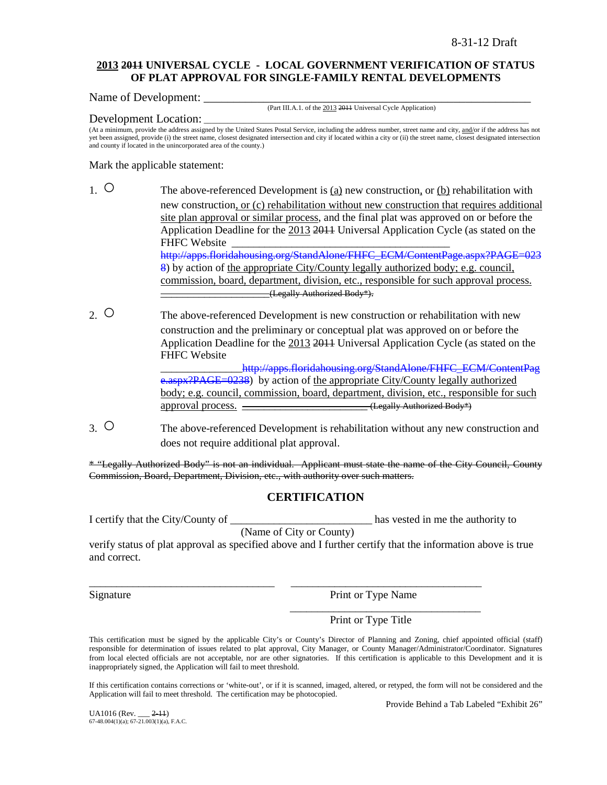### **2013 2011 UNIVERSAL CYCLE - LOCAL GOVERNMENT VERIFICATION OF STATUS OF PLAT APPROVAL FOR SINGLE-FAMILY RENTAL DEVELOPMENTS**

Name of Development:

(Part III.A.1. of the 2013 2011 Universal Cycle Application)

### Development Location:

(At a minimum, provide the address assigned by the United States Postal Service, including the address number, street name and city, and/or if the address has not yet been assigned, provide (i) the street name, closest designated intersection and city if located within a city or (ii) the street name, closest designated intersection and county if located in the unincorporated area of the county.)

Mark the applicable statement:

- 1. The above-referenced Development is (a) new construction, or (b) rehabilitation with new construction, or (c) rehabilitation without new construction that requires additional site plan approval or similar process, and the final plat was approved on or before the Application Deadline for the 2013 2011 Universal Application Cycle (as stated on the FHFC Website [http://apps.floridahousing.org/StandAlone/FHFC\\_ECM/ContentPage.aspx?PAGE=023](http://apps.floridahousing.org/StandAlone/FHFC_ECM/ContentPage.aspx?PAGE=0238) [8\)](http://apps.floridahousing.org/StandAlone/FHFC_ECM/ContentPage.aspx?PAGE=0238) by action of the appropriate City/County legally authorized body; e.g. council, commission, board, department, division, etc., responsible for such approval process. \_\_\_\_\_\_\_\_\_\_\_\_\_\_\_\_\_\_\_\_(Legally Authorized Body\*).
- 2. O The above-referenced Development is new construction or rehabilitation with new construction and the preliminary or conceptual plat was approved on or before the Application Deadline for the 2013 2011 Universal Application Cycle (as stated on the FHFC Website http://apps.floridahousing.org/StandAlone/FHFC\_ECM/ContentPag

[e.aspx?PAGE=0238\)](http://apps.floridahousing.org/StandAlone/FHFC_ECM/ContentPage.aspx?PAGE=0238) by action of the appropriate City/County legally authorized body; e.g. council, commission, board, department, division, etc., responsible for such approval process.  $\overline{\qquad \qquad }$  (Legally Authorized Body\*)

3. ○ The above-referenced Development is rehabilitation without any new construction and does not require additional plat approval.

\* "Legally Authorized Body" is not an individual. Applicant must state the name of the City Council, County Commission, Board, Department, Division, etc., with authority over such matters.

# **CERTIFICATION**

I certify that the City/County of \_\_\_\_\_\_\_\_\_\_\_\_\_\_\_\_\_\_\_\_\_\_\_\_\_\_ has vested in me the authority to

(Name of City or County)

\_\_\_\_\_\_\_\_\_\_\_\_\_\_\_\_\_\_\_\_\_\_\_\_\_\_\_\_\_\_\_\_\_\_ \_\_\_\_\_\_\_\_\_\_\_\_\_\_\_\_\_\_\_\_\_\_\_\_\_\_\_\_\_\_\_\_\_\_\_

verify status of plat approval as specified above and I further certify that the information above is true and correct.

Signature Print or Type Name

\_\_\_\_\_\_\_\_\_\_\_\_\_\_\_\_\_\_\_\_\_\_\_\_\_\_\_\_\_\_\_\_\_\_\_

Print or Type Title

This certification must be signed by the applicable City's or County's Director of Planning and Zoning, chief appointed official (staff) responsible for determination of issues related to plat approval, City Manager, or County Manager/Administrator/Coordinator. Signatures from local elected officials are not acceptable, nor are other signatories. If this certification is applicable to this Development and it is inappropriately signed, the Application will fail to meet threshold.

If this certification contains corrections or 'white-out', or if it is scanned, imaged, altered, or retyped, the form will not be considered and the Application will fail to meet threshold. The certification may be photocopied.

Provide Behind a Tab Labeled "Exhibit 26"

UA1016 (Rev. \_\_\_ 2-11) 67-48.004(1)(a); 67-21.003(1)(a), F.A.C.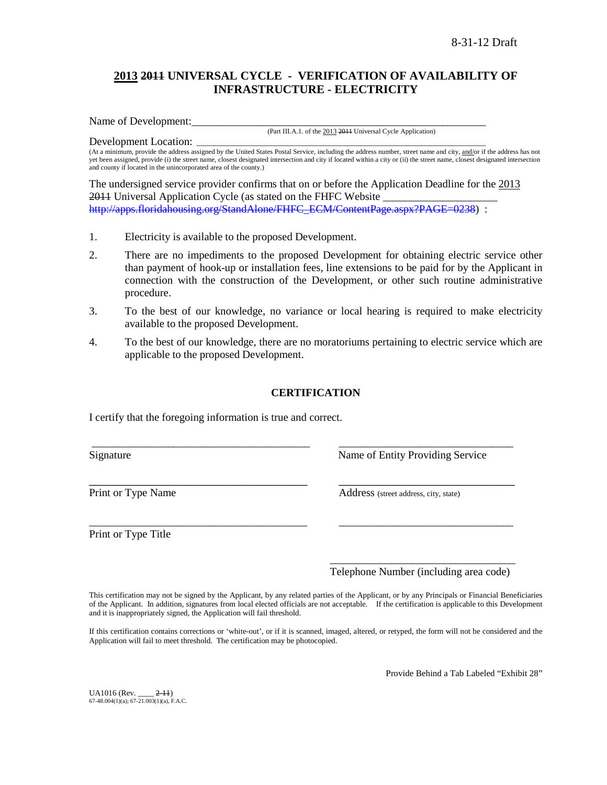# **2013 2011 UNIVERSAL CYCLE - VERIFICATION OF AVAILABILITY OF INFRASTRUCTURE - ELECTRICITY**

Name of Development:

(Part III.A.1. of the 2013 2011 Universal Cycle Application)

Development Location: (At a minimum, provide the address assigned by the United States Postal Service, including the address number, street name and city, and/or if the address has not yet been assigned, provide (i) the street name, closest designated intersection and city if located within a city or (ii) the street name, closest designated intersection and county if located in the unincorporated area of the county.)

The undersigned service provider confirms that on or before the Application Deadline for the 2013 2011 Universal Application Cycle (as stated on the FHFC Website [http://apps.floridahousing.org/StandAlone/FHFC\\_ECM/ContentPage.aspx?PAGE=0238\)](http://apps.floridahousing.org/StandAlone/FHFC_ECM/ContentPage.aspx?PAGE=0238) :

- 1. Electricity is available to the proposed Development.
- 2. There are no impediments to the proposed Development for obtaining electric service other than payment of hook-up or installation fees, line extensions to be paid for by the Applicant in connection with the construction of the Development, or other such routine administrative procedure.
- 3. To the best of our knowledge, no variance or local hearing is required to make electricity available to the proposed Development.
- 4. To the best of our knowledge, there are no moratoriums pertaining to electric service which are applicable to the proposed Development.

# **CERTIFICATION**

\_\_\_\_\_\_\_\_\_\_\_\_\_\_\_\_\_\_\_\_\_\_\_\_\_\_\_\_\_\_\_\_\_\_\_\_\_\_\_\_ \_\_\_\_\_\_\_\_\_\_\_\_\_\_\_\_\_\_\_\_\_\_\_\_\_\_\_\_\_\_\_\_

\_\_\_\_\_\_\_\_\_\_\_\_\_\_\_\_\_\_\_\_\_\_\_\_\_\_\_\_\_\_\_\_\_\_\_\_\_\_\_\_ \_\_\_\_\_\_\_\_\_\_\_\_\_\_\_\_\_\_\_\_\_\_\_\_\_\_\_\_\_\_\_\_

I certify that the foregoing information is true and correct.

Signature Name of Entity Providing Service

Print or Type Name Address (street address, city, state)

Print or Type Title

\_\_\_\_\_\_\_\_\_\_\_\_\_\_\_\_\_\_\_\_\_\_\_\_\_\_\_\_\_\_\_\_\_\_ Telephone Number (including area code)

This certification may not be signed by the Applicant, by any related parties of the Applicant, or by any Principals or Financial Beneficiaries of the Applicant. In addition, signatures from local elected officials are not acceptable. If the certification is applicable to this Development and it is inappropriately signed, the Application will fail threshold.

If this certification contains corrections or 'white-out', or if it is scanned, imaged, altered, or retyped, the form will not be considered and the Application will fail to meet threshold. The certification may be photocopied.

Provide Behind a Tab Labeled "Exhibit 28"

UA1016 (Rev. \_\_\_\_ 2-11)  $67-48.004(1)(a)$ ;  $67-21.003(1)(a)$ , F.A.C.

\_\_\_\_\_\_\_\_\_\_\_\_\_\_\_\_\_\_\_\_\_\_\_\_\_\_\_\_\_\_\_\_\_\_\_\_ \_\_\_\_\_\_\_\_\_\_\_\_\_\_\_\_\_\_\_\_\_\_\_\_\_\_\_\_\_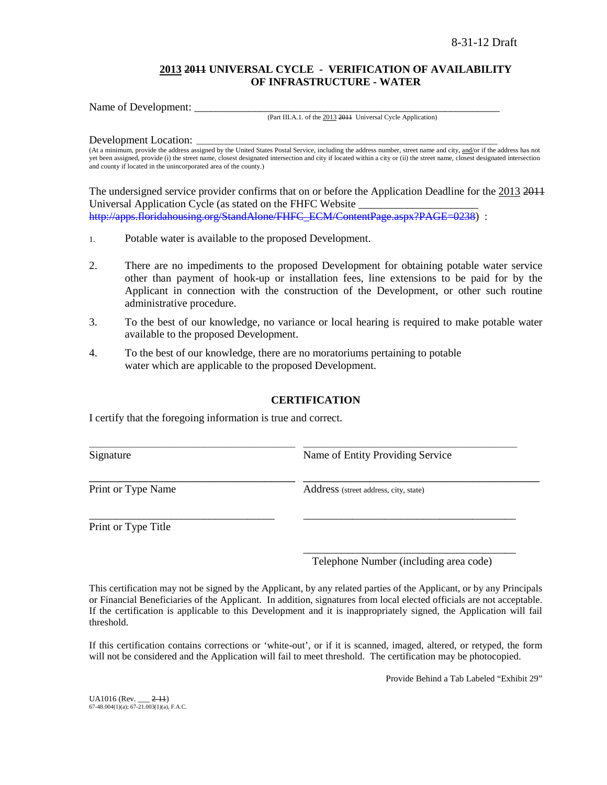# **2013 2011 UNIVERSAL CYCLE - VERIFICATION OF AVAILABILITY OF INFRASTRUCTURE - WATER**

Name of Development:

#### (Part III.A.1. of the 2013 2011 Universal Cycle Application)

Development Location:

(At a minimum, provide the address assigned by the United States Postal Service, including the address number, street name and city, and/or if the address has not yet been assigned, provide (i) the street name, closest designated intersection and city if located within a city or (ii) the street name, closest designated intersection and county if located in the unincorporated area of the county.)

The undersigned service provider confirms that on or before the Application Deadline for the 2013 2011 Universal Application Cycle (as stated on the FHFC Website \_\_\_\_\_\_\_\_\_\_\_\_\_\_\_\_\_\_\_\_\_\_ [http://apps.floridahousing.org/StandAlone/FHFC\\_ECM/ContentPage.aspx?PAGE=0238\)](http://apps.floridahousing.org/StandAlone/FHFC_ECM/ContentPage.aspx?PAGE=0238) :

- 1. Potable water is available to the proposed Development.
- 2. There are no impediments to the proposed Development for obtaining potable water service other than payment of hook-up or installation fees, line extensions to be paid for by the Applicant in connection with the construction of the Development, or other such routine administrative procedure.
- 3. To the best of our knowledge, no variance or local hearing is required to make potable water available to the proposed Development.
- 4. To the best of our knowledge, there are no moratoriums pertaining to potable water which are applicable to the proposed Development.

### **CERTIFICATION**

I certify that the foregoing information is true and correct.

| Signature          | Name of Entity Providing Service      |
|--------------------|---------------------------------------|
| Print or Type Name | Address (street address, city, state) |
|                    |                                       |

Print or Type Title

\_\_\_\_\_\_\_\_\_\_\_\_\_\_\_\_\_\_\_\_\_\_\_\_\_\_\_\_\_\_\_\_\_\_\_\_\_\_\_ Telephone Number (including area code)

This certification may not be signed by the Applicant, by any related parties of the Applicant, or by any Principals or Financial Beneficiaries of the Applicant. In addition, signatures from local elected officials are not acceptable. If the certification is applicable to this Development and it is inappropriately signed, the Application will fail threshold.

If this certification contains corrections or 'white-out', or if it is scanned, imaged, altered, or retyped, the form will not be considered and the Application will fail to meet threshold. The certification may be photocopied.

Provide Behind a Tab Labeled "Exhibit 29"

UA1016 (Rev. \_\_\_ 2-11) 67-48.004(1)(a); 67-21.003(1)(a), F.A.C.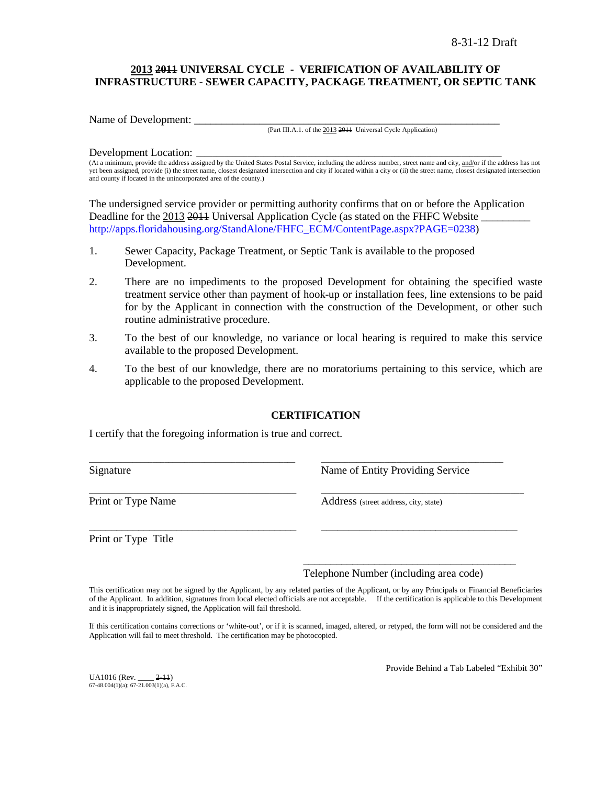# **2013 2011 UNIVERSAL CYCLE - VERIFICATION OF AVAILABILITY OF INFRASTRUCTURE - SEWER CAPACITY, PACKAGE TREATMENT, OR SEPTIC TANK**

Name of Development:

(Part III.A.1. of the 2013 2011 Universal Cycle Application)

#### Development Location:

(At a minimum, provide the address assigned by the United States Postal Service, including the address number, street name and city, and/or if the address has not yet been assigned, provide (i) the street name, closest designated intersection and city if located within a city or (ii) the street name, closest designated intersection and county if located in the unincorporated area of the county.)

The undersigned service provider or permitting authority confirms that on or before the Application Deadline for the 2013 2014 Universal Application Cycle (as stated on the FHFC Website [http://apps.floridahousing.org/StandAlone/FHFC\\_ECM/ContentPage.aspx?PAGE=0238\)](http://apps.floridahousing.org/StandAlone/FHFC_ECM/ContentPage.aspx?PAGE=0238)

- 1. Sewer Capacity, Package Treatment, or Septic Tank is available to the proposed Development.
- 2. There are no impediments to the proposed Development for obtaining the specified waste treatment service other than payment of hook-up or installation fees, line extensions to be paid for by the Applicant in connection with the construction of the Development, or other such routine administrative procedure.
- 3. To the best of our knowledge, no variance or local hearing is required to make this service available to the proposed Development.
- 4. To the best of our knowledge, there are no moratoriums pertaining to this service, which are applicable to the proposed Development.

# **CERTIFICATION**

\_\_\_\_\_\_\_\_\_\_\_\_\_\_\_\_\_\_\_\_\_\_\_\_\_\_\_\_\_\_\_\_\_\_\_\_\_\_\_\_\_\_\_\_\_\_\_\_\_\_\_\_ \_\_\_\_\_\_\_\_\_\_\_\_\_\_\_\_\_\_\_\_\_\_\_\_\_\_\_\_\_\_\_\_\_\_\_\_\_\_\_\_\_\_\_\_\_\_

\_\_\_\_\_\_\_\_\_\_\_\_\_\_\_\_\_\_\_\_\_\_\_\_\_\_\_\_\_\_\_\_\_\_\_\_\_\_\_\_\_\_\_\_\_\_\_ \_\_\_\_\_\_\_\_\_\_\_\_\_\_\_\_\_\_\_\_\_\_\_\_\_\_\_\_\_\_\_\_\_\_\_\_\_\_\_\_\_\_\_\_\_\_

\_\_\_\_\_\_\_\_\_\_\_\_\_\_\_\_\_\_\_\_\_\_\_\_\_\_\_\_\_\_\_\_\_\_\_\_\_\_ \_\_\_\_\_\_\_\_\_\_\_\_\_\_\_\_\_\_\_\_\_\_\_\_\_\_\_\_\_\_\_\_\_\_\_\_

I certify that the foregoing information is true and correct.

Signature **Name of Entity Providing Service** Research Name of Entity Providing Service

Print or Type Name Address (street address, city, state)

Print or Type Title

Telephone Number (including area code)

\_\_\_\_\_\_\_\_\_\_\_\_\_\_\_\_\_\_\_\_\_\_\_\_\_\_\_\_\_\_\_\_\_\_\_\_\_\_\_

This certification may not be signed by the Applicant, by any related parties of the Applicant, or by any Principals or Financial Beneficiaries of the Applicant. In addition, signatures from local elected officials are not acceptable. If the certification is applicable to this Development and it is inappropriately signed, the Application will fail threshold.

If this certification contains corrections or 'white-out', or if it is scanned, imaged, altered, or retyped, the form will not be considered and the Application will fail to meet threshold. The certification may be photocopied.

 $UA1016$  (Rev.  $2-11$ )  $67-48.004(1)(a)$ ;  $67-21.003(1)(a)$ , F.A.C. Provide Behind a Tab Labeled "Exhibit 30"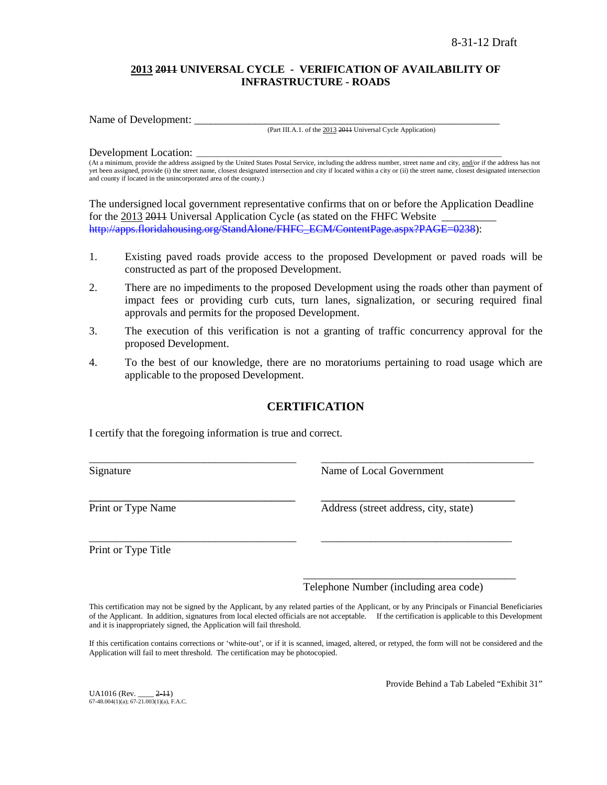# **2013 2011 UNIVERSAL CYCLE - VERIFICATION OF AVAILABILITY OF INFRASTRUCTURE - ROADS**

Name of Development:

(Part III.A.1. of the 2013 2011 Universal Cycle Application)

#### Development Location:

(At a minimum, provide the address assigned by the United States Postal Service, including the address number, street name and city, and/or if the address has not yet been assigned, provide (i) the street name, closest designated intersection and city if located within a city or (ii) the street name, closest designated intersection and county if located in the unincorporated area of the county.)

The undersigned local government representative confirms that on or before the Application Deadline for the 2013 2014 Universal Application Cycle (as stated on the FHFC Website [http://apps.floridahousing.org/StandAlone/FHFC\\_ECM/ContentPage.aspx?PAGE=0238\)](http://apps.floridahousing.org/StandAlone/FHFC_ECM/ContentPage.aspx?PAGE=0238):

- 1. Existing paved roads provide access to the proposed Development or paved roads will be constructed as part of the proposed Development.
- 2. There are no impediments to the proposed Development using the roads other than payment of impact fees or providing curb cuts, turn lanes, signalization, or securing required final approvals and permits for the proposed Development.
- 3. The execution of this verification is not a granting of traffic concurrency approval for the proposed Development.
- 4. To the best of our knowledge, there are no moratoriums pertaining to road usage which are applicable to the proposed Development.

# **CERTIFICATION**

\_\_\_\_\_\_\_\_\_\_\_\_\_\_\_\_\_\_\_\_\_\_\_\_\_\_\_\_\_\_\_\_\_\_\_\_\_\_ \_\_\_\_\_\_\_\_\_\_\_\_\_\_\_\_\_\_\_\_\_\_\_\_\_\_\_\_\_\_\_\_\_\_\_\_\_\_\_

\_\_\_\_\_\_\_\_\_\_\_\_\_\_\_\_\_\_\_\_\_\_\_\_\_\_\_\_\_\_\_\_\_\_\_\_\_\_ \_\_\_\_\_\_\_\_\_\_\_\_\_\_\_\_\_\_\_\_\_\_\_\_\_\_\_\_\_\_\_\_\_\_\_

I certify that the foregoing information is true and correct.

Signature Name of Local Government

\_\_\_\_\_\_\_\_\_\_\_\_\_\_\_\_\_\_\_\_\_\_\_\_\_\_\_\_\_\_\_\_\_\_ \_\_\_\_\_\_\_\_\_\_\_\_\_\_\_\_\_\_\_\_\_\_\_\_\_\_\_\_\_\_\_\_ Print or Type Name Address (street address, city, state)

Print or Type Title

\_\_\_\_\_\_\_\_\_\_\_\_\_\_\_\_\_\_\_\_\_\_\_\_\_\_\_\_\_\_\_\_\_\_\_\_\_\_\_ Telephone Number (including area code)

This certification may not be signed by the Applicant, by any related parties of the Applicant, or by any Principals or Financial Beneficiaries of the Applicant. In addition, signatures from local elected officials are not acceptable. If the certification is applicable to this Development and it is inappropriately signed, the Application will fail threshold.

If this certification contains corrections or 'white-out', or if it is scanned, imaged, altered, or retyped, the form will not be considered and the Application will fail to meet threshold. The certification may be photocopied.

UA1016 (Rev. \_\_\_\_ 2-11)  $67-48.004(1)(a)$ ;  $67-21.003(1)(a)$ , F.A.C. Provide Behind a Tab Labeled "Exhibit 31"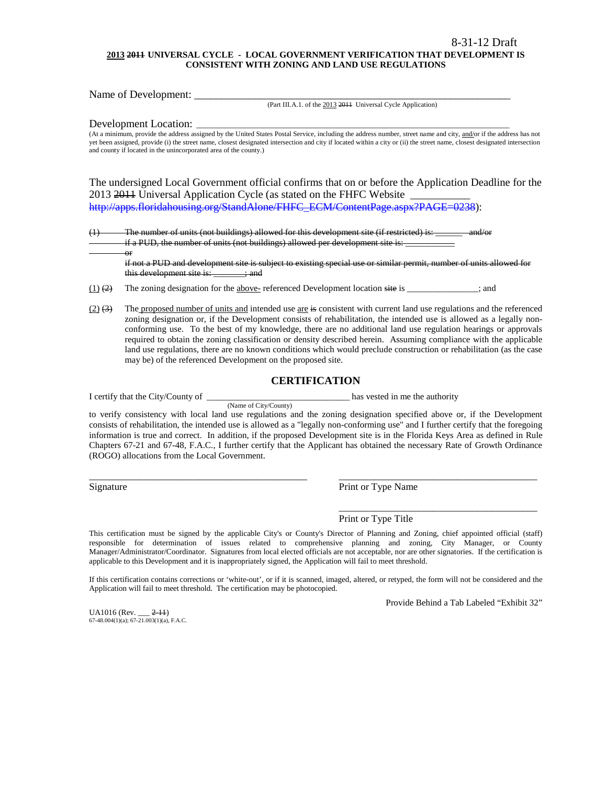#### **2013 2011 UNIVERSAL CYCLE - LOCAL GOVERNMENT VERIFICATION THAT DEVELOPMENT IS CONSISTENT WITH ZONING AND LAND USE REGULATIONS**

Name of Development: \_\_\_\_\_\_\_\_\_\_\_\_\_\_\_\_\_\_\_\_\_\_\_\_\_\_\_\_\_\_\_\_\_\_\_\_\_\_\_\_\_\_\_\_\_\_\_\_\_\_\_\_\_\_\_\_\_\_

(Part III.A.1. of the 2013 2011 Universal Cycle Application)

Development Location:

or

(At a minimum, provide the address assigned by the United States Postal Service, including the address number, street name and city, and/or if the address has not yet been assigned, provide (i) the street name, closest designated intersection and city if located within a city or (ii) the street name, closest designated intersection and county if located in the unincorporated area of the county.)

The undersigned Local Government official confirms that on or before the Application Deadline for the 2013 2014 Universal Application Cycle (as stated on the FHFC Website [http://apps.floridahousing.org/StandAlone/FHFC\\_ECM/ContentPage.aspx?PAGE=0238\)](http://apps.floridahousing.org/StandAlone/FHFC_ECM/ContentPage.aspx?PAGE=0238):

 $(1)$  The number of units (not buildings) allowed for this development site (if restricted) is: if a PUD, the number of units (not buildings) allowed per development site is:

if not a PUD and development site is subject to existing special use or similar permit, number of units allowed for this development site is: \_\_\_\_\_\_\_; and

 $(1)$  (2) The zoning designation for the above- referenced Development location site is \_\_\_\_\_\_\_\_\_\_\_; and

(Name of City/County)

 $(2)$   $(3)$  The proposed number of units and intended use are is consistent with current land use regulations and the referenced zoning designation or, if the Development consists of rehabilitation, the intended use is allowed as a legally nonconforming use. To the best of my knowledge, there are no additional land use regulation hearings or approvals required to obtain the zoning classification or density described herein. Assuming compliance with the applicable land use regulations, there are no known conditions which would preclude construction or rehabilitation (as the case may be) of the referenced Development on the proposed site.

#### **CERTIFICATION**

I certify that the City/County of \_\_\_\_\_\_\_\_\_\_\_\_\_\_\_\_\_\_\_\_\_\_\_\_\_\_\_\_\_\_\_\_ has vested in me the authority

to verify consistency with local land use regulations and the zoning designation specified above or, if the Development consists of rehabilitation, the intended use is allowed as a "legally non-conforming use" and I further certify that the foregoing information is true and correct. In addition, if the proposed Development site is in the Florida Keys Area as defined in Rule Chapters 67-21 and 67-48, F.A.C., I further certify that the Applicant has obtained the necessary Rate of Growth Ordinance (ROGO) allocations from the Local Government.

\_\_\_\_\_\_\_\_\_\_\_\_\_\_\_\_\_\_\_\_\_\_\_\_\_\_\_\_\_\_\_\_\_\_\_\_\_\_\_\_\_\_\_\_ \_\_\_\_\_\_\_\_\_\_\_\_\_\_\_\_\_\_\_\_\_\_\_\_\_\_\_\_\_\_\_\_\_\_\_\_\_\_\_\_

Signature Print or Type Name

Print or Type Title

This certification must be signed by the applicable City's or County's Director of Planning and Zoning, chief appointed official (staff) responsible for determination of issues related to comprehensive planning and zoning, City Manager, or County Manager/Administrator/Coordinator. Signatures from local elected officials are not acceptable, nor are other signatories. If the certification is applicable to this Development and it is inappropriately signed, the Application will fail to meet threshold.

If this certification contains corrections or 'white-out', or if it is scanned, imaged, altered, or retyped, the form will not be considered and the Application will fail to meet threshold. The certification may be photocopied.

Provide Behind a Tab Labeled "Exhibit 32"

\_\_\_\_\_\_\_\_\_\_\_\_\_\_\_\_\_\_\_\_\_\_\_\_\_\_\_\_\_\_\_\_\_\_\_\_\_\_\_\_

UA1016 (Rev. \_\_\_ 2-11) 67-48.004(1)(a); 67-21.003(1)(a), F.A.C.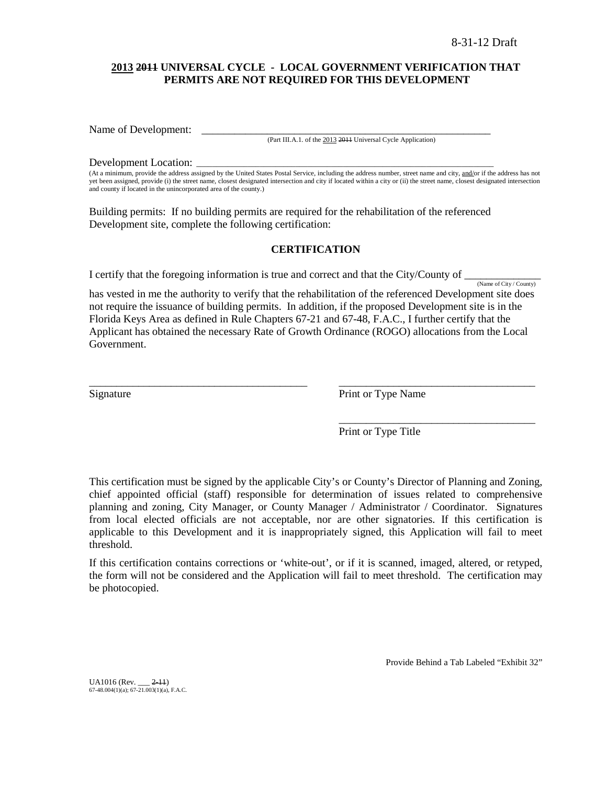### **2013 2011 UNIVERSAL CYCLE - LOCAL GOVERNMENT VERIFICATION THAT PERMITS ARE NOT REQUIRED FOR THIS DEVELOPMENT**

Name of Development:

(Part III.A.1. of the 2013 2011 Universal Cycle Application)

#### Development Location:

(At a minimum, provide the address assigned by the United States Postal Service, including the address number, street name and city, and/or if the address has not yet been assigned, provide (i) the street name, closest designated intersection and city if located within a city or (ii) the street name, closest designated intersection and county if located in the unincorporated area of the county.)

Building permits: If no building permits are required for the rehabilitation of the referenced Development site, complete the following certification:

### **CERTIFICATION**

I certify that the foregoing information is true and correct and that the City/County of  $\frac{N_{\text{ame of City}/\text{Country}}}{N_{\text{amp of City}/\text{Country}}}$ 

has vested in me the authority to verify that the rehabilitation of the referenced Development site does not require the issuance of building permits. In addition, if the proposed Development site is in the Florida Keys Area as defined in Rule Chapters 67-21 and 67-48, F.A.C., I further certify that the Applicant has obtained the necessary Rate of Growth Ordinance (ROGO) allocations from the Local Government.

\_\_\_\_\_\_\_\_\_\_\_\_\_\_\_\_\_\_\_\_\_\_\_\_\_\_\_\_\_\_\_\_\_\_\_\_\_\_\_\_ \_\_\_\_\_\_\_\_\_\_\_\_\_\_\_\_\_\_\_\_\_\_\_\_\_\_\_\_\_\_\_\_\_\_\_\_

Signature Print or Type Name

Print or Type Title

\_\_\_\_\_\_\_\_\_\_\_\_\_\_\_\_\_\_\_\_\_\_\_\_\_\_\_\_\_\_\_\_\_\_\_\_

This certification must be signed by the applicable City's or County's Director of Planning and Zoning, chief appointed official (staff) responsible for determination of issues related to comprehensive planning and zoning, City Manager, or County Manager / Administrator / Coordinator. Signatures from local elected officials are not acceptable, nor are other signatories. If this certification is applicable to this Development and it is inappropriately signed, this Application will fail to meet threshold.

If this certification contains corrections or 'white-out', or if it is scanned, imaged, altered, or retyped, the form will not be considered and the Application will fail to meet threshold. The certification may be photocopied.

Provide Behind a Tab Labeled "Exhibit 32"

UA1016 (Rev. \_\_\_ 2-11) 67-48.004(1)(a); 67-21.003(1)(a), F.A.C.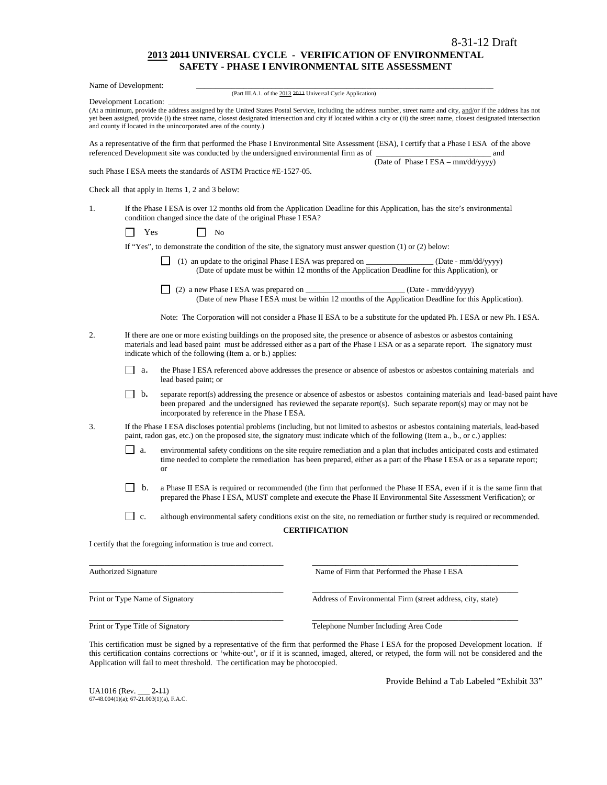#### **2013 2011 UNIVERSAL CYCLE - VERIFICATION OF ENVIRONMENTAL SAFETY - PHASE I ENVIRONMENTAL SITE ASSESSMENT**

|    | Name of Development:             |                                                                                                                                                                                                                                                                                                                                                                                                                      |     |
|----|----------------------------------|----------------------------------------------------------------------------------------------------------------------------------------------------------------------------------------------------------------------------------------------------------------------------------------------------------------------------------------------------------------------------------------------------------------------|-----|
|    |                                  | (Part III.A.1. of the 2013 2011 Universal Cycle Application)                                                                                                                                                                                                                                                                                                                                                         |     |
|    | Development Location:            | (At a minimum, provide the address assigned by the United States Postal Service, including the address number, street name and city, and/or if the address has not<br>yet been assigned, provide (i) the street name, closest designated intersection and city if located within a city or (ii) the street name, closest designated intersection<br>and county if located in the unincorporated area of the county.) |     |
|    |                                  | As a representative of the firm that performed the Phase I Environmental Site Assessment (ESA), I certify that a Phase I ESA of the above<br>referenced Development site was conducted by the undersigned environmental firm as of                                                                                                                                                                                   | and |
|    |                                  | (Date of Phase I ESA - mm/dd/yyyy)<br>such Phase I ESA meets the standards of ASTM Practice #E-1527-05.                                                                                                                                                                                                                                                                                                              |     |
|    |                                  | Check all that apply in Items 1, 2 and 3 below:                                                                                                                                                                                                                                                                                                                                                                      |     |
| 1. |                                  | If the Phase I ESA is over 12 months old from the Application Deadline for this Application, has the site's environmental<br>condition changed since the date of the original Phase I ESA?                                                                                                                                                                                                                           |     |
|    | Yes                              | No                                                                                                                                                                                                                                                                                                                                                                                                                   |     |
|    |                                  | If "Yes", to demonstrate the condition of the site, the signatory must answer question (1) or (2) below:                                                                                                                                                                                                                                                                                                             |     |
|    |                                  | (1) an update to the original Phase I ESA was prepared on _________________(Date - $mm/dd/yyy$ )<br>(Date of update must be within 12 months of the Application Deadline for this Application), or                                                                                                                                                                                                                   |     |
|    |                                  | (2) a new Phase I ESA was prepared on _____________________________(Date - mm/dd/yyyy)<br>(Date of new Phase I ESA must be within 12 months of the Application Deadline for this Application).                                                                                                                                                                                                                       |     |
|    |                                  | Note: The Corporation will not consider a Phase II ESA to be a substitute for the updated Ph. I ESA or new Ph. I ESA.                                                                                                                                                                                                                                                                                                |     |
| 2. |                                  | If there are one or more existing buildings on the proposed site, the presence or absence of asbestos or asbestos containing<br>materials and lead based paint must be addressed either as a part of the Phase IESA or as a separate report. The signatory must<br>indicate which of the following (Item a. or b.) applies:                                                                                          |     |
|    | а.                               | the Phase I ESA referenced above addresses the presence or absence of asbestos or asbestos containing materials and<br>lead based paint; or                                                                                                                                                                                                                                                                          |     |
|    | $\mathbf{b}$ .<br>$\blacksquare$ | separate report(s) addressing the presence or absence of asbestos or asbestos containing materials and lead-based paint have<br>been prepared and the undersigned has reviewed the separate report(s). Such separate report(s) may or may not be<br>incorporated by reference in the Phase I ESA.                                                                                                                    |     |
| 3. |                                  | If the Phase I ESA discloses potential problems (including, but not limited to asbestos or asbestos containing materials, lead-based<br>paint, radon gas, etc.) on the proposed site, the signatory must indicate which of the following (Item a., b., or c.) applies:                                                                                                                                               |     |
|    | $\mathsf{L}$<br>a.               | environmental safety conditions on the site require remediation and a plan that includes anticipated costs and estimated<br>time needed to complete the remediation has been prepared, either as a part of the Phase I ESA or as a separate report;<br>or                                                                                                                                                            |     |
|    | b.                               | a Phase II ESA is required or recommended (the firm that performed the Phase II ESA, even if it is the same firm that<br>prepared the Phase I ESA, MUST complete and execute the Phase II Environmental Site Assessment Verification); or                                                                                                                                                                            |     |
|    | $\mathbf{C}$ .                   | although environmental safety conditions exist on the site, no remediation or further study is required or recommended.                                                                                                                                                                                                                                                                                              |     |
|    |                                  | <b>CERTIFICATION</b>                                                                                                                                                                                                                                                                                                                                                                                                 |     |
|    |                                  | I certify that the foregoing information is true and correct.                                                                                                                                                                                                                                                                                                                                                        |     |
|    | <b>Authorized Signature</b>      | Name of Firm that Performed the Phase I ESA                                                                                                                                                                                                                                                                                                                                                                          |     |
|    |                                  | Print or Type Name of Signatory<br>Address of Environmental Firm (street address, city, state)                                                                                                                                                                                                                                                                                                                       |     |

Print or Type Title of Signatory Telephone Number Including Area Code

This certification must be signed by a representative of the firm that performed the Phase I ESA for the proposed Development location.If this certification contains corrections or 'white-out', or if it is scanned, imaged, altered, or retyped, the form will not be considered and the Application will fail to meet threshold. The certification may be photocopied.

\_\_\_\_\_\_\_\_\_\_\_\_\_\_\_\_\_\_\_\_\_\_\_\_\_\_\_\_\_\_\_\_\_\_\_\_\_\_\_\_\_\_\_\_\_\_\_\_\_ \_\_\_\_\_\_\_\_\_\_\_\_\_\_\_\_\_\_\_\_\_\_\_\_\_\_\_\_\_\_\_\_\_\_\_\_\_\_\_\_\_\_\_\_\_\_\_\_\_\_\_\_

UA1016 (Rev. \_\_\_ <del>2-11</del>)<br>67-48.004(1)(a); 67-21.003(1)(a), F.A.C.

Provide Behind a Tab Labeled "Exhibit 33"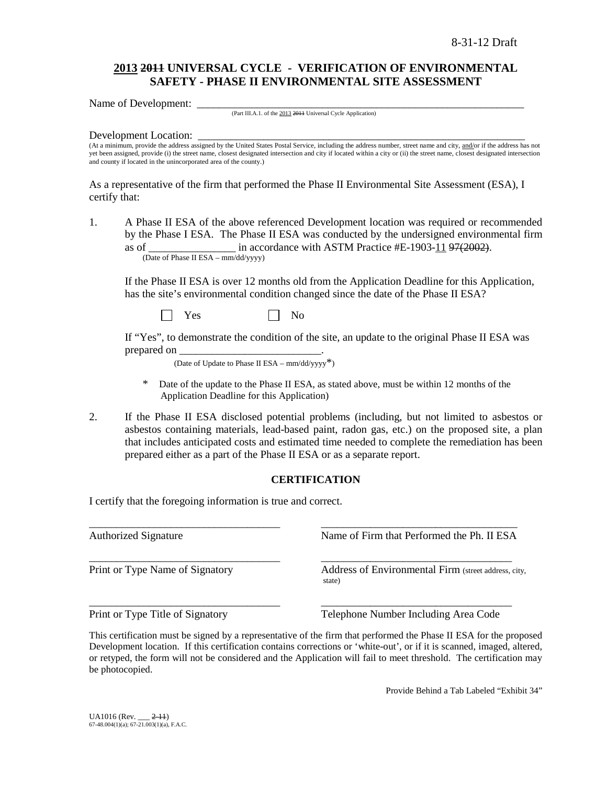# **2013 2011 UNIVERSAL CYCLE - VERIFICATION OF ENVIRONMENTAL SAFETY - PHASE II ENVIRONMENTAL SITE ASSESSMENT**

Name of Development:

(Part III.A.1. of the 2013 2011 Universal Cycle Application)

#### Development Location:

(At a minimum, provide the address assigned by the United States Postal Service, including the address number, street name and city, and/or if the address has not yet been assigned, provide (i) the street name, closest designated intersection and city if located within a city or (ii) the street name, closest designated intersection and county if located in the unincorporated area of the county.)

As a representative of the firm that performed the Phase II Environmental Site Assessment (ESA), I certify that:

1. A Phase II ESA of the above referenced Development location was required or recommended by the Phase I ESA. The Phase II ESA was conducted by the undersigned environmental firm as of  $\frac{1}{2}$  in accordance with ASTM Practice #E-1903-11 97(2002). (Date of Phase II ESA – mm/dd/yyyy)

If the Phase II ESA is over 12 months old from the Application Deadline for this Application, has the site's environmental condition changed since the date of the Phase II ESA?

 $Yes \t\t \Box No$ 

If "Yes", to demonstrate the condition of the site, an update to the original Phase II ESA was prepared on

(Date of Update to Phase II ESA –  $mm/dd/yyyy^*$ )

- Date of the update to the Phase II ESA, as stated above, must be within 12 months of the Application Deadline for this Application)
- 2. If the Phase II ESA disclosed potential problems (including, but not limited to asbestos or asbestos containing materials, lead-based paint, radon gas, etc.) on the proposed site, a plan that includes anticipated costs and estimated time needed to complete the remediation has been prepared either as a part of the Phase II ESA or as a separate report.

### **CERTIFICATION**

I certify that the foregoing information is true and correct.

\_\_\_\_\_\_\_\_\_\_\_\_\_\_\_\_\_\_\_\_\_\_\_\_\_\_\_\_\_\_\_\_\_\_\_ \_\_\_\_\_\_\_\_\_\_\_\_\_\_\_\_\_\_\_\_\_\_\_\_\_\_\_\_\_\_\_\_\_\_\_\_ Authorized Signature Name of Firm that Performed the Ph. II ESA \_\_\_\_\_\_\_\_\_\_\_\_\_\_\_\_\_\_\_\_\_\_\_\_\_\_\_\_\_\_\_\_\_\_\_ \_\_\_\_\_\_\_\_\_\_\_\_\_\_\_\_\_\_\_\_\_\_\_\_\_\_\_\_\_\_\_\_\_\_\_ Print or Type Name of Signatory **Address of Environmental Firm** (street address, city, state) \_\_\_\_\_\_\_\_\_\_\_\_\_\_\_\_\_\_\_\_\_\_\_\_\_\_\_\_\_\_\_\_\_\_\_ \_\_\_\_\_\_\_\_\_\_\_\_\_\_\_\_\_\_\_\_\_\_\_\_\_\_\_\_\_\_\_\_\_\_\_ Print or Type Title of Signatory Telephone Number Including Area Code

This certification must be signed by a representative of the firm that performed the Phase II ESA for the proposed Development location.If this certification contains corrections or 'white-out', or if it is scanned, imaged, altered, or retyped, the form will not be considered and the Application will fail to meet threshold. The certification may be photocopied.

Provide Behind a Tab Labeled "Exhibit 34"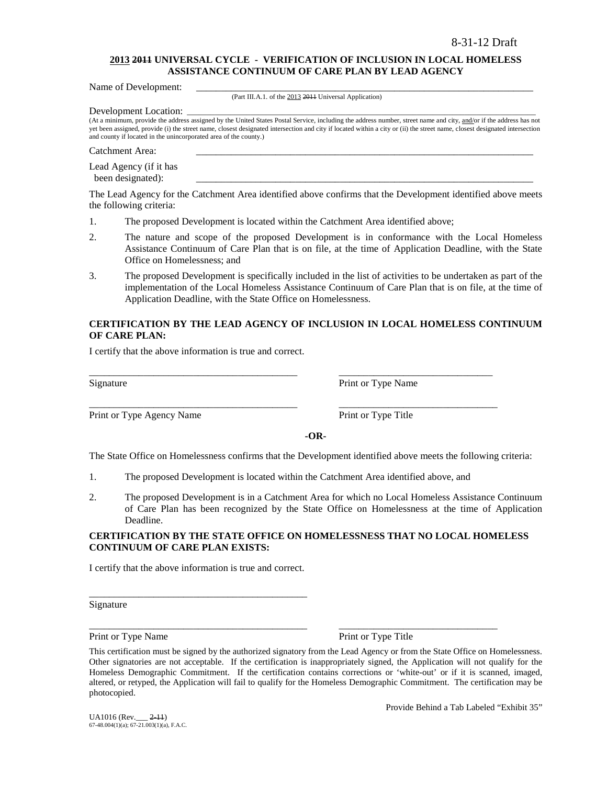### **2013 2011 UNIVERSAL CYCLE - VERIFICATION OF INCLUSION IN LOCAL HOMELESS ASSISTANCE CONTINUUM OF CARE PLAN BY LEAD AGENCY**

Name of Development:

(Part III.A.1. of the 2013 2011 Universal Application)

Development Location:

(At a minimum, provide the address assigned by the United States Postal Service, including the address number, street name and city, and/or if the address has not yet been assigned, provide (i) the street name, closest designated intersection and city if located within a city or (ii) the street name, closest designated intersection and county if located in the unincorporated area of the county.)

Catchment Area:

Lead Agency (if it has been designated):

The Lead Agency for the Catchment Area identified above confirms that the Development identified above meets the following criteria:

- 1. The proposed Development is located within the Catchment Area identified above;
- 2. The nature and scope of the proposed Development is in conformance with the Local Homeless Assistance Continuum of Care Plan that is on file, at the time of Application Deadline, with the State Office on Homelessness; and
- 3. The proposed Development is specifically included in the list of activities to be undertaken as part of the implementation of the Local Homeless Assistance Continuum of Care Plan that is on file, at the time of Application Deadline, with the State Office on Homelessness.

### **CERTIFICATION BY THE LEAD AGENCY OF INCLUSION IN LOCAL HOMELESS CONTINUUM OF CARE PLAN:**

I certify that the above information is true and correct.

Print or Type Agency Name Print or Type Title

Signature Print or Type Name

**-OR-**

The State Office on Homelessness confirms that the Development identified above meets the following criteria:

1. The proposed Development is located within the Catchment Area identified above, and

\_\_\_\_\_\_\_\_\_\_\_\_\_\_\_\_\_\_\_\_\_\_\_\_\_\_\_\_\_\_\_\_\_\_\_\_\_\_\_\_\_\_ \_\_\_\_\_\_\_\_\_\_\_\_\_\_\_\_\_\_\_\_\_\_\_\_\_\_\_\_\_\_\_

\_\_\_\_\_\_\_\_\_\_\_\_\_\_\_\_\_\_\_\_\_\_\_\_\_\_\_\_\_\_\_\_\_\_\_\_\_\_\_\_\_\_ \_\_\_\_\_\_\_\_\_\_\_\_\_\_\_\_\_\_\_\_\_\_\_\_\_\_\_\_\_\_\_\_

2. The proposed Development is in a Catchment Area for which no Local Homeless Assistance Continuum of Care Plan has been recognized by the State Office on Homelessness at the time of Application Deadline.

### **CERTIFICATION BY THE STATE OFFICE ON HOMELESSNESS THAT NO LOCAL HOMELESS CONTINUUM OF CARE PLAN EXISTS:**

I certify that the above information is true and correct.

\_\_\_\_\_\_\_\_\_\_\_\_\_\_\_\_\_\_\_\_\_\_\_\_\_\_\_\_\_\_\_\_\_\_\_\_\_\_\_\_\_\_\_\_

Signature

Print or Type Name Print or Type Title

\_\_\_\_\_\_\_\_\_\_\_\_\_\_\_\_\_\_\_\_\_\_\_\_\_\_\_\_\_\_\_\_\_\_\_\_\_\_\_\_\_\_\_\_ \_\_\_\_\_\_\_\_\_\_\_\_\_\_\_\_\_\_\_\_\_\_\_\_\_\_\_\_\_\_\_\_

Provide Behind a Tab Labeled "Exhibit 35"

This certification must be signed by the authorized signatory from the Lead Agency or from the State Office on Homelessness. Other signatories are not acceptable. If the certification is inappropriately signed, the Application will not qualify for the Homeless Demographic Commitment. If the certification contains corrections or 'white-out' or if it is scanned, imaged, altered, or retyped, the Application will fail to qualify for the Homeless Demographic Commitment. The certification may be photocopied.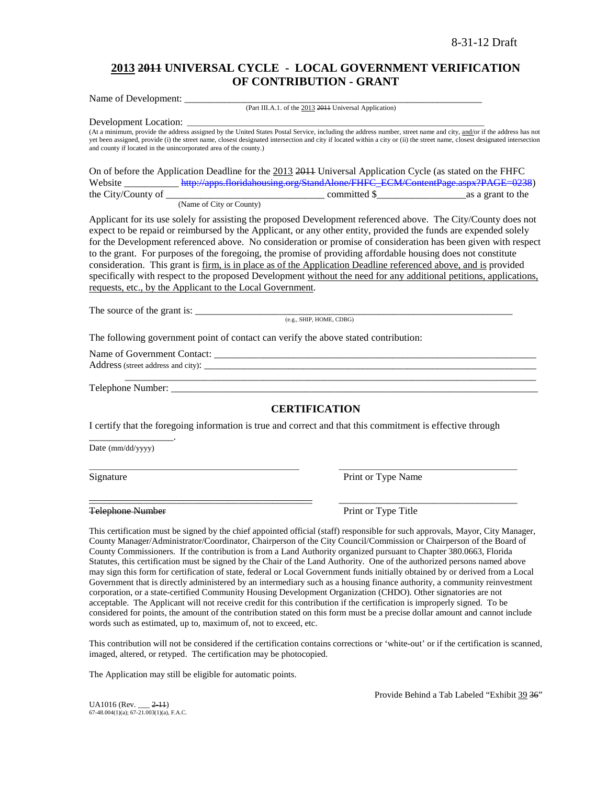# **2013 2011 UNIVERSAL CYCLE - LOCAL GOVERNMENT VERIFICATION OF CONTRIBUTION - GRANT**

Name of Development: \_\_\_\_\_\_\_\_\_\_\_\_\_\_\_\_\_\_\_\_\_\_\_\_\_\_\_\_\_\_\_\_\_\_\_\_\_\_\_\_\_\_\_\_\_\_\_\_\_\_\_\_\_\_\_\_\_\_\_\_ (Part III.A.1. of the 2013 2011 Universal Application)

Development Location:

(At a minimum, provide the address assigned by the United States Postal Service, including the address number, street name and city, and/or if the address has not yet been assigned, provide (i) the street name, closest designated intersection and city if located within a city or (ii) the street name, closest designated intersection and county if located in the unincorporated area of the county.)

On of before the Application Deadline for the 2013 2011 Universal Application Cycle (as stated on the FHFC Website [http://apps.floridahousing.org/StandAlone/FHFC\\_ECM/ContentPage.aspx?PAGE=0238\)](http://apps.floridahousing.org/StandAlone/FHFC_ECM/ContentPage.aspx?PAGE=0238)<br>the City/County of as a grant to the  $\frac{1}{\sqrt{1-\frac{1}{\sqrt{1-\frac{1}{\sqrt{1-\frac{1}{\sqrt{1-\frac{1}{\sqrt{1-\frac{1}{\sqrt{1-\frac{1}{\sqrt{1-\frac{1}{\sqrt{1-\frac{1}{\sqrt{1-\frac{1}{\sqrt{1-\frac{1}{\sqrt{1-\frac{1}{\sqrt{1-\frac{1}{\sqrt{1-\frac{1}{\sqrt{1-\frac{1}{\sqrt{1-\frac{1}{\sqrt{1-\frac{1}{\sqrt{1-\frac{1}{\sqrt{1-\frac{1}{\sqrt{1-\frac{1}{\sqrt{1-\frac{1}{\sqrt{1-\frac{1}{\sqrt{1-\frac{1}{\sqrt{1-\frac{1}{\sqrt{1-\frac{1$ 

(Name of City or County)

Applicant for its use solely for assisting the proposed Development referenced above. The City/County does not expect to be repaid or reimbursed by the Applicant, or any other entity, provided the funds are expended solely for the Development referenced above. No consideration or promise of consideration has been given with respect to the grant. For purposes of the foregoing, the promise of providing affordable housing does not constitute consideration. This grant is firm, is in place as of the Application Deadline referenced above, and is provided specifically with respect to the proposed Development without the need for any additional petitions, applications, requests, etc., by the Applicant to the Local Government.

The source of the grant is: \_\_\_\_\_\_\_\_\_\_\_\_\_\_\_\_\_\_\_\_\_\_\_\_\_\_\_\_\_\_\_\_\_\_\_\_\_\_\_\_\_\_\_\_\_\_\_\_\_\_\_\_\_\_\_\_\_\_\_\_\_\_\_\_

(e.g., SHIP, HOME, CDBG)

The following government point of contact can verify the above stated contribution:

Name of Government Contact: \_\_\_\_\_\_\_\_\_\_\_\_\_\_\_\_\_\_\_\_\_\_\_\_\_\_\_\_\_\_\_\_\_\_\_\_\_\_\_\_\_\_\_\_\_\_\_\_\_\_\_\_\_\_\_\_\_\_\_\_\_\_\_\_\_

Address (street address and city):

Telephone Number: \_\_\_\_\_\_\_\_\_\_\_\_\_\_\_\_\_\_\_\_\_\_\_\_\_\_\_\_\_\_\_\_\_\_\_\_\_\_\_\_\_\_\_\_\_\_\_\_\_\_\_\_\_\_\_\_\_\_\_\_\_\_\_\_\_\_\_\_\_\_\_\_\_\_

\_\_\_\_\_\_\_\_\_\_\_\_\_\_\_\_\_.

# **CERTIFICATION**

\_\_\_\_\_\_\_\_\_\_\_\_\_\_\_\_\_\_\_\_\_\_\_\_\_\_\_\_\_\_\_\_\_\_\_\_\_\_\_\_\_\_\_\_\_\_\_\_\_\_\_\_\_\_\_\_\_\_\_\_\_\_\_\_\_\_\_\_\_\_\_\_\_\_\_\_\_\_\_\_\_\_\_

I certify that the foregoing information is true and correct and that this commitment is effective through

\_\_\_\_\_\_\_\_\_\_\_\_\_\_\_\_\_\_\_\_\_\_\_\_\_\_\_\_\_\_\_\_\_\_\_\_\_\_\_\_\_\_\_\_\_\_\_\_\_\_\_\_\_ \_\_\_\_\_\_\_\_\_\_\_\_\_\_\_\_\_\_\_\_\_\_\_\_\_\_\_\_\_\_\_\_\_\_\_\_\_\_\_\_\_\_\_\_\_

\_\_\_\_\_\_\_\_\_\_\_\_\_\_\_\_\_\_\_\_\_\_\_\_\_\_\_\_\_\_\_\_\_\_\_\_\_\_\_\_\_\_\_\_\_ \_\_\_\_\_\_\_\_\_\_\_\_\_\_\_\_\_\_\_\_\_\_\_\_\_\_\_\_\_\_\_\_\_\_\_\_

Date (mm/dd/yyyy)

Signature Print or Type Name

Telephone Number **Print of Type Title** 

This certification must be signed by the chief appointed official (staff) responsible for such approvals, Mayor, City Manager, County Manager/Administrator/Coordinator, Chairperson of the City Council/Commission or Chairperson of the Board of County Commissioners. If the contribution is from a Land Authority organized pursuant to Chapter 380.0663, Florida Statutes, this certification must be signed by the Chair of the Land Authority. One of the authorized persons named above may sign this form for certification of state, federal or Local Government funds initially obtained by or derived from a Local Government that is directly administered by an intermediary such as a housing finance authority, a community reinvestment corporation, or a state-certified Community Housing Development Organization (CHDO). Other signatories are not acceptable. The Applicant will not receive credit for this contribution if the certification is improperly signed. To be considered for points, the amount of the contribution stated on this form must be a precise dollar amount and cannot include words such as estimated, up to, maximum of, not to exceed, etc.

This contribution will not be considered if the certification contains corrections or 'white-out' or if the certification is scanned, imaged, altered, or retyped. The certification may be photocopied.

The Application may still be eligible for automatic points.

Provide Behind a Tab Labeled "Exhibit 39 36"

 $UA1016$  (Rev.  $2-11$ )  $67-48.004(1)(a)$ ;  $67-21.003(1)(a)$ , F.A.C.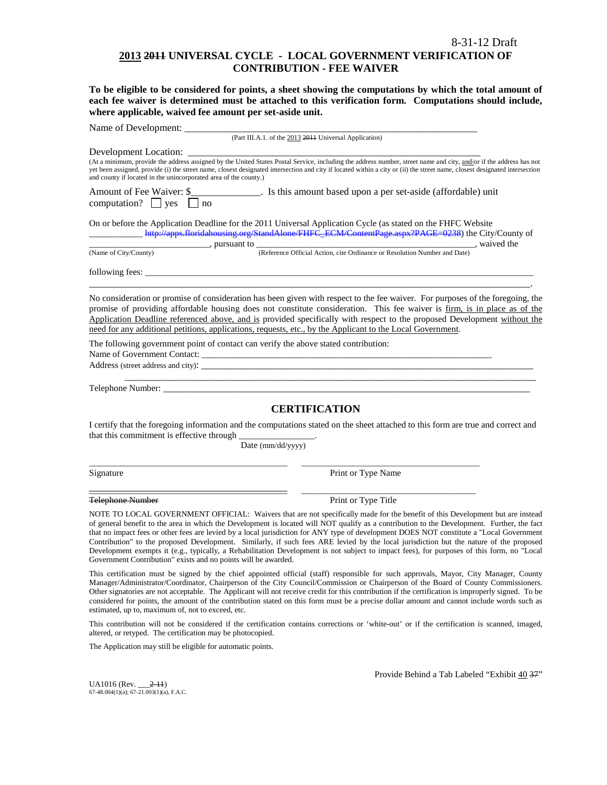### **2013 2011 UNIVERSAL CYCLE - LOCAL GOVERNMENT VERIFICATION OF CONTRIBUTION - FEE WAIVER**

**To be eligible to be considered for points, a sheet showing the computations by which the total amount of each fee waiver is determined must be attached to this verification form. Computations should include, where applicable, waived fee amount per set-aside unit.**

| Name of Development:                                                                                                                   |                                                                                                                                                                                                                                                                                                                                                                                                                                                                                                                                                                                                                                                                                                                  |  |  |  |
|----------------------------------------------------------------------------------------------------------------------------------------|------------------------------------------------------------------------------------------------------------------------------------------------------------------------------------------------------------------------------------------------------------------------------------------------------------------------------------------------------------------------------------------------------------------------------------------------------------------------------------------------------------------------------------------------------------------------------------------------------------------------------------------------------------------------------------------------------------------|--|--|--|
|                                                                                                                                        | (Part III.A.1. of the 2013 2011 Universal Application)                                                                                                                                                                                                                                                                                                                                                                                                                                                                                                                                                                                                                                                           |  |  |  |
| Development Location:<br>and county if located in the unincorporated area of the county.)                                              | (At a minimum, provide the address assigned by the United States Postal Service, including the address number, street name and city, and/or if the address has not<br>yet been assigned, provide (i) the street name, closest designated intersection and city if located within a city or (ii) the street name, closest designated intersection                                                                                                                                                                                                                                                                                                                                                                 |  |  |  |
| Amount of Fee Waiver: \$<br>computation? $\Box$ yes<br>no                                                                              |                                                                                                                                                                                                                                                                                                                                                                                                                                                                                                                                                                                                                                                                                                                  |  |  |  |
| On or before the Application Deadline for the 2011 Universal Application Cycle (as stated on the FHFC Website<br>(Name of City/County) | http://apps.floridahousing.org/StandAlone/FHFC_ECM/ContentPage.aspx?PAGE=0238) the City/County of<br>(Reference Official Action, cite Ordinance or Resolution Number and Date), waived the (Reference Official Action, cite Ordinance or Resolution Number and Date)                                                                                                                                                                                                                                                                                                                                                                                                                                             |  |  |  |
| following fees:                                                                                                                        |                                                                                                                                                                                                                                                                                                                                                                                                                                                                                                                                                                                                                                                                                                                  |  |  |  |
| need for any additional petitions, applications, requests, etc., by the Applicant to the Local Government.                             | No consideration or promise of consideration has been given with respect to the fee waiver. For purposes of the foregoing, the<br>promise of providing affordable housing does not constitute consideration. This fee waiver is firm, is in place as of the<br>Application Deadline referenced above, and is provided specifically with respect to the proposed Development without the                                                                                                                                                                                                                                                                                                                          |  |  |  |
| The following government point of contact can verify the above stated contribution:                                                    |                                                                                                                                                                                                                                                                                                                                                                                                                                                                                                                                                                                                                                                                                                                  |  |  |  |
|                                                                                                                                        |                                                                                                                                                                                                                                                                                                                                                                                                                                                                                                                                                                                                                                                                                                                  |  |  |  |
|                                                                                                                                        | <b>CERTIFICATION</b>                                                                                                                                                                                                                                                                                                                                                                                                                                                                                                                                                                                                                                                                                             |  |  |  |
| that this commitment is effective through __<br>$\frac{1}{\sqrt{1-\frac{1}{2}}\left(1-\frac{1}{2}\right)}$<br>Date (mm/dd/yyyy)        | I certify that the foregoing information and the computations stated on the sheet attached to this form are true and correct and                                                                                                                                                                                                                                                                                                                                                                                                                                                                                                                                                                                 |  |  |  |
| Signature                                                                                                                              | Print or Type Name                                                                                                                                                                                                                                                                                                                                                                                                                                                                                                                                                                                                                                                                                               |  |  |  |
| <b>Telephone Number</b>                                                                                                                | Print or Type Title                                                                                                                                                                                                                                                                                                                                                                                                                                                                                                                                                                                                                                                                                              |  |  |  |
| Government Contribution" exists and no points will be awarded.                                                                         | NOTE TO LOCAL GOVERNMENT OFFICIAL: Waivers that are not specifically made for the benefit of this Development but are instead<br>of general benefit to the area in which the Development is located will NOT qualify as a contribution to the Development. Further, the fact<br>that no impact fees or other fees are levied by a local jurisdiction for ANY type of development DOES NOT constitute a "Local Government<br>Contribution" to the proposed Development. Similarly, if such fees ARE levied by the local jurisdiction but the nature of the proposed<br>Development exempts it (e.g., typically, a Rehabilitation Development is not subject to impact fees), for purposes of this form, no "Local |  |  |  |
|                                                                                                                                        | This certification must be signed by the chief appointed official (staff) responsible for such approvals, Mayor, City Manager, County                                                                                                                                                                                                                                                                                                                                                                                                                                                                                                                                                                            |  |  |  |

Manager/Administrator/Coordinator, Chairperson of the City Council/Commission or Chairperson of the Board of County Commissioners. Other signatories are not acceptable. The Applicant will not receive credit for this contribution if the certification is improperly signed. To be considered for points, the amount of the contribution stated on this form must be a precise dollar amount and cannot include words such as estimated, up to, maximum of, not to exceed, etc.

This contribution will not be considered if the certification contains corrections or 'white-out' or if the certification is scanned, imaged, altered, or retyped. The certification may be photocopied.

The Application may still be eligible for automatic points.

Provide Behind a Tab Labeled "Exhibit 40 37"

UA1016 (Rev. <u>2-11)</u> 67-48.004(1)(a); 67-21.003(1)(a), F.A.C.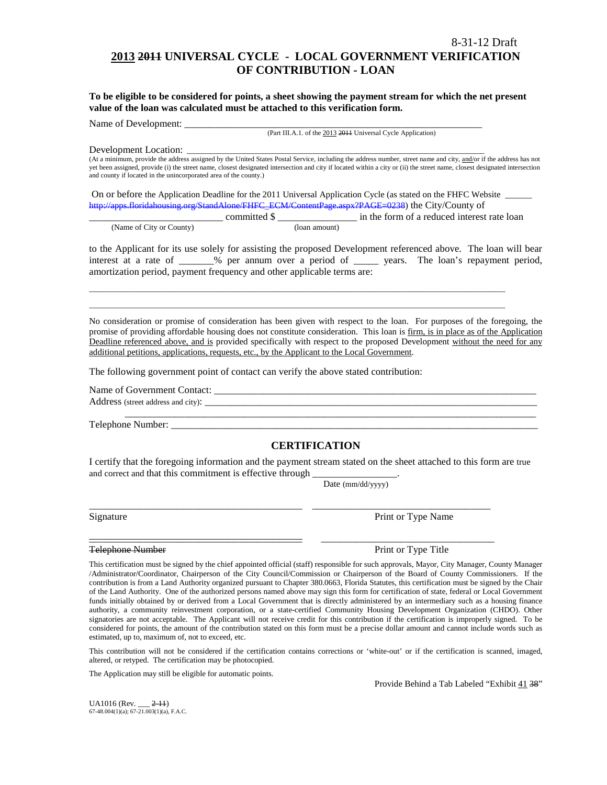# **2013 2011 UNIVERSAL CYCLE - LOCAL GOVERNMENT VERIFICATION OF CONTRIBUTION - LOAN**

**To be eligible to be considered for points, a sheet showing the payment stream for which the net present value of the loan was calculated must be attached to this verification form.** 

Name of Development:

(Part III.A.1. of the 2013 2011 Universal Cycle Application)

Development Location:

(At a minimum, provide the address assigned by the United States Postal Service, including the address number, street name and city, and/or if the address has not yet been assigned, provide (i) the street name, closest designated intersection and city if located within a city or (ii) the street name, closest designated intersection and county if located in the unincorporated area of the county.)

On or before the Application Deadline for the 2011 Universal Application Cycle (as stated on the FHFC Website \_\_\_\_\_\_ [http://apps.floridahousing.org/StandAlone/FHFC\\_ECM/ContentPage.aspx?PAGE=0238\)](http://apps.floridahousing.org/StandAlone/FHFC_ECM/ContentPage.aspx?PAGE=0238) the City/County of

\_\_\_\_\_\_\_\_\_\_\_\_\_\_\_\_\_\_\_\_\_\_\_\_\_\_\_\_\_\_\_\_\_\_\_\_\_\_\_\_\_\_\_\_\_\_\_\_\_\_\_\_\_\_\_\_\_\_\_\_\_\_\_\_\_\_\_\_\_\_\_\_\_\_\_\_\_\_\_\_\_\_\_\_\_\_\_\_\_\_\_\_\_\_\_\_\_\_\_\_\_\_\_\_\_ \_\_\_\_\_\_\_\_\_\_\_\_\_\_\_\_\_\_\_\_\_\_\_\_\_\_\_\_\_\_\_\_\_\_\_\_\_\_\_\_\_\_\_\_\_\_\_\_\_\_\_\_\_\_\_\_\_\_\_\_\_\_\_\_\_\_\_\_\_\_\_\_\_\_\_\_\_\_\_\_\_\_\_\_\_\_\_\_\_\_\_\_\_\_\_\_\_\_\_\_\_\_\_\_\_

|                          |              | in the form of a reduced interest rate loan |
|--------------------------|--------------|---------------------------------------------|
| (Name of City or County) | (Ioan amount |                                             |

to the Applicant for its use solely for assisting the proposed Development referenced above. The loan will bear interest at a rate of \_\_\_\_\_\_\_% per annum over a period of \_\_\_\_\_ years. The loan's repayment period, amortization period, payment frequency and other applicable terms are:

No consideration or promise of consideration has been given with respect to the loan. For purposes of the foregoing, the promise of providing affordable housing does not constitute consideration. This loan is firm, is in place as of the Application Deadline referenced above, and is provided specifically with respect to the proposed Development without the need for any additional petitions, applications, requests, etc., by the Applicant to the Local Government.

The following government point of contact can verify the above stated contribution:

Name of Government Contact: \_\_\_\_\_\_\_\_\_\_\_\_\_\_\_\_\_\_\_\_\_\_\_\_\_\_\_\_\_\_\_\_\_\_\_\_\_\_\_\_\_\_\_\_\_\_\_\_\_\_\_\_\_\_\_\_\_\_\_\_\_\_\_\_\_

Address (street address and city): \_\_\_\_\_\_\_\_\_\_\_\_\_\_\_\_\_\_\_\_\_\_\_\_\_\_\_\_\_\_\_\_\_\_\_\_\_\_\_\_\_\_\_\_\_\_\_\_\_\_\_\_\_\_\_\_\_\_\_\_\_\_\_\_\_\_\_

Telephone Number: \_\_\_\_\_\_\_\_\_\_\_\_\_\_\_\_\_\_\_\_\_\_\_\_\_\_\_\_\_\_\_\_\_\_\_\_\_\_\_\_\_\_\_\_\_\_\_\_\_\_\_\_\_\_\_\_\_\_\_\_\_\_\_\_\_\_\_\_\_\_\_\_\_\_

### **CERTIFICATION**

\_\_\_\_\_\_\_\_\_\_\_\_\_\_\_\_\_\_\_\_\_\_\_\_\_\_\_\_\_\_\_\_\_\_\_\_\_\_\_\_\_\_\_\_\_\_\_\_\_\_\_\_\_\_\_\_\_\_\_\_\_\_\_\_\_\_\_\_\_\_\_\_\_\_\_\_\_\_\_\_\_\_\_

I certify that the foregoing information and the payment stream stated on the sheet attached to this form are true and correct and that this commitment is effective through

\_\_\_\_\_\_\_\_\_\_\_\_\_\_\_\_\_\_\_\_\_\_\_\_\_\_\_\_\_\_\_\_\_\_\_\_\_\_\_\_\_\_\_ \_\_\_\_\_\_\_\_\_\_\_\_\_\_\_\_\_\_\_\_\_\_\_\_\_\_\_\_\_\_\_\_\_\_\_\_

\_\_\_\_\_\_\_\_\_\_\_\_\_\_\_\_\_\_\_\_\_\_\_\_\_\_\_\_\_\_\_\_\_\_\_\_\_\_\_\_\_\_\_ \_\_\_\_\_\_\_\_\_\_\_\_\_\_\_\_\_\_\_\_\_\_\_\_\_\_\_\_\_\_\_\_\_\_\_

Date (mm/dd/yyyy)

Signature Print or Type Name

Telephone Number **Print of Type Title** Print or Type Title

This certification must be signed by the chief appointed official (staff) responsible for such approvals, Mayor, City Manager, County Manager /Administrator/Coordinator, Chairperson of the City Council/Commission or Chairperson of the Board of County Commissioners. If the contribution is from a Land Authority organized pursuant to Chapter 380.0663, Florida Statutes, this certification must be signed by the Chair of the Land Authority. One of the authorized persons named above may sign this form for certification of state, federal or Local Government funds initially obtained by or derived from a Local Government that is directly administered by an intermediary such as a housing finance authority, a community reinvestment corporation, or a state-certified Community Housing Development Organization (CHDO). Other signatories are not acceptable. The Applicant will not receive credit for this contribution if the certification is improperly signed. To be considered for points, the amount of the contribution stated on this form must be a precise dollar amount and cannot include words such as estimated, up to, maximum of, not to exceed, etc.

This contribution will not be considered if the certification contains corrections or 'white-out' or if the certification is scanned, imaged, altered, or retyped. The certification may be photocopied.

The Application may still be eligible for automatic points.

Provide Behind a Tab Labeled "Exhibit 41 38"

UA1016 (Rev. \_\_\_ 2-11)  $67-48.004(1)(a)$ ;  $67-21.003(1)(a)$ , F.A.C.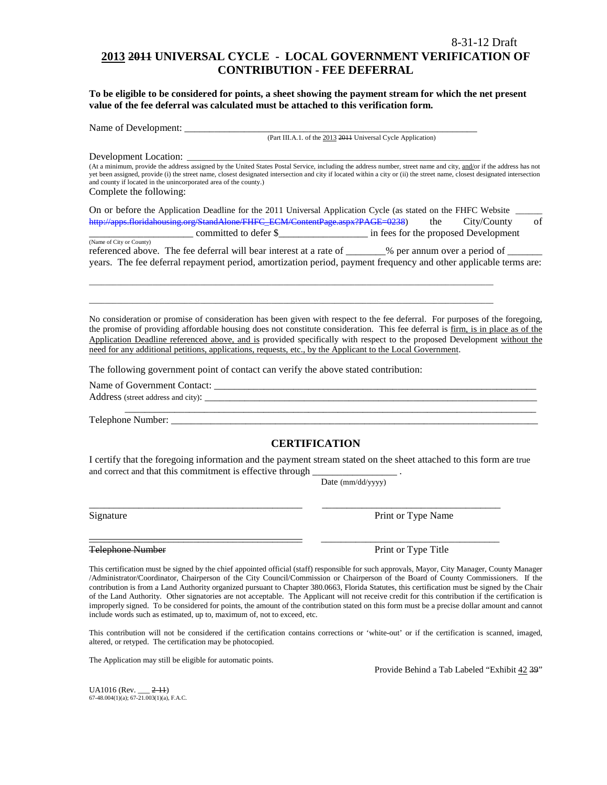# **2013 2011 UNIVERSAL CYCLE - LOCAL GOVERNMENT VERIFICATION OF CONTRIBUTION - FEE DEFERRAL**

**To be eligible to be considered for points, a sheet showing the payment stream for which the net present value of the fee deferral was calculated must be attached to this verification form.**

Name of Development: \_\_\_\_\_\_\_\_\_\_\_\_\_\_\_\_\_\_\_\_\_\_\_\_\_\_\_\_\_\_\_\_\_\_\_\_\_\_\_\_\_\_\_\_\_\_\_\_\_\_\_\_\_\_\_\_\_\_\_

(Part III.A.1. of the 2013 2011 Universal Cycle Application)

Development Location:

(At a minimum, provide the address assigned by the United States Postal Service, including the address number, street name and city, and/or if the address has not yet been assigned, provide (i) the street name, closest designated intersection and city if located within a city or (ii) the street name, closest designated intersection and county if located in the unincorporated area of the county.) Complete the following:

On or before the Application Deadline for the 2011 Universal Application Cycle (as stated on the FHFC Website [http://apps.floridahousing.org/StandAlone/FHFC\\_ECM/ContentPage.aspx?PAGE=0238\)](http://apps.floridahousing.org/StandAlone/FHFC_ECM/ContentPage.aspx?PAGE=0238) the City/County of

\_\_\_\_\_\_\_\_\_\_\_\_\_\_\_\_\_\_\_\_\_ committed to defer \$\_\_\_\_\_\_\_\_\_\_\_\_\_\_\_\_\_\_ in fees for the proposed Development (Name of City or County) referenced above. The fee deferral will bear interest at a rate of \_\_\_\_\_\_\_% per annum over a period of \_ years. The fee deferral repayment period, amortization period, payment frequency and other applicable terms are:

\_\_\_\_\_\_\_\_\_\_\_\_\_\_\_\_\_\_\_\_\_\_\_\_\_\_\_\_\_\_\_\_\_\_\_\_\_\_\_\_\_\_\_\_\_\_\_\_\_\_\_\_\_\_\_\_\_\_\_\_\_\_\_\_\_\_\_\_\_\_\_\_\_\_\_\_\_\_\_\_\_\_\_\_\_\_\_\_\_\_\_\_\_\_\_\_\_\_\_\_\_\_ \_\_\_\_\_\_\_\_\_\_\_\_\_\_\_\_\_\_\_\_\_\_\_\_\_\_\_\_\_\_\_\_\_\_\_\_\_\_\_\_\_\_\_\_\_\_\_\_\_\_\_\_\_\_\_\_\_\_\_\_\_\_\_\_\_\_\_\_\_\_\_\_\_\_\_\_\_\_\_\_\_\_\_\_\_\_\_\_\_\_\_\_\_\_\_\_\_\_\_\_\_\_

No consideration or promise of consideration has been given with respect to the fee deferral. For purposes of the foregoing, the promise of providing affordable housing does not constitute consideration. This fee deferral is firm, is in place as of the Application Deadline referenced above, and is provided specifically with respect to the proposed Development without the need for any additional petitions, applications, requests, etc., by the Applicant to the Local Government.

The following government point of contact can verify the above stated contribution:

Name of Government Contact: Address (street address and city): \_\_\_\_\_\_\_\_\_\_\_\_\_\_\_\_\_\_\_\_\_\_\_\_\_\_\_\_\_\_\_\_\_\_\_\_\_\_\_\_\_\_\_\_\_\_\_\_\_\_\_\_\_\_\_\_\_\_\_\_\_\_\_\_\_\_\_

Telephone Number: \_\_\_\_\_\_\_\_\_\_\_\_\_\_\_\_\_\_\_\_\_\_\_\_\_\_\_\_\_\_\_\_\_\_\_\_\_\_\_\_\_\_\_\_\_\_\_\_\_\_\_\_\_\_\_\_\_\_\_\_\_\_\_\_\_\_\_\_\_\_\_\_\_\_

### **CERTIFICATION**

\_\_\_\_\_\_\_\_\_\_\_\_\_\_\_\_\_\_\_\_\_\_\_\_\_\_\_\_\_\_\_\_\_\_\_\_\_\_\_\_\_\_\_\_\_\_\_\_\_\_\_\_\_\_\_\_\_\_\_\_\_\_\_\_\_\_\_\_\_\_\_\_\_\_\_\_\_\_\_\_\_\_\_

I certify that the foregoing information and the payment stream stated on the sheet attached to this form are true and correct and that this commitment is effective through

\_\_\_\_\_\_\_\_\_\_\_\_\_\_\_\_\_\_\_\_\_\_\_\_\_\_\_\_\_\_\_\_\_\_\_\_\_\_\_\_\_\_\_ \_\_\_\_\_\_\_\_\_\_\_\_\_\_\_\_\_\_\_\_\_\_\_\_\_\_\_\_\_\_\_\_\_\_\_\_

\_\_\_\_\_\_\_\_\_\_\_\_\_\_\_\_\_\_\_\_\_\_\_\_\_\_\_\_\_\_\_\_\_\_\_\_\_\_\_\_\_\_\_ \_\_\_\_\_\_\_\_\_\_\_\_\_\_\_\_\_\_\_\_\_\_\_\_\_\_\_\_\_\_\_\_\_\_\_\_

Date (mm/dd/yyyy)

Signature Print or Type Name

Telephone Number **Print of Type Title** Print or Type Title

This certification must be signed by the chief appointed official (staff) responsible for such approvals, Mayor, City Manager, County Manager /Administrator/Coordinator, Chairperson of the City Council/Commission or Chairperson of the Board of County Commissioners. If the contribution is from a Land Authority organized pursuant to Chapter 380.0663, Florida Statutes, this certification must be signed by the Chair of the Land Authority. Other signatories are not acceptable. The Applicant will not receive credit for this contribution if the certification is improperly signed. To be considered for points, the amount of the contribution stated on this form must be a precise dollar amount and cannot include words such as estimated, up to, maximum of, not to exceed, etc.

This contribution will not be considered if the certification contains corrections or 'white-out' or if the certification is scanned, imaged, altered, or retyped. The certification may be photocopied.

The Application may still be eligible for automatic points.

Provide Behind a Tab Labeled "Exhibit 42 39"

UA1016 (Rev. \_\_\_ 2-11) 67-48.004(1)(a); 67-21.003(1)(a), F.A.C.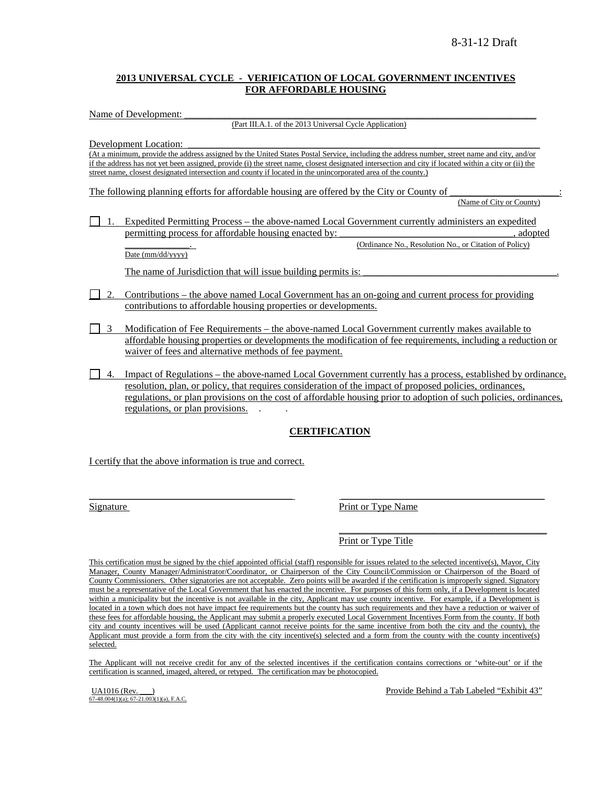### **2013 UNIVERSAL CYCLE - VERIFICATION OF LOCAL GOVERNMENT INCENTIVES FOR AFFORDABLE HOUSING**

Name of Development:

(Part III.A.1. of the 2013 Universal Cycle Application)

Development Location:

(At a minimum, provide the address assigned by the United States Postal Service, including the address number, street name and city, and/or if the address has not yet been assigned, provide (i) the street name, closest designated intersection and city if located within a city or (ii) the street name, closest designated intersection and county if located in the unincorporated area of the county.)

The following planning efforts for affordable housing are offered by the City or County of (Name of City or County)

1. Expedited Permitting Process – the above-named Local Government currently administers an expedited permitting process for affordable housing enacted by:  $\qquad \qquad$ , adopted (Ordinance No., Resolution No., or Citation of Policy)

Date (mm/dd/yyyy)

The name of Jurisdiction that will issue building permits is:

- 2. Contributions the above named Local Government has an on-going and current process for providing contributions to affordable housing properties or developments.
- 3 Modification of Fee Requirements the above-named Local Government currently makes available to affordable housing properties or developments the modification of fee requirements, including a reduction or waiver of fees and alternative methods of fee payment.
- 4. Impact of Regulations the above-named Local Government currently has a process, established by ordinance, resolution, plan, or policy, that requires consideration of the impact of proposed policies, ordinances, regulations, or plan provisions on the cost of affordable housing prior to adoption of such policies, ordinances, regulations, or plan provisions. . .

# **CERTIFICATION**

I certify that the above information is true and correct.

Signature Print or Type Name

 $\overline{\phantom{a}}$  , where the contract of the contract of the contract of the contract of the contract of the contract of the contract of the contract of the contract of the contract of the contract of the contract of the contr Print or Type Title

This certification must be signed by the chief appointed official (staff) responsible for issues related to the selected incentive(s), Mayor, City Manager, County Manager/Administrator/Coordinator, or Chairperson of the City Council/Commission or Chairperson of the Board of County Commissioners. Other signatories are not acceptable. Zero points will be awarded if the certification is improperly signed. Signatory must be a representative of the Local Government that has enacted the incentive. For purposes of this form only, if a Development is located within a municipality but the incentive is not available in the city, Applicant may use county incentive. For example, if a Development is located in a town which does not have impact fee requirements but the county has such requirements and they have a reduction or waiver of these fees for affordable housing, the Applicant may submit a properly executed Local Government Incentives Form from the county. If both city and county incentives will be used (Applicant cannot receive points for the same incentive from both the city and the county), the Applicant must provide a form from the city with the city incentive(s) selected and a form from the county with the county incentive(s) selected.

 $\overline{\phantom{a}}$  , and the contribution of the contribution of the contribution of the contribution of the contribution of the contribution of the contribution of the contribution of the contribution of the contribution of the

The Applicant will not receive credit for any of the selected incentives if the certification contains corrections or 'white-out' or if the certification is scanned, imaged, altered, or retyped. The certification may be photocopied.

 $\overrightarrow{67-48.004(1)(a)}$ ;  $\overrightarrow{67-21.003(1)(a)}$ , F.A.C.

UA1016 (Rev. \_\_\_) **Provide Behind a Tab Labeled "Exhibit 43"** Provide Behind a Tab Labeled "Exhibit 43"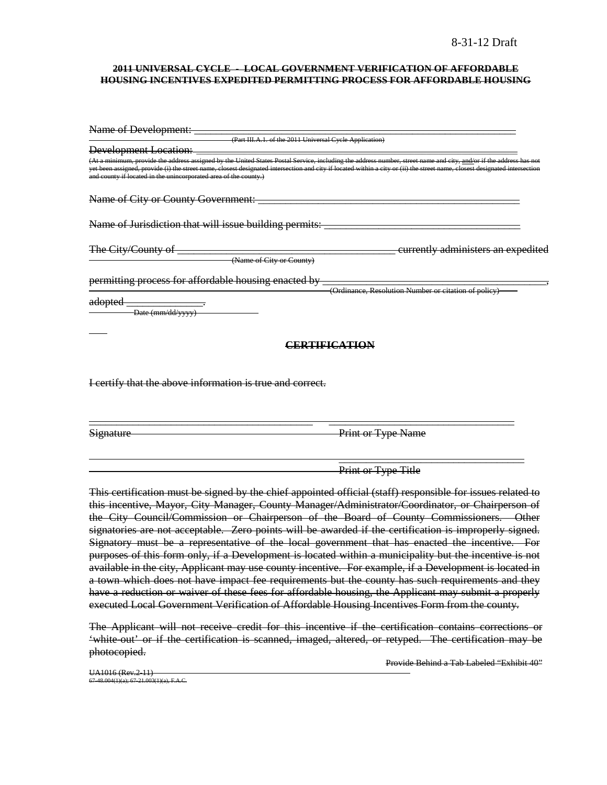#### **2011 UNIVERSAL CYCLE - LOCAL GOVERNMENT VERIFICATION OF AFFORDABLE HOUSING INCENTIVES EXPEDITED PERMITTING PROCESS FOR AFFORDABLE HOUSING**

| Name of Development:                                             |                                                                                                                                                                                                                                                                                                                                                  |
|------------------------------------------------------------------|--------------------------------------------------------------------------------------------------------------------------------------------------------------------------------------------------------------------------------------------------------------------------------------------------------------------------------------------------|
| (Part III.A.1. of the 2011 Universal Cycle Application)          |                                                                                                                                                                                                                                                                                                                                                  |
| <b>Development Location:</b>                                     |                                                                                                                                                                                                                                                                                                                                                  |
| and county if located in the unincorporated area of the county.) | (At a minimum, provide the address assigned by the United States Postal Service, including the address number, street name and city, and/or if the address has not<br>yet been assigned, provide (i) the street name, closest designated intersection and city if located within a city or (ii) the street name, closest designated intersection |
| Name of City or County Government: _                             |                                                                                                                                                                                                                                                                                                                                                  |
| Name of Jurisdiction that will issue building permits: _         |                                                                                                                                                                                                                                                                                                                                                  |
| The City/County of                                               | currently administers an expedited                                                                                                                                                                                                                                                                                                               |
| (Name of City or County)                                         |                                                                                                                                                                                                                                                                                                                                                  |
| permitting process for affordable housing enacted by             |                                                                                                                                                                                                                                                                                                                                                  |
|                                                                  | (Ordinance, Resolution Number or citation of policy)                                                                                                                                                                                                                                                                                             |
| adopted<br>Date (mm/dd/yyyy)                                     |                                                                                                                                                                                                                                                                                                                                                  |
|                                                                  | CERTIFICATION                                                                                                                                                                                                                                                                                                                                    |
|                                                                  |                                                                                                                                                                                                                                                                                                                                                  |
| I certify that the above information is true and correct.        |                                                                                                                                                                                                                                                                                                                                                  |
| Signature                                                        | <b>Print or Type Name</b>                                                                                                                                                                                                                                                                                                                        |

 $\overline{\phantom{a}}$  , and the contract of the contract of the contract of the contract of the contract of the contract of the contract of the contract of the contract of the contract of the contract of the contract of the contrac Print or Type Title

This certification must be signed by the chief appointed official (staff) responsible for issues related to this incentive, Mayor, City Manager, County Manager/Administrator/Coordinator, or Chairperson of the City Council/Commission or Chairperson of the Board of County Commissioners. Other signatories are not acceptable. Zero points will be awarded if the certification is improperly signed. Signatory must be a representative of the local government that has enacted the incentive. For purposes of this form only, if a Development is located within a municipality but the incentive is not available in the city, Applicant may use county incentive. For example, if a Development is located in a town which does not have impact fee requirements but the county has such requirements and they have a reduction or waiver of these fees for affordable housing, the Applicant may submit a properly executed Local Government Verification of Affordable Housing Incentives Form from the county.

The Applicant will not receive credit for this incentive if the certification contains corrections or 'white-out' or if the certification is scanned, imaged, altered, or retyped. The certification may be photocopied.

Provide Behind a Tab Labeled "Exhibit 40"

UA1016 (Rev.2-11)  $7-48.004(1)(a)$ ; 67-21.003(1)(a), F.A.C.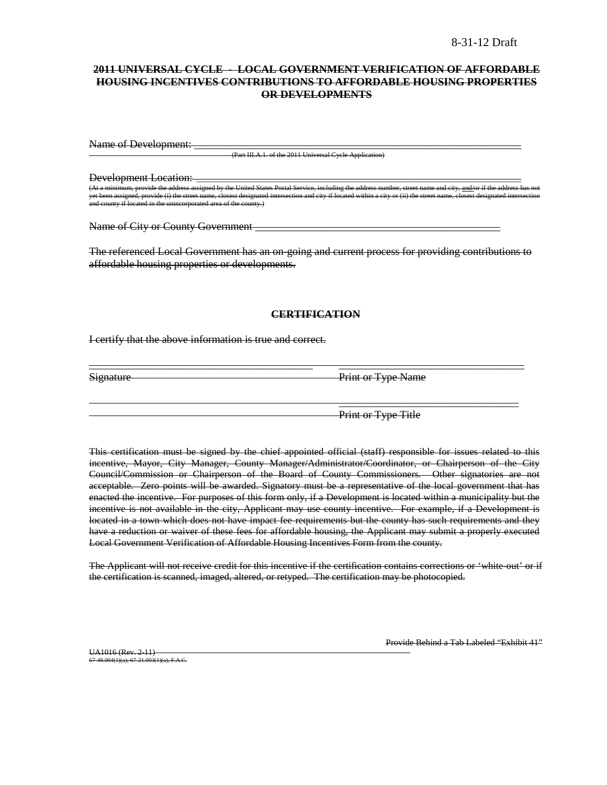### **2011 UNIVERSAL CYCLE - LOCAL GOVERNMENT VERIFICATION OF AFFORDABLE HOUSING INCENTIVES CONTRIBUTIONS TO AFFORDABLE HOUSING PROPERTIES OR DEVELOPMENTS**

Name of Development:

**(Part III.A.1. of the 2011 Universal Cycle Application**)

Development Location:

d by the United States Postal Service, including the ide (i) the street name, closest designated intersection and city if located within a city or (ii) the and county if located in the unincorporated area of the county.)

Name of City or County Government

The referenced Local Government has an on-going and current process for providing contributions to affordable housing properties or developments.

### **CERTIFICATION**

\_\_\_\_\_\_\_\_\_\_\_\_\_\_\_\_\_\_\_\_\_\_\_\_\_\_\_\_\_\_\_\_\_\_\_\_\_\_\_\_\_ \_\_\_\_\_\_\_\_\_\_\_\_\_\_\_\_\_\_\_\_\_\_\_\_\_\_\_\_\_\_\_\_\_\_

I certify that the above information is true and correct.

Signature Print or Type Name

Print or Type Title

 $\overline{\phantom{a}}$  , which is a set of the set of the set of the set of the set of the set of the set of the set of the set of the set of the set of the set of the set of the set of the set of the set of the set of the set of th

This certification must be signed by the chief appointed official (staff) responsible for issues related to this incentive, Mayor, City Manager, County Manager/Administrator/Coordinator, or Chairperson of the City Council/Commission or Chairperson of the Board of County Commissioners. Other signatories are not acceptable. Zero points will be awarded. Signatory must be a representative of the local government that has enacted the incentive. For purposes of this form only, if a Development is located within a municipality but the incentive is not available in the city, Applicant may use county incentive. For example, if a Development is located in a town which does not have impact fee requirements but the county has such requirements and they have a reduction or waiver of these fees for affordable housing, the Applicant may submit a properly executed Local Government Verification of Affordable Housing Incentives Form from the county.

The Applicant will not receive credit for this incentive if the certification contains corrections or 'white-out' or if the certification is scanned, imaged, altered, or retyped. The certification may be photocopied.

UA1016 (Rev. 2-11) 67-48.004(1)(a); 67-21.003(1)(a), F.A.C. Provide Behind a Tab Labeled "Exhibit 41"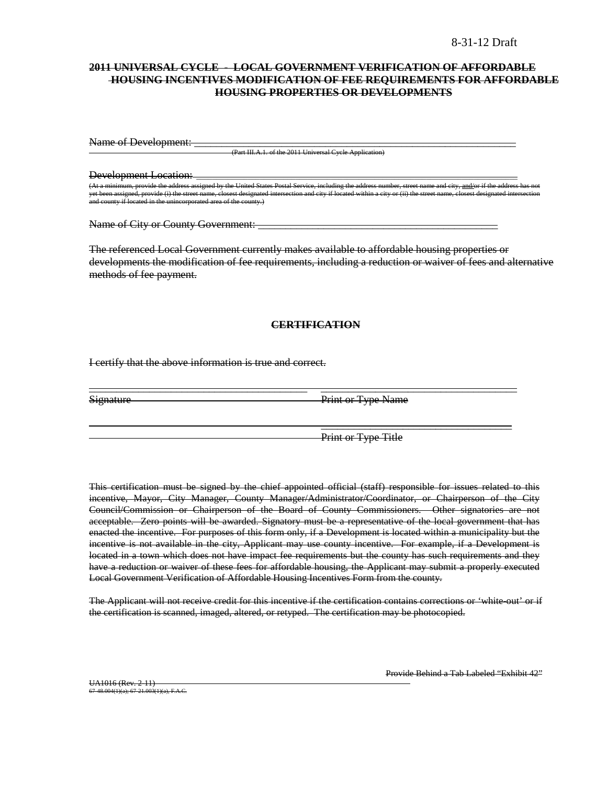### **2011 UNIVERSAL CYCLE - LOCAL GOVERNMENT VERIFICATION OF AFFORDABLE HOUSING INCENTIVES MODIFICATION OF FEE REQUIREMENTS FOR AFFORDABLE HOUSING PROPERTIES OR DEVELOPMENTS**

Name of Development: \_

(Part III.A.1. of the 2011 Universal Cycle Application)

Development Location: \_\_\_\_\_\_\_\_\_\_\_\_\_\_\_\_\_\_\_\_\_\_\_\_\_\_\_\_\_\_\_\_\_\_\_\_\_\_\_\_\_\_\_\_\_\_\_\_\_\_\_\_\_\_\_\_\_\_\_\_\_\_\_\_\_\_\_\_\_\_\_\_\_\_\_\_\_\_\_\_\_ n, provide the address assigned by the United States Postal Service, including the address numb<br>ned, provide (i) the street name, closest designated intersection and city if located within a city, c provide (i) the street name, closest designated interaction and city if  $d$  in the unincorporated area of the county.  $m$  in and comporated area of the county.)

Name of City or County Government: \_\_\_\_\_\_\_\_\_\_\_\_\_\_\_\_\_\_\_\_\_\_\_\_\_\_\_\_\_\_\_\_\_\_\_\_\_\_\_\_\_\_\_\_

The referenced Local Government currently makes available to affordable housing properties or developments the modification of fee requirements, including a reduction or waiver of fees and alternative methods of fee payment.

#### **CERTIFICATION**

\_\_\_\_\_\_\_\_\_\_\_\_\_\_\_\_\_\_\_\_\_\_\_\_\_\_\_\_\_\_\_\_\_\_\_\_\_\_\_\_ \_\_\_\_\_\_\_\_\_\_\_\_\_\_\_\_\_\_\_\_\_\_\_\_\_\_\_\_\_\_\_\_\_\_\_\_

I certify that the above information is true and correct.

Signature Print or Type Name

Print or Type Title

 $\overline{\phantom{a}}$  , and the contract of the contract of the contract of the contract of the contract of the contract of the contract of the contract of the contract of the contract of the contract of the contract of the contrac

This certification must be signed by the chief appointed official (staff) responsible for issues related to this incentive, Mayor, City Manager, County Manager/Administrator/Coordinator, or Chairperson of the City Council/Commission or Chairperson of the Board of County Commissioners. Other signatories are not acceptable. Zero points will be awarded. Signatory must be a representative of the local government that has enacted the incentive. For purposes of this form only, if a Development is located within a municipality but the incentive is not available in the city, Applicant may use county incentive. For example, if a Development is located in a town which does not have impact fee requirements but the county has such requirements and they have a reduction or waiver of these fees for affordable housing, the Applicant may submit a properly executed Local Government Verification of Affordable Housing Incentives Form from the county.

The Applicant will not receive credit for this incentive if the certification contains corrections or 'white out' or if the certification is scanned, imaged, altered, or retyped. The certification may be photocopied.

Provide Behind a Tab Labeled "Exhibit 42"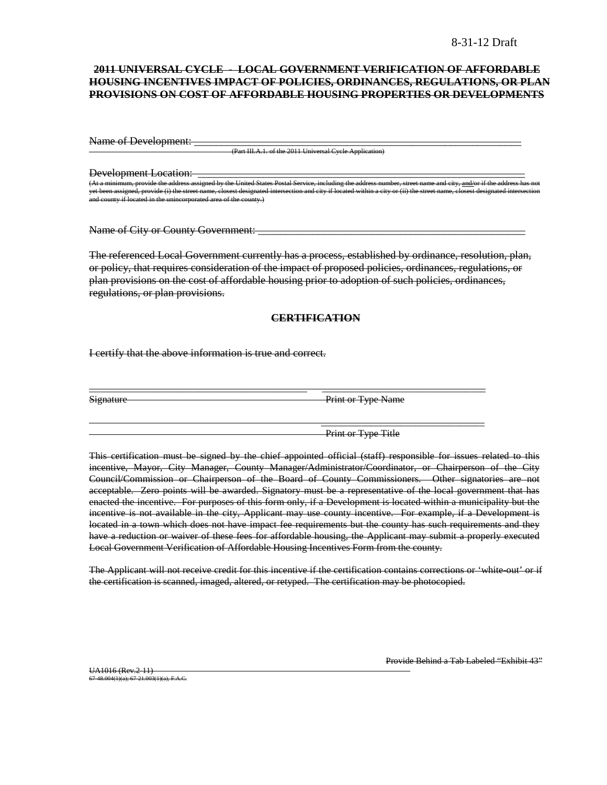### **2011 UNIVERSAL CYCLE - LOCAL GOVERNMENT VERIFICATION OF AFFORDABLE HOUSING INCENTIVES IMPACT OF POLICIES, ORDINANCES, REGULATIONS, OR PLAN PROVISIONS ON COST OF AFFORDABLE HOUSING PROPERTIES OR DEVELOPMENTS**

Name of Development:

(Part III.A.1. of the 2011 Universal Cycle Applic

Development Location:

(United States Postal Service, including United States Postal Service, including the address number, including the address number, and  $\frac{1}{n}$  the address of the address of the address of the address has not if the addre yet been assigned, provide (i) the street name, closest designated intersection and city if located within a city or (ii) the street name, closest designated intersection and county if located in the unincorporated area of the county.)

Name of City or County Government:

The referenced Local Government currently has a process, established by ordinance, resolution, plan, or policy, that requires consideration of the impact of proposed policies, ordinances, regulations, or plan provisions on the cost of affordable housing prior to adoption of such policies, ordinances, regulations, or plan provisions.

### **CERTIFICATION**

\_\_\_\_\_\_\_\_\_\_\_\_\_\_\_\_\_\_\_\_\_\_\_\_\_\_\_\_\_\_\_\_\_\_\_\_\_\_\_\_\_\_\_\_ \_\_\_\_\_\_\_\_\_\_\_\_\_\_\_\_\_\_\_\_\_\_\_\_\_\_\_\_\_\_\_\_\_

I certify that the above information is true and correct.

Signature Print or Type Name

Print or Type Title

\_\_\_\_\_\_\_\_\_\_\_\_\_\_\_\_\_\_\_\_\_\_\_\_\_\_\_\_\_\_\_\_\_

This certification must be signed by the chief appointed official (staff) responsible for issues related to this incentive, Mayor, City Manager, County Manager/Administrator/Coordinator, or Chairperson of the City Council/Commission or Chairperson of the Board of County Commissioners. Other signatories are not acceptable. Zero points will be awarded. Signatory must be a representative of the local government that has enacted the incentive. For purposes of this form only, if a Development is located within a municipality but the incentive is not available in the city, Applicant may use county incentive. For example, if a Development is located in a town which does not have impact fee requirements but the county has such requirements and they have a reduction or waiver of these fees for affordable housing, the Applicant may submit a properly executed Local Government Verification of Affordable Housing Incentives Form from the county.

The Applicant will not receive credit for this incentive if the certification contains corrections or 'white-out' or if the certification is scanned, imaged, altered, or retyped. The certification may be photocopied.

UA1016 (Rev. 2-11) 67-48.004(1)(a); 67-21.003(1)(a), F.A.C. Provide Behind a Tab Labeled "Exhibit 43"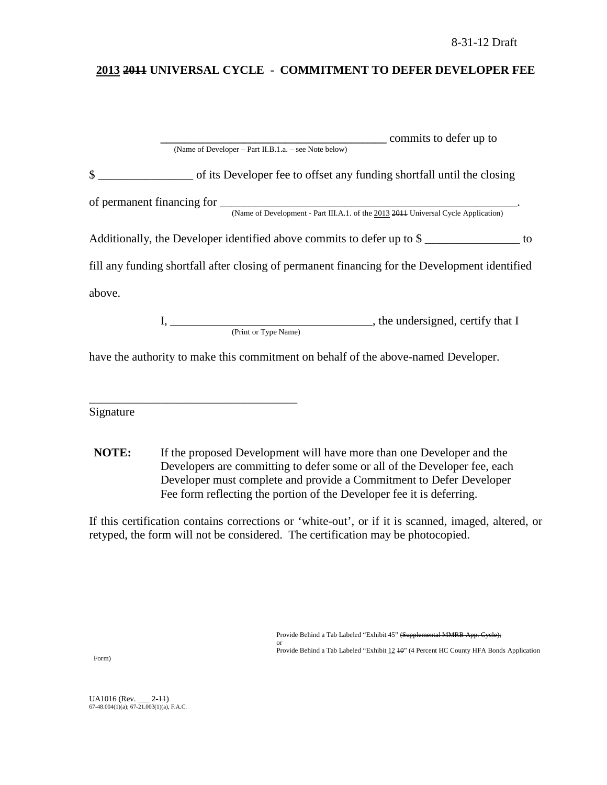# **2013 2011 UNIVERSAL CYCLE - COMMITMENT TO DEFER DEVELOPER FEE**

|              | commits to defer up to                                                                         |  |
|--------------|------------------------------------------------------------------------------------------------|--|
|              | (Name of Developer – Part II.B.1.a. – see Note below)                                          |  |
| $\mathbb{S}$ | of its Developer fee to offset any funding shortfall until the closing                         |  |
|              |                                                                                                |  |
|              |                                                                                                |  |
|              | Additionally, the Developer identified above commits to defer up to \$                         |  |
|              | fill any funding shortfall after closing of permanent financing for the Development identified |  |
| above.       |                                                                                                |  |
|              |                                                                                                |  |
|              | (Print or Type Name)                                                                           |  |
|              | have the authority to make this commitment on behalf of the above-named Developer.             |  |

Signature

\_\_\_\_\_\_\_\_\_\_\_\_\_\_\_\_\_\_\_\_\_\_\_\_\_\_\_\_\_\_\_\_\_\_\_

**NOTE:** If the proposed Development will have more than one Developer and the Developers are committing to defer some or all of the Developer fee, each Developer must complete and provide a Commitment to Defer Developer Fee form reflecting the portion of the Developer fee it is deferring.

If this certification contains corrections or 'white-out', or if it is scanned, imaged, altered, or retyped, the form will not be considered. The certification may be photocopied.

> Provide Behind a Tab Labeled "Exhibit 45" (Supplemental MMRB App. Cycle); or

Provide Behind a Tab Labeled "Exhibit 12 40" (4 Percent HC County HFA Bonds Application

Form)

UA1016 (Rev. \_\_\_ <del>2-11</del>)<br>67-48.004(1)(a); 67-21.003(1)(a), F.A.C.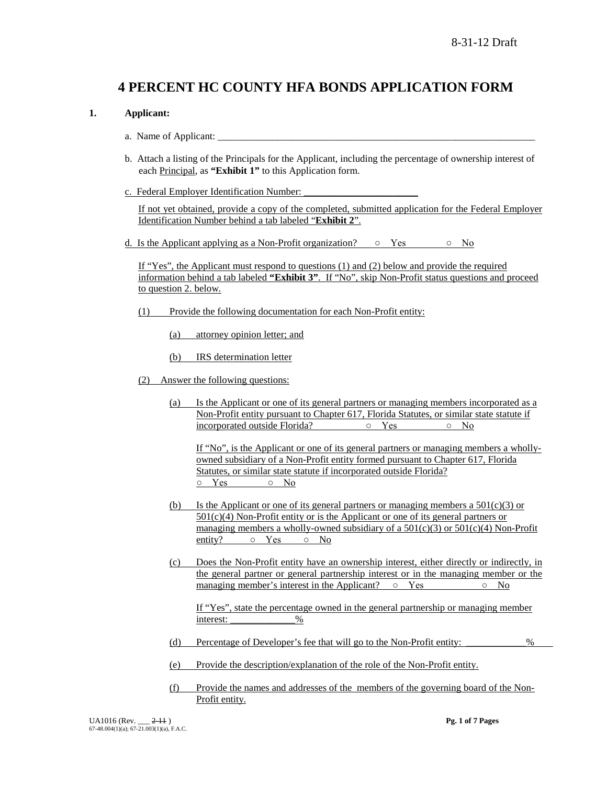# **4 PERCENT HC COUNTY HFA BONDS APPLICATION FORM**

### **1. Applicant:**

- a. Name of Applicant:
- b. Attach a listing of the Principals for the Applicant, including the percentage of ownership interest of each Principal, as **"Exhibit 1"** to this Application form.
- c. Federal Employer Identification Number:

If not yet obtained, provide a copy of the completed, submitted application for the Federal Employer Identification Number behind a tab labeled "**Exhibit 2**".

d. Is the Applicant applying as a Non-Profit organization?  $\circ$  Yes  $\circ$  No

If "Yes", the Applicant must respond to questions (1) and (2) below and provide the required information behind a tab labeled **"Exhibit 3"**. If "No", skip Non-Profit status questions and proceed to question 2. below.

- (1) Provide the following documentation for each Non-Profit entity:
	- (a) attorney opinion letter; and
	- (b) IRS determination letter
- (2) Answer the following questions:
	- (a) Is the Applicant or one of its general partners or managing members incorporated as a Non-Profit entity pursuant to Chapter 617, Florida Statutes, or similar state statute if incorporated outside Florida? ○ Yes ○ No

If "No", is the Applicant or one of its general partners or managing members a whollyowned subsidiary of a Non-Profit entity formed pursuant to Chapter 617, Florida Statutes, or similar state statute if incorporated outside Florida? ○ Yes ○ No

- (b) Is the Applicant or one of its general partners or managing members a  $501(c)(3)$  or  $501(c)(4)$  Non-Profit entity or is the Applicant or one of its general partners or managing members a wholly-owned subsidiary of a  $501(c)(3)$  or  $501(c)(4)$  Non-Profit entity?  $\circ$  Yes  $\circ$  No
- (c) Does the Non-Profit entity have an ownership interest, either directly or indirectly, in the general partner or general partnership interest or in the managing member or the managing member's interest in the Applicant?  $\circ$  Yes  $\circ$  No

If "Yes", state the percentage owned in the general partnership or managing member interest:  $\%$ 

- (d) Percentage of Developer's fee that will go to the Non-Profit entity: \_\_\_\_\_\_\_\_\_\_\_\_%
- (e) Provide the description/explanation of the role of the Non-Profit entity.
- (f) Provide the names and addresses of the members of the governing board of the Non-Profit entity.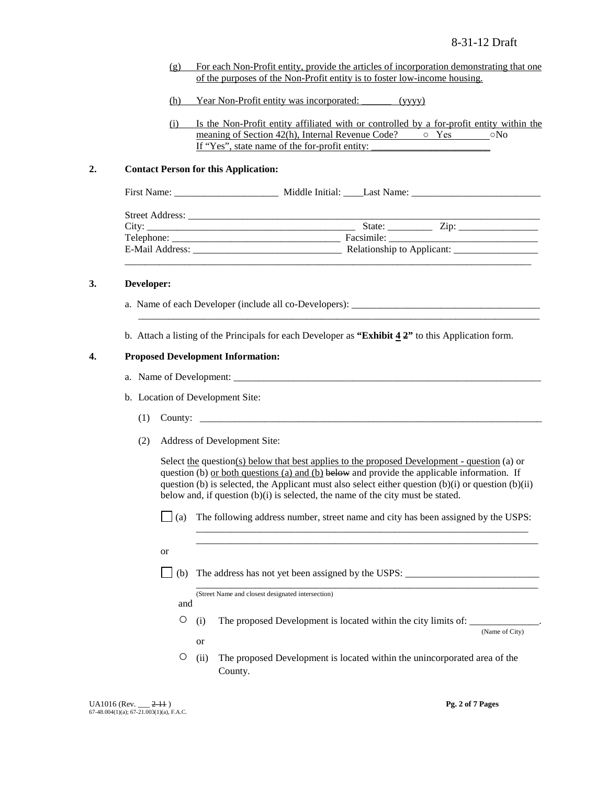- (g) For each Non-Profit entity, provide the articles of incorporation demonstrating that one of the purposes of the Non-Profit entity is to foster low-income housing.
- (h) Year Non-Profit entity was incorporated: \_\_\_\_\_\_ (yyyy)
- (i) Is the Non-Profit entity affiliated with or controlled by a for-profit entity within the meaning of Section 42(h), Internal Revenue Code?  $\circ$  Yes  $\circ$  No If "Yes", state name of the for-profit entity:

### **2. Contact Person for this Application:**

| State: $\frac{Zip:\_$      |  |
|----------------------------|--|
|                            |  |
| Relationship to Applicant: |  |
|                            |  |

#### **3. Developer:**

- a. Name of each Developer (include all co-Developers): \_\_\_\_\_\_\_\_\_\_\_\_\_\_\_\_\_\_\_\_\_\_\_\_\_
- b. Attach a listing of the Principals for each Developer as **"Exhibit 4 2"** to this Application form.

\_\_\_\_\_\_\_\_\_\_\_\_\_\_\_\_\_\_\_\_\_\_\_\_\_\_\_\_\_\_\_\_\_\_\_\_\_\_\_\_\_\_\_\_\_\_\_\_\_\_\_\_\_\_\_\_\_\_\_\_\_\_\_\_\_\_\_\_\_\_\_\_\_\_\_\_\_\_\_\_\_

#### **4. Proposed Development Information:**

- a. Name of Development:
- b. Location of Development Site:
	- $(1)$  County:  $\Box$
	- (2) Address of Development Site:

Select <u>the</u> question(s) below that best applies to the proposed Development - question (a) or question (b) or both questions (a) and (b) below and provide the applicable information. If question (b) is selected, the Applicant must also select either question  $(b)(i)$  or question  $(b)(ii)$ below and, if question (b)(i) is selected, the name of the city must be stated.

 $\Box$  (a) The following address number, street name and city has been assigned by the USPS:

\_\_\_\_\_\_\_\_\_\_\_\_\_\_\_\_\_\_\_\_\_\_\_\_\_\_\_\_\_\_\_\_\_\_\_\_\_\_\_\_\_\_\_\_\_\_\_\_\_\_\_\_\_\_\_\_\_\_\_\_\_\_\_\_\_\_\_ \_\_\_\_\_\_\_\_\_\_\_\_\_\_\_\_\_\_\_\_\_\_\_\_\_\_\_\_\_\_\_\_\_\_\_\_\_\_\_\_\_\_\_\_\_\_\_\_\_\_\_\_\_\_\_\_\_\_\_\_\_\_\_\_\_\_\_\_\_

- or
- $\Box$  (b) The address has not yet been assigned by the USPS:

\_\_\_\_\_\_\_\_\_\_\_\_\_\_\_\_\_\_\_\_\_\_\_\_\_\_\_\_\_\_\_\_\_\_\_\_\_\_\_\_\_\_\_\_\_\_\_\_\_\_\_\_\_\_\_\_\_\_\_\_\_\_\_\_\_\_\_\_\_ (Street Name and closest designated intersection)

and

or

 $\circ$  (i) The proposed Development is located within the city limits of:

(Name of City)

○ (ii) The proposed Development is located within the unincorporated area of the County.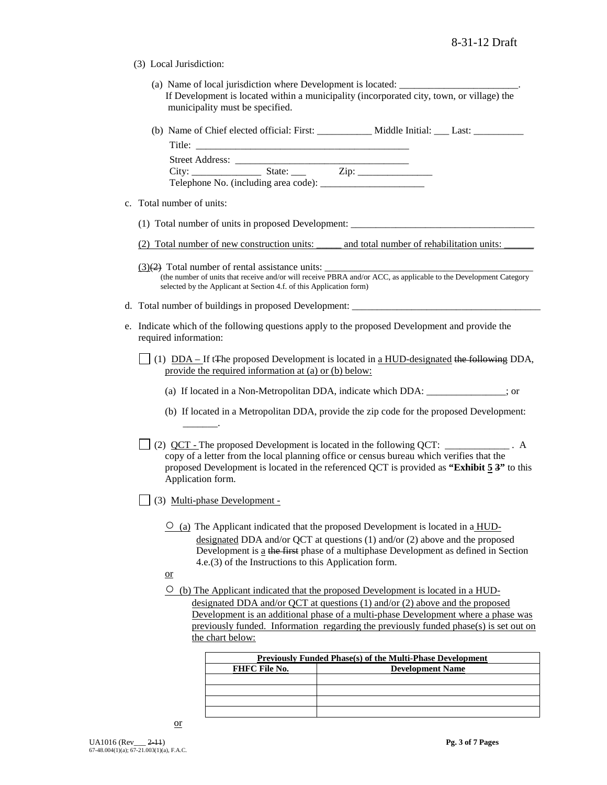- (3) Local Jurisdiction:
	- (a) Name of local jurisdiction where Development is located: If Development is located within a municipality (incorporated city, town, or village) the municipality must be specified.
	- (b) Name of Chief elected official: First: \_\_\_\_\_\_\_\_\_\_\_ Middle Initial: \_\_\_ Last: \_\_\_\_\_\_\_\_\_\_

| Title:                 |                                      |      |  |
|------------------------|--------------------------------------|------|--|
| <b>Street Address:</b> |                                      |      |  |
| City:                  | State:                               | Zip: |  |
|                        | Telephone No. (including area code): |      |  |

- c. Total number of units:
	- (1) Total number of units in proposed Development: \_\_\_\_\_\_\_\_\_\_\_\_\_\_\_\_\_\_\_\_\_\_\_\_\_\_\_\_\_\_\_\_\_\_\_\_\_
	- (2) Total number of new construction units: \_\_\_\_\_ and total number of rehabilitation units: \_\_\_\_\_\_
	- $(3)(2)$  Total number of rental assistance units: (the number of units that receive and/or will receive PBRA and/or ACC, as applicable to the Development Category selected by the Applicant at Section 4.f. of this Application form)
- d. Total number of buildings in proposed Development: \_
- e. Indicate which of the following questions apply to the proposed Development and provide the required information:
	- (1)  $DDA If tFhe proposed Development is located in a HUD-designed the following DDA,$ </u> provide the required information at (a) or (b) below:
		- (a) If located in a Non-Metropolitan DDA, indicate which DDA: \_\_\_\_\_\_\_\_\_\_\_\_\_\_\_\_; or
		- (b) If located in a Metropolitan DDA, provide the zip code for the proposed Development: \_\_\_\_\_\_\_.

(2) QCT - The proposed Development is located in the following QCT: \_\_\_\_\_\_\_\_\_\_\_\_\_ . A copy of a letter from the local planning office or census bureau which verifies that the proposed Development is located in the referenced QCT is provided as **"Exhibit 5 3"** to this Application form.

- $\Box$  (3) Multi-phase Development -
	- $\overline{O}$  (a) The Applicant indicated that the proposed Development is located in a HUDdesignated DDA and/or QCT at questions (1) and/or (2) above and the proposed Development is a the first phase of a multiphase Development as defined in Section 4.e.(3) of the Instructions to this Application form.
	- or
	- $\circ$  (b) The Applicant indicated that the proposed Development is located in a HUDdesignated DDA and/or QCT at questions (1) and/or (2) above and the proposed Development is an additional phase of a multi-phase Development where a phase was previously funded. Information regarding the previously funded phase(s) is set out on the chart below:

| <b>Previously Funded Phase(s) of the Multi-Phase Development</b> |                         |  |
|------------------------------------------------------------------|-------------------------|--|
| <b>FHFC File No.</b>                                             | <b>Development Name</b> |  |
|                                                                  |                         |  |
|                                                                  |                         |  |
|                                                                  |                         |  |
|                                                                  |                         |  |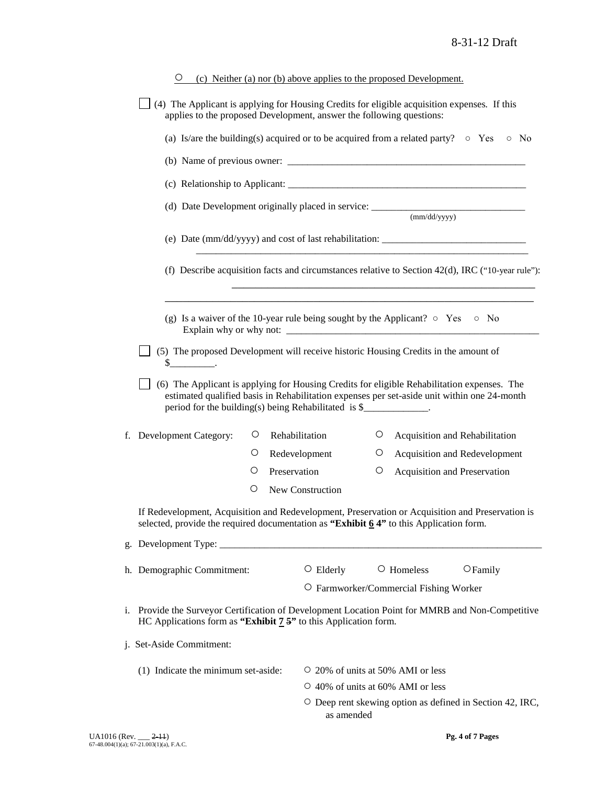|                                                                                                                                                                                                                                                                 | $\circ$                                                                                                                                                                                                                                                                                                                                                                                                                                                                                            |   |              | (c) Neither (a) nor (b) above applies to the proposed Development. |        |                                                                 |                                |  |  |
|-----------------------------------------------------------------------------------------------------------------------------------------------------------------------------------------------------------------------------------------------------------------|----------------------------------------------------------------------------------------------------------------------------------------------------------------------------------------------------------------------------------------------------------------------------------------------------------------------------------------------------------------------------------------------------------------------------------------------------------------------------------------------------|---|--------------|--------------------------------------------------------------------|--------|-----------------------------------------------------------------|--------------------------------|--|--|
|                                                                                                                                                                                                                                                                 | (4) The Applicant is applying for Housing Credits for eligible acquisition expenses. If this<br>applies to the proposed Development, answer the following questions:                                                                                                                                                                                                                                                                                                                               |   |              |                                                                    |        |                                                                 |                                |  |  |
|                                                                                                                                                                                                                                                                 | (a) Is/are the building(s) acquired or to be acquired from a related party? $\circ$ Yes<br>$\circ$ No                                                                                                                                                                                                                                                                                                                                                                                              |   |              |                                                                    |        |                                                                 |                                |  |  |
|                                                                                                                                                                                                                                                                 | (b) Name of previous owner: $\frac{1}{2}$                                                                                                                                                                                                                                                                                                                                                                                                                                                          |   |              |                                                                    |        |                                                                 |                                |  |  |
|                                                                                                                                                                                                                                                                 |                                                                                                                                                                                                                                                                                                                                                                                                                                                                                                    |   |              |                                                                    |        |                                                                 |                                |  |  |
|                                                                                                                                                                                                                                                                 |                                                                                                                                                                                                                                                                                                                                                                                                                                                                                                    |   |              |                                                                    |        |                                                                 |                                |  |  |
|                                                                                                                                                                                                                                                                 | (e) Date (mm/dd/yyyy) and cost of last rehabilitation: _________________________<br>(f) Describe acquisition facts and circumstances relative to Section 42(d), IRC ("10-year rule"):                                                                                                                                                                                                                                                                                                              |   |              |                                                                    |        |                                                                 |                                |  |  |
|                                                                                                                                                                                                                                                                 |                                                                                                                                                                                                                                                                                                                                                                                                                                                                                                    |   |              |                                                                    |        |                                                                 |                                |  |  |
|                                                                                                                                                                                                                                                                 |                                                                                                                                                                                                                                                                                                                                                                                                                                                                                                    |   |              |                                                                    |        |                                                                 |                                |  |  |
|                                                                                                                                                                                                                                                                 |                                                                                                                                                                                                                                                                                                                                                                                                                                                                                                    |   |              |                                                                    |        |                                                                 |                                |  |  |
|                                                                                                                                                                                                                                                                 | (g) Is a waiver of the 10-year rule being sought by the Applicant? $\circ$ Yes $\circ$ No                                                                                                                                                                                                                                                                                                                                                                                                          |   |              |                                                                    |        |                                                                 |                                |  |  |
|                                                                                                                                                                                                                                                                 |                                                                                                                                                                                                                                                                                                                                                                                                                                                                                                    |   |              |                                                                    |        |                                                                 |                                |  |  |
|                                                                                                                                                                                                                                                                 | (5) The proposed Development will receive historic Housing Credits in the amount of<br>$\frac{\S_{\frac{1}{2}}}{\S_{\frac{1}{2}}}\frac{\S_{\frac{1}{2}}}{\S_{\frac{1}{2}}}\frac{\S_{\frac{1}{2}}}{\S_{\frac{1}{2}}}\frac{\S_{\frac{1}{2}}}{\S_{\frac{1}{2}}}\frac{\S_{\frac{1}{2}}}{\S_{\frac{1}{2}}}\frac{\S_{\frac{1}{2}}}{\S_{\frac{1}{2}}}\frac{\S_{\frac{1}{2}}}{\S_{\frac{1}{2}}}\frac{\S_{\frac{1}{2}}}{\S_{\frac{1}{2}}}\frac{\S_{\frac{1}{2}}}{\S_{\frac{1}{2}}}\frac{\S_{\frac{1}{2}}}{$ |   |              |                                                                    |        |                                                                 |                                |  |  |
| (6) The Applicant is applying for Housing Credits for eligible Rehabilitation expenses. The<br>estimated qualified basis in Rehabilitation expenses per set-aside unit within one 24-month<br>period for the building(s) being Rehabilitated is \$____________. |                                                                                                                                                                                                                                                                                                                                                                                                                                                                                                    |   |              |                                                                    |        |                                                                 |                                |  |  |
|                                                                                                                                                                                                                                                                 | f. Development Category:                                                                                                                                                                                                                                                                                                                                                                                                                                                                           | Ő |              | Rehabilitation                                                     | $\cup$ |                                                                 | Acquisition and Rehabilitation |  |  |
|                                                                                                                                                                                                                                                                 |                                                                                                                                                                                                                                                                                                                                                                                                                                                                                                    | Ő |              | Redevelopment                                                      | Ő      |                                                                 | Acquisition and Redevelopment  |  |  |
|                                                                                                                                                                                                                                                                 |                                                                                                                                                                                                                                                                                                                                                                                                                                                                                                    | O | Preservation |                                                                    | O      |                                                                 | Acquisition and Preservation   |  |  |
|                                                                                                                                                                                                                                                                 |                                                                                                                                                                                                                                                                                                                                                                                                                                                                                                    | O |              | New Construction                                                   |        |                                                                 |                                |  |  |
|                                                                                                                                                                                                                                                                 | If Redevelopment, Acquisition and Redevelopment, Preservation or Acquisition and Preservation is<br>selected, provide the required documentation as "Exhibit $64"$ to this Application form.                                                                                                                                                                                                                                                                                                       |   |              |                                                                    |        |                                                                 |                                |  |  |
|                                                                                                                                                                                                                                                                 | g. Development Type: ______                                                                                                                                                                                                                                                                                                                                                                                                                                                                        |   |              |                                                                    |        |                                                                 |                                |  |  |
|                                                                                                                                                                                                                                                                 | h. Demographic Commitment:                                                                                                                                                                                                                                                                                                                                                                                                                                                                         |   |              | $\circ$ Elderly                                                    |        | O Homeless                                                      | $O$ Family                     |  |  |
|                                                                                                                                                                                                                                                                 |                                                                                                                                                                                                                                                                                                                                                                                                                                                                                                    |   |              |                                                                    |        | O Farmworker/Commercial Fishing Worker                          |                                |  |  |
|                                                                                                                                                                                                                                                                 | i. Provide the Surveyor Certification of Development Location Point for MMRB and Non-Competitive<br>HC Applications form as "Exhibit $7.5$ " to this Application form.                                                                                                                                                                                                                                                                                                                             |   |              |                                                                    |        |                                                                 |                                |  |  |
|                                                                                                                                                                                                                                                                 | j. Set-Aside Commitment:                                                                                                                                                                                                                                                                                                                                                                                                                                                                           |   |              |                                                                    |        |                                                                 |                                |  |  |
| (1) Indicate the minimum set-aside:<br>$\circ$ 20% of units at 50% AMI or less                                                                                                                                                                                  |                                                                                                                                                                                                                                                                                                                                                                                                                                                                                                    |   |              |                                                                    |        |                                                                 |                                |  |  |
|                                                                                                                                                                                                                                                                 |                                                                                                                                                                                                                                                                                                                                                                                                                                                                                                    |   |              | ○ 40% of units at 60% AMI or less                                  |        |                                                                 |                                |  |  |
| as amended                                                                                                                                                                                                                                                      |                                                                                                                                                                                                                                                                                                                                                                                                                                                                                                    |   |              |                                                                    |        | $\circ$ Deep rent skewing option as defined in Section 42, IRC, |                                |  |  |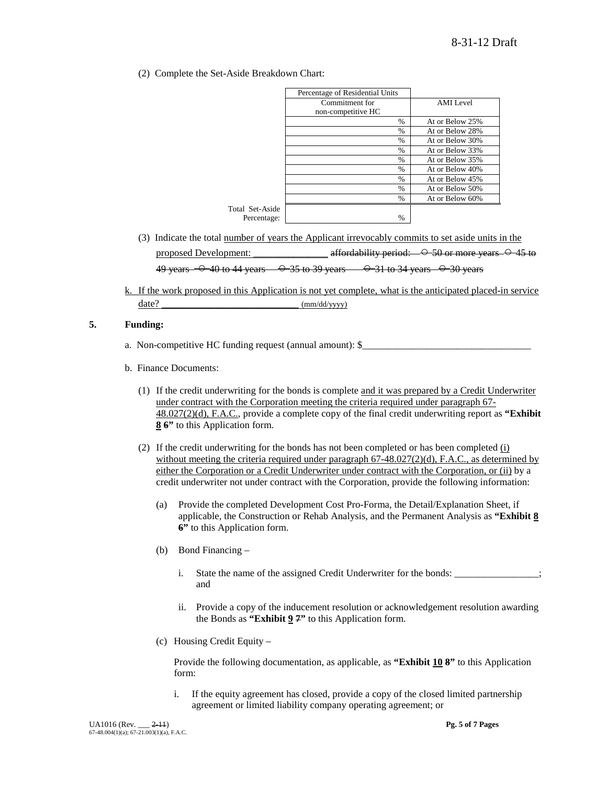(2) Complete the Set-Aside Breakdown Chart:

|                 | Percentage of Residential Units |                 |
|-----------------|---------------------------------|-----------------|
|                 | Commitment for                  | AMI Level       |
|                 | non-competitive HC              |                 |
|                 | $\%$                            | At or Below 25% |
|                 | $\%$                            | At or Below 28% |
|                 | $\frac{0}{0}$                   | At or Below 30% |
|                 | $\frac{0}{0}$                   | At or Below 33% |
|                 | $\%$                            | At or Below 35% |
|                 | $\%$                            | At or Below 40% |
|                 | %                               | At or Below 45% |
|                 | %                               | At or Below 50% |
|                 | $\%$                            | At or Below 60% |
| Total Set-Aside |                                 |                 |
| Percentage:     | $\%$                            |                 |

- (3) Indicate the total number of years the Applicant irrevocably commits to set aside units in the proposed Development:  $\frac{\text{affordability period:} \leftarrow \text{O} - 50 \text{ or more years.} \leftarrow \text{O} - 45 \text{ to}}{\text{Hfordability period:} \leftarrow \text{O} - 50 \text{ or more years.}}$ 49 years  $-$  0 40 to 44 years  $-$  0 35 to 39 years  $-$  0 31 to 34 years  $-$  0 30 years
- k. If the work proposed in this Application is not yet complete, what is the anticipated placed-in service date?  $\frac{1}{2}$  (mm/dd/yyyy)

### **5. Funding:**

- a. Non-competitive HC funding request (annual amount): \$\_\_\_\_\_\_\_\_\_\_\_\_\_\_\_\_\_\_\_\_\_\_\_\_
- b. Finance Documents:
	- (1) If the credit underwriting for the bonds is complete and it was prepared by a Credit Underwriter under contract with the Corporation meeting the criteria required under paragraph 67- 48.027(2)(d), F.A.C., provide a complete copy of the final credit underwriting report as **"Exhibit 8 6"** to this Application form.
	- (2) If the credit underwriting for the bonds has not been completed or has been completed (i) without meeting the criteria required under paragraph  $67-48.027(2)(d)$ , F.A.C., as determined by either the Corporation or a Credit Underwriter under contract with the Corporation, or (ii) by a credit underwriter not under contract with the Corporation, provide the following information:
		- (a) Provide the completed Development Cost Pro-Forma, the Detail/Explanation Sheet, if applicable, the Construction or Rehab Analysis, and the Permanent Analysis as **"Exhibit 8 6"** to this Application form.
		- (b) Bond Financing
			- i. State the name of the assigned Credit Underwriter for the bonds: \_\_\_\_\_\_\_\_\_\_\_\_\_\_; and
			- ii. Provide a copy of the inducement resolution or acknowledgement resolution awarding the Bonds as **"Exhibit 9 7"** to this Application form.
		- (c) Housing Credit Equity –

Provide the following documentation, as applicable, as **"Exhibit 10 8"** to this Application form:

i. If the equity agreement has closed, provide a copy of the closed limited partnership agreement or limited liability company operating agreement; or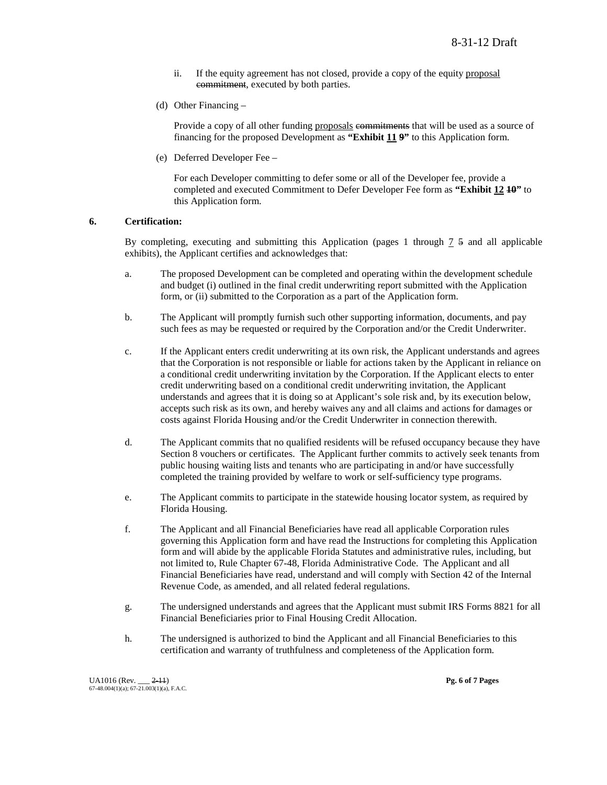- ii. If the equity agreement has not closed, provide a copy of the equity proposal commitment, executed by both parties.
- (d) Other Financing –

Provide a copy of all other funding proposals commitments that will be used as a source of financing for the proposed Development as **"Exhibit 11 9"** to this Application form.

(e) Deferred Developer Fee –

For each Developer committing to defer some or all of the Developer fee, provide a completed and executed Commitment to Defer Developer Fee form as **"Exhibit 12 10"** to this Application form.

#### **6. Certification:**

By completing, executing and submitting this Application (pages 1 through 7 5 and all applicable exhibits), the Applicant certifies and acknowledges that:

- a. The proposed Development can be completed and operating within the development schedule and budget (i) outlined in the final credit underwriting report submitted with the Application form, or (ii) submitted to the Corporation as a part of the Application form.
- b. The Applicant will promptly furnish such other supporting information, documents, and pay such fees as may be requested or required by the Corporation and/or the Credit Underwriter.
- c. If the Applicant enters credit underwriting at its own risk, the Applicant understands and agrees that the Corporation is not responsible or liable for actions taken by the Applicant in reliance on a conditional credit underwriting invitation by the Corporation. If the Applicant elects to enter credit underwriting based on a conditional credit underwriting invitation, the Applicant understands and agrees that it is doing so at Applicant's sole risk and, by its execution below, accepts such risk as its own, and hereby waives any and all claims and actions for damages or costs against Florida Housing and/or the Credit Underwriter in connection therewith.
- d. The Applicant commits that no qualified residents will be refused occupancy because they have Section 8 vouchers or certificates. The Applicant further commits to actively seek tenants from public housing waiting lists and tenants who are participating in and/or have successfully completed the training provided by welfare to work or self-sufficiency type programs.
- e. The Applicant commits to participate in the statewide housing locator system, as required by Florida Housing.
- f. The Applicant and all Financial Beneficiaries have read all applicable Corporation rules governing this Application form and have read the Instructions for completing this Application form and will abide by the applicable Florida Statutes and administrative rules, including, but not limited to, Rule Chapter 67-48, Florida Administrative Code. The Applicant and all Financial Beneficiaries have read, understand and will comply with Section 42 of the Internal Revenue Code, as amended, and all related federal regulations.
- g. The undersigned understands and agrees that the Applicant must submit IRS Forms 8821 for all Financial Beneficiaries prior to Final Housing Credit Allocation.
- h. The undersigned is authorized to bind the Applicant and all Financial Beneficiaries to this certification and warranty of truthfulness and completeness of the Application form.